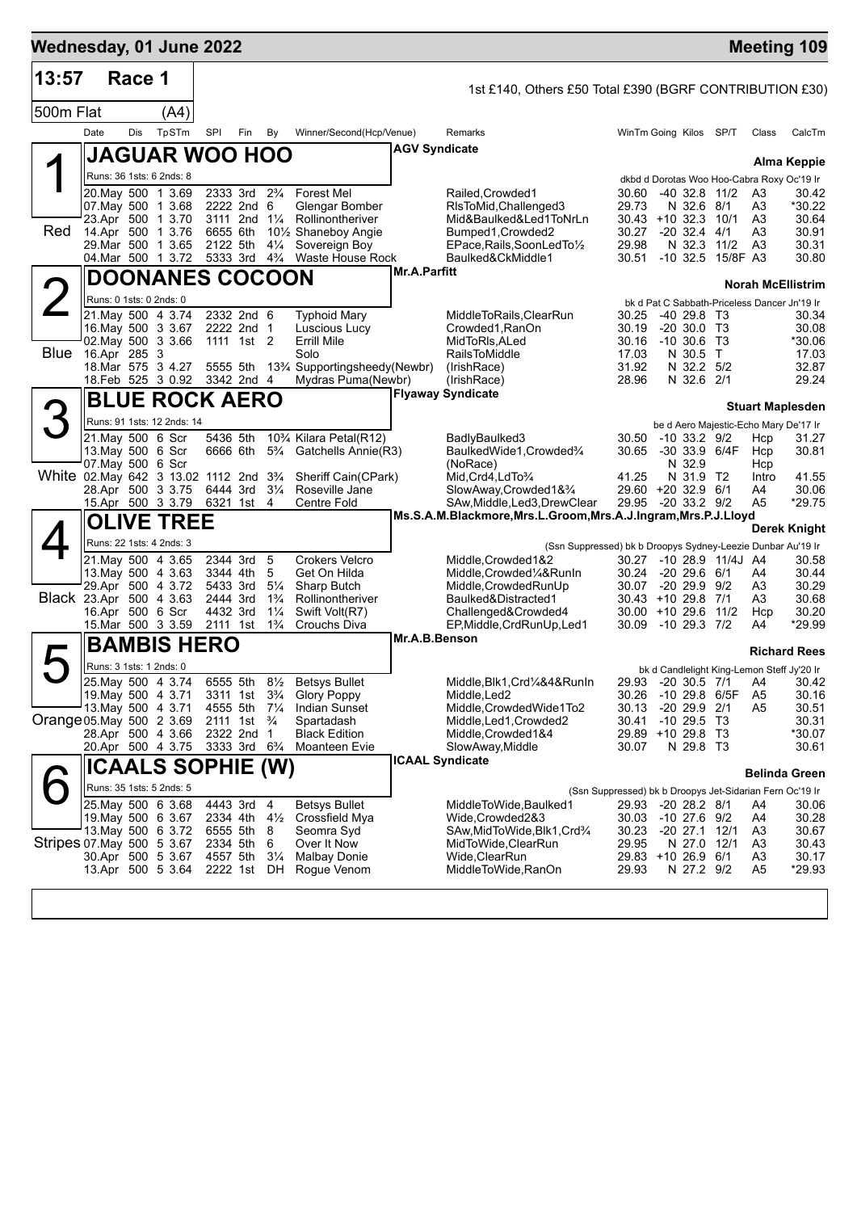| Wednesday, 01 June 2022                 |                         |        |                                                |                      |                                                       |                                  |                                                                              |                      |                                                                                                 |                                                          |                                      |                           |                      | <b>Meeting 109</b>                                                       |
|-----------------------------------------|-------------------------|--------|------------------------------------------------|----------------------|-------------------------------------------------------|----------------------------------|------------------------------------------------------------------------------|----------------------|-------------------------------------------------------------------------------------------------|----------------------------------------------------------|--------------------------------------|---------------------------|----------------------|--------------------------------------------------------------------------|
| 13:57                                   |                         | Race 1 |                                                |                      |                                                       |                                  |                                                                              |                      | 1st £140, Others £50 Total £390 (BGRF CONTRIBUTION £30)                                         |                                                          |                                      |                           |                      |                                                                          |
| 500m Flat                               |                         |        | (A4)                                           |                      |                                                       |                                  |                                                                              |                      |                                                                                                 |                                                          |                                      |                           |                      |                                                                          |
|                                         | Date                    | Dis    | TpSTm                                          | SPI                  | Fin                                                   | By                               | Winner/Second(Hcp/Venue)                                                     |                      | Remarks                                                                                         | WinTm Going Kilos SP/T                                   |                                      |                           | Class                | CalcTm                                                                   |
|                                         |                         |        | <b>JAGUAR WOO HOO</b>                          |                      |                                                       |                                  |                                                                              | <b>AGV Syndicate</b> |                                                                                                 |                                                          |                                      |                           |                      |                                                                          |
|                                         |                         |        | Runs: 36 1sts: 6 2nds: 8                       |                      |                                                       |                                  |                                                                              |                      |                                                                                                 |                                                          |                                      |                           |                      | Alma Keppie<br>dkbd d Dorotas Woo Hoo-Cabra Roxy Oc'19 Ir                |
|                                         |                         |        | 20.May 500 1 3.69                              |                      | 2333 3rd 2 <sup>3</sup> / <sub>4</sub>                |                                  | <b>Forest Mel</b>                                                            |                      | Railed, Crowded1                                                                                | 30.60                                                    |                                      | $-40$ 32.8 11/2           | A <sub>3</sub>       | 30.42                                                                    |
|                                         |                         |        | 07. May 500 1 3.68<br>23.Apr 500 1 3.70        |                      | 2222 2nd 6<br>3111 2nd 11/4                           |                                  | Glengar Bomber<br>Rollinontheriver                                           |                      | RIsToMid, Challenged3<br>Mid&Baulked&Led1ToNrLn                                                 | 29.73<br>$30.43 + 10.32.3$                               | N 32.6 8/1                           | 10/1                      | A3<br>A3             | *30.22<br>30.64                                                          |
| Red                                     |                         |        | 14.Apr 500 1 3.76                              | 6655 6th             |                                                       |                                  | 101/ <sub>2</sub> Shaneboy Angie                                             |                      | Bumped1, Crowded2                                                                               | 30.27                                                    | $-20.32.4$                           | 4/1                       | A3                   | 30.91                                                                    |
|                                         |                         |        | 29.Mar 500 1 3.65<br>04.Mar 500 1 3.72         | 2122 5th             | 5333 3rd 4 <sup>3</sup> / <sub>4</sub>                | $4\frac{1}{4}$                   | Sovereign Boy<br>Waste House Rock                                            |                      | EPace, Rails, SoonLedTo1/2<br>Baulked&CkMiddle1                                                 | 29.98<br>30.51                                           | N 32.3                               | 11/2<br>-10 32.5 15/8F A3 | A <sub>3</sub>       | 30.31<br>30.80                                                           |
|                                         |                         |        | <b>DOONANES COCOON</b>                         |                      |                                                       |                                  |                                                                              | <b>Mr.A.Parfitt</b>  |                                                                                                 |                                                          |                                      |                           |                      |                                                                          |
|                                         | Runs: 0 1sts: 0 2nds: 0 |        |                                                |                      |                                                       |                                  |                                                                              |                      |                                                                                                 |                                                          |                                      |                           |                      | <b>Norah McEllistrim</b><br>bk d Pat C Sabbath-Priceless Dancer Jn'19 Ir |
|                                         |                         |        | 21. May 500 4 3.74                             |                      | 2332 2nd 6                                            |                                  | <b>Typhoid Mary</b>                                                          |                      | MiddleToRails,ClearRun                                                                          | 30.25                                                    | -40 29.8 T3                          |                           |                      | 30.34                                                                    |
|                                         |                         |        | 16. May 500 3 3.67<br>02. May 500 3 3.66       |                      | 2222 2nd 1<br>1111 1st 2                              |                                  | Luscious Lucy<br>Errill Mile                                                 |                      | Crowded1, RanOn<br>MidToRIs, ALed                                                               | 30.19<br>30.16 -10 30.6 T3                               | $-20, 30.0, 73$                      |                           |                      | 30.08<br>*30.06                                                          |
| <b>Blue</b>                             | 16.Apr 285 3            |        |                                                |                      |                                                       |                                  | Solo                                                                         |                      | <b>RailsToMiddle</b>                                                                            | 17.03                                                    | N 30.5 T                             |                           |                      | 17.03                                                                    |
|                                         |                         |        | 18. Mar 575 3 4.27<br>18.Feb 525 3 0.92        | 5555 5th             | 3342 2nd 4                                            |                                  | 13 <sup>3</sup> / <sub>4</sub> Supportingsheedy(Newbr)<br>Mydras Puma(Newbr) |                      | (IrishRace)<br>(IrishRace)                                                                      | 31.92<br>28.96                                           | N 32.2 5/2<br>N 32.6 2/1             |                           |                      | 32.87<br>29.24                                                           |
|                                         |                         |        | <b>BLUE ROCK AERO</b>                          |                      |                                                       |                                  |                                                                              |                      | <b>Flyaway Syndicate</b>                                                                        |                                                          |                                      |                           |                      |                                                                          |
| B                                       |                         |        | Runs: 91 1sts: 12 2nds: 14                     |                      |                                                       |                                  |                                                                              |                      |                                                                                                 |                                                          |                                      |                           |                      | <b>Stuart Maplesden</b>                                                  |
|                                         | 21.May 500 6 Scr        |        |                                                | 5436 5th             |                                                       |                                  | 10% Kilara Petal(R12)                                                        |                      | BadlyBaulked3                                                                                   | 30.50                                                    | $-10$ 33.2 $9/2$                     |                           | Hcp                  | be d Aero Majestic-Echo Mary De'17 Ir<br>31.27                           |
|                                         | 13. May 500 6 Scr       |        |                                                |                      | 6666 6th 5 <sup>3</sup> / <sub>4</sub>                |                                  | Gatchells Annie(R3)                                                          |                      | BaulkedWide1, Crowded3/4                                                                        | 30.65                                                    |                                      | -30 33.9 6/4F             | Hcp                  | 30.81                                                                    |
| White 02. May 642 3 13.02 1112 2nd 33/4 | 07. May 500 6 Scr       |        |                                                |                      |                                                       |                                  | Sheriff Cain(CPark)                                                          |                      | (NoRace)<br>Mid, Crd4, LdTo3/4                                                                  | 41.25                                                    | N 32.9<br>N 31.9 T2                  |                           | Hcp<br>Intro         | 41.55                                                                    |
|                                         |                         |        | 28.Apr 500 3 3.75                              | 6444 3rd             |                                                       | $3\frac{1}{4}$                   | Roseville Jane                                                               |                      | SlowAway,Crowded1&3/4                                                                           | 29.60 +20 32.9 6/1                                       |                                      |                           | A4                   | 30.06                                                                    |
|                                         |                         |        | 15.Apr 500 3 3.79<br><b>OLIVE TREE</b>         | 6321 1st             |                                                       | $\overline{4}$                   | Centre Fold                                                                  |                      | SAw, Middle, Led3, Drew Clear<br>Ms.S.A.M.Blackmore, Mrs.L.Groom, Mrs.A.J.Ingram, Mrs.P.J.Lloyd | 29.95                                                    | -20 33.2 9/2                         |                           | A5                   | *29.75                                                                   |
|                                         |                         |        |                                                |                      |                                                       |                                  |                                                                              |                      |                                                                                                 |                                                          |                                      |                           |                      | <b>Derek Knight</b>                                                      |
|                                         |                         |        | Runs: 22 1sts: 4 2nds: 3<br>21. May 500 4 3.65 | 2344 3rd             |                                                       | 5                                | <b>Crokers Velcro</b>                                                        |                      | (Ssn Suppressed) bk b Droopys Sydney-Leezie Dunbar Au'19 Ir<br>Middle, Crowded 1&2              | 30.27                                                    |                                      | -10 28.9 11/4J A4         |                      | 30.58                                                                    |
|                                         |                         |        | 13. May 500 4 3.63                             | 3344 4th             |                                                       | 5                                | Get On Hilda                                                                 |                      | Middle, Crowded 1/4& RunIn                                                                      | 30.24                                                    | $-2029.661$                          |                           | A4                   | 30.44                                                                    |
| Black 23.Apr 500 4 3.63                 |                         |        | 29.Apr 500 4 3.72                              | 5433 3rd<br>2444 3rd |                                                       | $5\frac{1}{4}$<br>$1\frac{3}{4}$ | Sharp Butch<br>Rollinontheriver                                              |                      | Middle, Crowded RunUp<br>Baulked&Distracted1                                                    | 30.07 -20 29.9 9/2<br>$30.43 + 10.29.8$ 7/1              |                                      |                           | A3<br>A3             | 30.29<br>30.68                                                           |
|                                         | 16.Apr 500 6 Scr        |        |                                                | 4432 3rd             |                                                       | $1\frac{1}{4}$                   | Swift Volt(R7)                                                               |                      | Challenged&Crowded4                                                                             | $30.00 + 10.29.6$ 11/2                                   |                                      |                           | Hcp                  | 30.20                                                                    |
|                                         |                         |        | 15. Mar 500 3 3.59                             | 2111 1st             |                                                       | $1\frac{3}{4}$                   | Crouchs Diva                                                                 | Mr.A.B.Benson        | EP, Middle, CrdRunUp, Led1                                                                      | 30.09                                                    | $-10$ 29.3 $7/2$                     |                           | A4                   | *29.99                                                                   |
|                                         |                         |        | <b>BAMBIS HERO</b>                             |                      |                                                       |                                  |                                                                              |                      |                                                                                                 |                                                          |                                      |                           |                      | <b>Richard Rees</b>                                                      |
|                                         | Runs: 3 1sts: 1 2nds: 0 |        | 25. May 500 4 3.74                             |                      | 6555 5th                                              | $8\frac{1}{2}$                   | Betsys Bullet                                                                |                      | Middle, Blk1, Crd1/4&4&RunIn                                                                    |                                                          |                                      | 29.93 -20 30.5 7/1        | A4                   | bk d Candlelight King-Lemon Steff Jy'20 Ir<br>30.42                      |
|                                         |                         |        | 19. May 500 4 3.71                             |                      | 3311 1st 3 <sup>3</sup> / <sub>4</sub>                |                                  | <b>Glory Poppy</b>                                                           |                      | Middle, Led <sub>2</sub>                                                                        | 30.26                                                    | -10 29.8 6/5F                        |                           | A5                   | 30.16                                                                    |
| Orange 05 May 500 2 3.69                |                         |        | 13. May 500 4 3.71                             |                      | 4555 5th 71/4<br>2111 1st <sup>3</sup> / <sub>4</sub> |                                  | <b>Indian Sunset</b><br>Spartadash                                           |                      | Middle,CrowdedWide1To2<br>Middle, Led1, Crowded2                                                | 30.13<br>30.41                                           | $-20$ 29.9 $2/1$<br>$-10$ 29.5 T3    |                           | A5                   | 30.51<br>30.31                                                           |
|                                         |                         |        | 28.Apr 500 4 3.66                              |                      | 2322 2nd 1                                            |                                  | <b>Black Edition</b>                                                         |                      | Middle, Crowded 1&4                                                                             | 29.89 +10 29.8 T3                                        |                                      |                           |                      | *30.07                                                                   |
|                                         |                         |        | 20.Apr 500 4 3.75                              |                      | 3333 3rd 6 <sup>3</sup> / <sub>4</sub>                |                                  | Moanteen Evie                                                                |                      | SlowAway, Middle<br><b>ICAAL Syndicate</b>                                                      | 30.07                                                    | N 29.8 T3                            |                           |                      | 30.61                                                                    |
|                                         |                         |        | <b>ICAALS SOPHIE (W)</b>                       |                      |                                                       |                                  |                                                                              |                      |                                                                                                 |                                                          |                                      |                           |                      | <b>Belinda Green</b>                                                     |
|                                         |                         |        | Runs: 35 1sts: 5 2nds: 5                       |                      |                                                       |                                  |                                                                              |                      |                                                                                                 | (Ssn Suppressed) bk b Droopys Jet-Sidarian Fern Oc'19 Ir |                                      |                           |                      |                                                                          |
|                                         |                         |        | 25. May 500 6 3.68<br>19. May 500 6 3.67       |                      | 4443 3rd 4<br>2334 4th 41/2                           |                                  | <b>Betsys Bullet</b><br>Crossfield Mya                                       |                      | MiddleToWide.Baulked1<br>Wide,Crowded2&3                                                        | 29.93<br>30.03                                           | $-20$ 28.2 $8/1$<br>$-10$ 27.6 $9/2$ |                           | A4<br>A4             | 30.06<br>30.28                                                           |
|                                         |                         |        | 13. May 500 6 3.72                             | 6555 5th             |                                                       | 8                                | Seomra Syd                                                                   |                      | SAw,MidToWide,Blk1,Crd¾                                                                         | 30.23                                                    | $-20$ 27.1 12/1                      |                           | A3                   | 30.67                                                                    |
| Stripes 07 May 500 5 3.67               |                         |        | 30.Apr 500 5 3.67                              | 2334 5th<br>4557 5th |                                                       | 6<br>$3\frac{1}{4}$              | Over It Now<br><b>Malbay Donie</b>                                           |                      | MidToWide, ClearRun<br>Wide, ClearRun                                                           | 29.95<br>29.83 +10 26.9 6/1                              | N 27.0                               | 12/1                      | A3<br>A <sub>3</sub> | 30.43<br>30.17                                                           |
|                                         |                         |        | 13.Apr 500 5 3.64                              | 2222 1st             |                                                       | DH                               | Rogue Venom                                                                  |                      | MiddleToWide, RanOn                                                                             | 29.93                                                    | N 27.2 9/2                           |                           | A <sub>5</sub>       | *29.93                                                                   |
|                                         |                         |        |                                                |                      |                                                       |                                  |                                                                              |                      |                                                                                                 |                                                          |                                      |                           |                      |                                                                          |
|                                         |                         |        |                                                |                      |                                                       |                                  |                                                                              |                      |                                                                                                 |                                                          |                                      |                           |                      |                                                                          |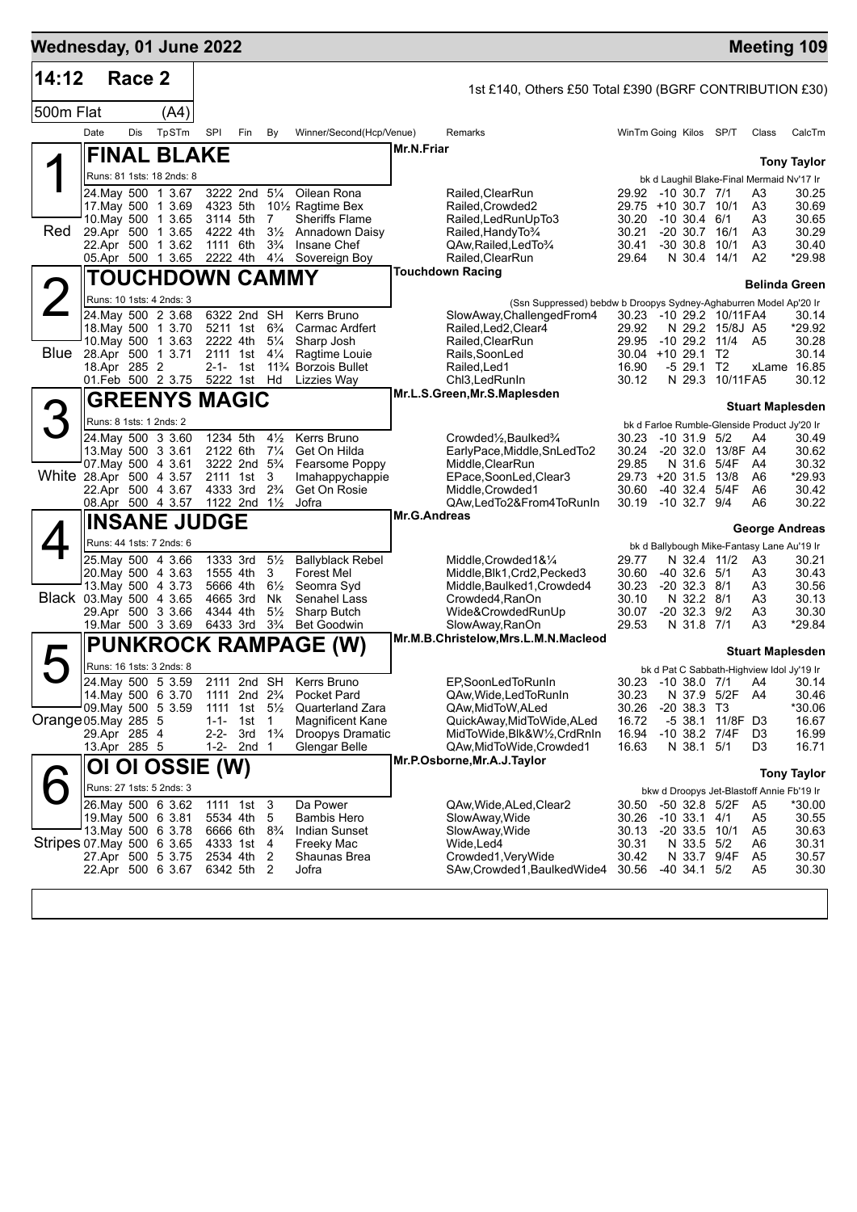| Wednesday, 01 June 2022   |                         |        |                                                |                      |                                        |                                  |                                               |              |                                                                                                  |                |                                                                          |          | <b>Meeting 109</b>      |                    |
|---------------------------|-------------------------|--------|------------------------------------------------|----------------------|----------------------------------------|----------------------------------|-----------------------------------------------|--------------|--------------------------------------------------------------------------------------------------|----------------|--------------------------------------------------------------------------|----------|-------------------------|--------------------|
| 14:12                     |                         | Race 2 |                                                |                      |                                        |                                  |                                               |              | 1st £140, Others £50 Total £390 (BGRF CONTRIBUTION £30)                                          |                |                                                                          |          |                         |                    |
| 500m Flat                 |                         |        | (A4)                                           |                      |                                        |                                  |                                               |              |                                                                                                  |                |                                                                          |          |                         |                    |
|                           | Date                    | Dis    | TpSTm                                          | SPI                  | Fin                                    | By                               | Winner/Second(Hcp/Venue)                      |              | Remarks                                                                                          |                | WinTm Going Kilos SP/T                                                   |          | Class                   | CalcTm             |
|                           |                         |        | <b>FINAL BLAKE</b>                             |                      |                                        |                                  |                                               | Mr.N.Friar   |                                                                                                  |                |                                                                          |          |                         |                    |
|                           |                         |        | Runs: 81 1sts: 18 2nds: 8                      |                      |                                        |                                  |                                               |              |                                                                                                  |                | bk d Laughil Blake-Final Mermaid Nv'17 Ir                                |          |                         | <b>Tony Taylor</b> |
|                           |                         |        | 24. May 500 1 3.67                             |                      | 3222 2nd 51/4                          |                                  | Oilean Rona                                   |              | Railed, Clear Run                                                                                |                | 29.92 -10 30.7 7/1                                                       |          | A3                      | 30.25              |
|                           |                         |        | 17. May 500 1 3.69                             | 4323 5th             |                                        |                                  | 10 <sup>1</sup> / <sub>2</sub> Ragtime Bex    |              | Railed, Crowded2                                                                                 | 30.20          | 29.75 +10 30.7 10/1                                                      |          | A3                      | 30.69              |
| Red                       |                         |        | 10. May 500 1 3.65<br>29.Apr 500 1 3.65        | 3114 5th<br>4222 4th |                                        | 7<br>$3\frac{1}{2}$              | <b>Sheriffs Flame</b><br>Annadown Daisy       |              | Railed, Led Run Up To 3<br>Railed, Handy To 3/4                                                  | 30.21          | $-10,30.4,6/1$<br>$-20$ 30.7 16/1                                        |          | A3<br>A <sub>3</sub>    | 30.65<br>30.29     |
|                           |                         |        | 22.Apr 500 1 3.62                              | 1111 6th             |                                        | $3\frac{3}{4}$                   | Insane Chef                                   |              | QAw, Railed, Led To 3/4                                                                          | 30.41          | $-30, 30.8$                                                              | 10/1     | A <sub>3</sub>          | 30.40              |
|                           |                         |        | 05.Apr 500 1 3.65                              | 2222 4th             |                                        | $4\frac{1}{4}$                   | Sovereign Boy                                 |              | Railed, ClearRun<br><b>Touchdown Racing</b>                                                      | 29.64          | N 30.4 14/1                                                              |          | A <sub>2</sub>          | *29.98             |
|                           |                         |        | TOUCHDOWN CAMMY                                |                      |                                        |                                  |                                               |              |                                                                                                  |                |                                                                          |          | <b>Belinda Green</b>    |                    |
|                           |                         |        | Runs: 10 1sts: 4 2nds: 3<br>24. May 500 2 3.68 |                      | 6322 2nd SH                            |                                  | Kerrs Bruno                                   |              | (Ssn Suppressed) bebdw b Droopys Sydney-Aghaburren Model Ap'20 Ir<br>SlowAway, Challenged From 4 |                | 30.23 -10 29.2 10/11FA4                                                  |          |                         | 30.14              |
|                           |                         |        | 18. May 500 1 3.70                             |                      | 5211 1st 6 <sup>3</sup> / <sub>4</sub> |                                  | Carmac Ardfert                                |              | Railed, Led2, Clear4                                                                             | 29.92          | N 29.2 15/8J A5                                                          |          |                         | *29.92             |
| Blue                      |                         |        | 10. May 500 1 3.63<br>28.Apr 500 1 3.71        | 2222 4th<br>2111 1st |                                        | $5\frac{1}{4}$<br>$4\frac{1}{4}$ | Sharp Josh<br>Ragtime Louie                   |              | Railed, ClearRun<br>Rails, SoonLed                                                               | 29.95          | $-10$ 29.2 $11/4$<br>30.04 +10 29.1 T2                                   |          | A5                      | 30.28<br>30.14     |
|                           | 18.Apr 285 2            |        |                                                | 2-1- 1st             |                                        |                                  | 11 <sup>3</sup> / <sub>4</sub> Borzois Bullet |              | Railed, Led1                                                                                     | 16.90          | $-529.1$ T2                                                              |          |                         | xLame 16.85        |
|                           |                         |        | 01.Feb 500 2 3.75                              |                      | 5222 1st Hd                            |                                  | Lizzies Way                                   |              | Chl3, Led RunIn                                                                                  | 30.12          | N 29.3 10/11FA5                                                          |          |                         | 30.12              |
|                           |                         |        | <b>GREENYS MAGIC</b>                           |                      |                                        |                                  |                                               |              | Mr.L.S.Green, Mr.S.Maplesden                                                                     |                |                                                                          |          | <b>Stuart Maplesden</b> |                    |
| 3                         | Runs: 8 1sts: 1 2nds: 2 |        |                                                |                      |                                        |                                  |                                               |              |                                                                                                  |                | bk d Farloe Rumble-Glenside Product Jy'20 Ir                             |          |                         |                    |
|                           |                         |        | 24. May 500 3 3.60<br>13. May 500 3 3.61       | 1234 5th<br>2122 6th |                                        | $4\frac{1}{2}$<br>$7\frac{1}{4}$ | Kerrs Bruno                                   |              | Crowded1/2, Baulked3/4                                                                           | 30.23<br>30.24 | $-10$ 31.9 $5/2$<br>$-20, 32.0$                                          | 13/8F A4 | A4                      | 30.49<br>30.62     |
|                           |                         |        | 07 May 500 4 3.61                              |                      | 3222 2nd 5 <sup>3</sup> / <sub>4</sub> |                                  | Get On Hilda<br>Fearsome Poppy                |              | EarlyPace,Middle,SnLedTo2<br>Middle,ClearRun                                                     | 29.85          | N 31.6                                                                   | 5/4F     | A4                      | 30.32              |
| White 28.Apr 500 4 3.57   |                         |        |                                                | 2111 1st             |                                        | 3                                | Imahappychappie                               |              | EPace,SoonLed,Clear3                                                                             |                | 29.73 +20 31.5                                                           | 13/8     | A6                      | *29.93             |
|                           |                         |        | 22.Apr 500 4 3.67<br>08.Apr 500 4 3.57         | 4333 3rd             | 1122 2nd 11/2                          | $2\frac{3}{4}$                   | Get On Rosie<br>Jofra                         |              | Middle, Crowded1<br>QAw,LedTo2&From4ToRunIn                                                      | 30.60<br>30.19 | $-40$ 32.4<br>-10 32.7 9/4                                               | 5/4F     | A6<br>A6                | 30.42<br>30.22     |
|                           |                         |        | <b>INSANE JUDGE</b>                            |                      |                                        |                                  |                                               | Mr.G.Andreas |                                                                                                  |                |                                                                          |          |                         |                    |
|                           |                         |        | Runs: 44 1sts: 7 2nds: 6                       |                      |                                        |                                  |                                               |              |                                                                                                  |                | bk d Ballybough Mike-Fantasy Lane Au'19 Ir                               |          | George Andreas          |                    |
|                           |                         |        | 25. May 500 4 3.66                             | 1333 3rd             |                                        | $5\frac{1}{2}$                   | <b>Ballyblack Rebel</b>                       |              | Middle, Crowded 1&1/4                                                                            | 29.77          | N 32.4 11/2                                                              |          | A3                      | 30.21              |
|                           |                         |        | 20. May 500 4 3.63<br>13. May 500 4 3.73       | 1555 4th<br>5666 4th |                                        | 3<br>$6\frac{1}{2}$              | Forest Mel<br>Seomra Syd                      |              | Middle, Blk1, Crd2, Pecked3<br>Middle, Baulked1, Crowded4                                        | 30.60<br>30.23 | -40 32.6<br>$-20$ 32.3 $8/1$                                             | 5/1      | A3<br>A3                | 30.43<br>30.56     |
| Black 03. May 500 4 3.65  |                         |        |                                                | 4665 3rd             |                                        | Nk                               | Senahel Lass                                  |              | Crowded4, RanOn                                                                                  | 30.10          | N 32.2 8/1                                                               |          | A3                      | 30.13              |
|                           |                         |        | 29.Apr 500 3 3.66<br>19. Mar 500 3 3.69        | 4344 4th<br>6433 3rd |                                        | $5\frac{1}{2}$<br>$3\frac{3}{4}$ | Sharp Butch<br><b>Bet Goodwin</b>             |              | Wide&CrowdedRunUp<br>SlowAway, RanOn                                                             | 30.07<br>29.53 | $-20$ 32.3 $9/2$<br>N 31.8 7/1                                           |          | A3<br>A3                | 30.30<br>*29.84    |
|                           |                         |        | <b>PUNKROCK RAMPAGE</b>                        |                      |                                        |                                  |                                               |              | Mr.M.B.Christelow, Mrs.L.M.N.Macleod                                                             |                |                                                                          |          |                         |                    |
| $\blacktriangleright$     |                         |        |                                                |                      |                                        |                                  | (W)                                           |              |                                                                                                  |                |                                                                          |          | <b>Stuart Maplesden</b> |                    |
|                           |                         |        | Runs: 16 1sts: 3 2nds: 8<br>24. May 500 5 3.59 |                      |                                        |                                  | 2111 2nd SH Kerrs Bruno                       |              | EP,SoonLedToRunIn                                                                                |                | bk d Pat C Sabbath-Highview Idol Jy'19 Ir<br>30.23 -10 38.0  7/1      A4 |          |                         | 30.14              |
|                           |                         |        | 14. May 500 6 3.70                             | 1111                 | 2nd $2\frac{3}{4}$                     |                                  | Pocket Pard                                   |              | QAw, Wide, Led To Run In                                                                         | 30.23          | N 37.9 5/2F                                                              |          | - A4                    | 30.46              |
| Orange 05.May 285 5       |                         |        | 09. May 500 5 3.59                             | 1111<br>$1 - 1 -$    | 1st $5\frac{1}{2}$<br>1st              | -1                               | Quarterland Zara<br><b>Magnificent Kane</b>   |              | QAw, MidToW, ALed<br>QuickAway, MidToWide, ALed                                                  | 30.26<br>16.72 | $-20$ 38.3 T3<br>$-5, 38.1$                                              | 11/8F D3 |                         | *30.06<br>16.67    |
|                           | 29.Apr 285 4            |        |                                                | $2 - 2 -$            | $3rd \frac{1\frac{3}{4}}{4}$           |                                  | Droopys Dramatic                              |              | MidToWide, Blk&W1/2, CrdRnIn                                                                     | 16.94          | -10 38.2 7/4F                                                            |          | D3                      | 16.99              |
|                           | 13.Apr 285 5            |        |                                                | 1-2-                 | 2nd <sub>1</sub>                       |                                  | Glengar Belle                                 |              | QAw,MidToWide,Crowded1<br>Mr.P.Osborne, Mr.A.J.Taylor                                            | 16.63          | N 38.1 5/1                                                               |          | D3                      | 16.71              |
|                           | OI                      |        | OI OSSIE (W)                                   |                      |                                        |                                  |                                               |              |                                                                                                  |                |                                                                          |          |                         | <b>Tony Taylor</b> |
|                           |                         |        | Runs: 27 1sts: 5 2nds: 3                       |                      |                                        |                                  |                                               |              |                                                                                                  |                | bkw d Droopys Jet-Blastoff Annie Fb'19 Ir                                |          |                         |                    |
|                           |                         |        | 26. May 500 6 3.62<br>19. May 500 6 3.81       | 1111 1st<br>5534 4th |                                        | 3<br>5                           | Da Power<br>Bambis Hero                       |              | QAw, Wide, ALed, Clear2<br>SlowAway, Wide                                                        | 30.50<br>30.26 | -50 32.8 5/2F<br>$-10, 33.1$                                             | 4/1      | A5<br>A5                | *30.00<br>30.55    |
|                           |                         |        | 13 May 500 6 3.78                              | 6666 6th             |                                        | $8\frac{3}{4}$                   | Indian Sunset                                 |              | SlowAway, Wide                                                                                   | 30.13          | $-20$ 33.5 10/1                                                          |          | A5                      | 30.63              |
| Stripes 07 May 500 6 3.65 |                         |        | 27.Apr 500 5 3.75                              | 4333 1st<br>2534 4th |                                        | 4<br>2                           | Freeky Mac<br>Shaunas Brea                    |              | Wide,Led4<br>Crowded1, VeryWide                                                                  | 30.31<br>30.42 | N 33.5<br>N 33.7 9/4F                                                    | 5/2      | A6<br>A <sub>5</sub>    | 30.31<br>30.57     |
|                           |                         |        | 22.Apr 500 6 3.67                              | 6342 5th             |                                        | 2                                | Jofra                                         |              | SAw,Crowded1,BaulkedWide4                                                                        | 30.56          | -40 34.1                                                                 | 5/2      | A5                      | 30.30              |
|                           |                         |        |                                                |                      |                                        |                                  |                                               |              |                                                                                                  |                |                                                                          |          |                         |                    |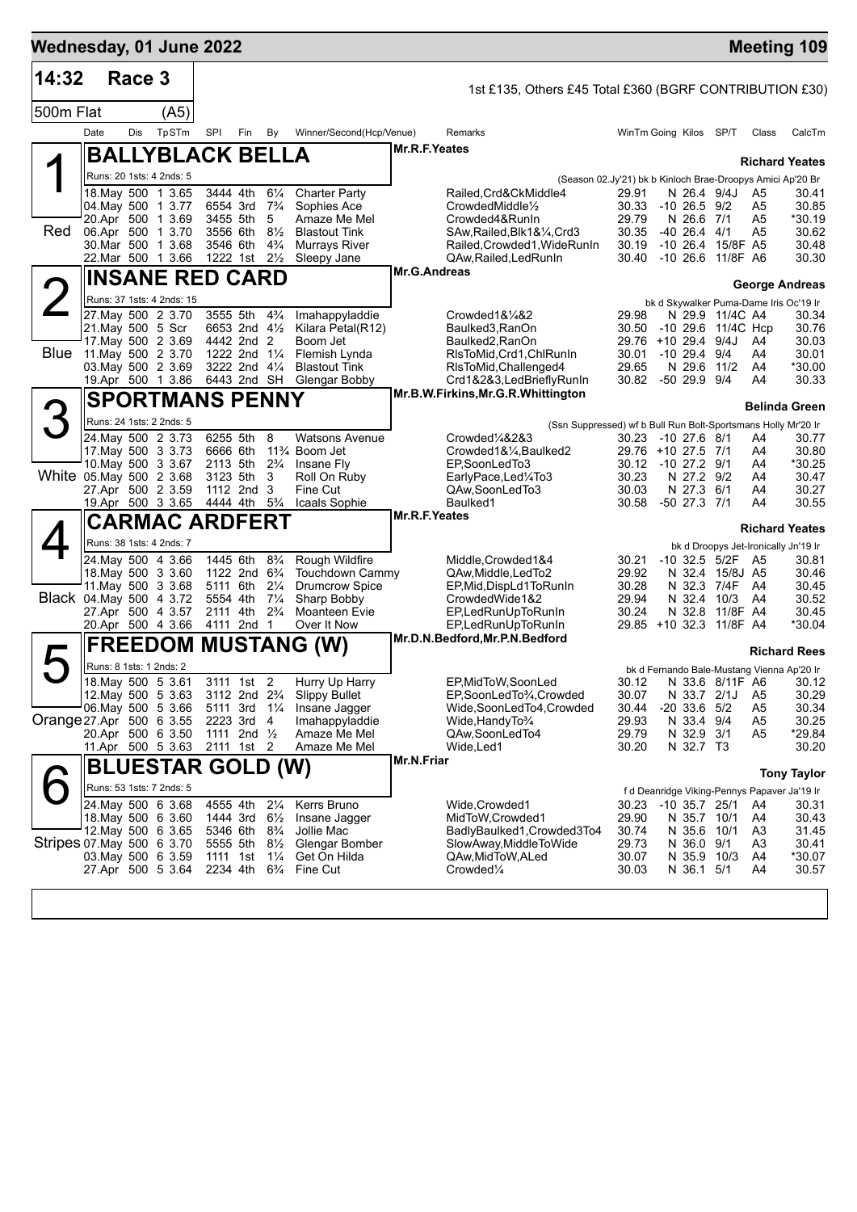| Wednesday, 01 June 2022   |                                              |        |                          |                                        |                                                    |                                  |                                                                  |               |                                                                       |                                          |                                |                                        |                                  | <b>Meeting 109</b>                                  |
|---------------------------|----------------------------------------------|--------|--------------------------|----------------------------------------|----------------------------------------------------|----------------------------------|------------------------------------------------------------------|---------------|-----------------------------------------------------------------------|------------------------------------------|--------------------------------|----------------------------------------|----------------------------------|-----------------------------------------------------|
| 14:32                     |                                              | Race 3 |                          |                                        |                                                    |                                  |                                                                  |               | 1st £135, Others £45 Total £360 (BGRF CONTRIBUTION £30)               |                                          |                                |                                        |                                  |                                                     |
| 500m Flat                 |                                              |        | (A5)                     |                                        |                                                    |                                  |                                                                  |               |                                                                       |                                          |                                |                                        |                                  |                                                     |
|                           | Date                                         | Dis    | TpSTm                    | SPI                                    | Fin                                                | By                               | Winner/Second(Hcp/Venue)                                         |               | Remarks                                                               | WinTm Going Kilos SP/T                   |                                |                                        | Class                            | CalcTm                                              |
|                           |                                              |        | <b>BALLYBLACK BELLA</b>  |                                        |                                                    |                                  |                                                                  | Mr.R.F.Yeates |                                                                       |                                          |                                |                                        |                                  |                                                     |
|                           | Runs: 20 1sts: 4 2nds: 5                     |        |                          |                                        |                                                    |                                  |                                                                  |               | (Season 02.Jy'21) bk b Kinloch Brae-Droopys Amici Ap'20 Br            |                                          |                                |                                        |                                  | <b>Richard Yeates</b>                               |
|                           | 18. May 500 1 3.65                           |        |                          |                                        | 3444 4th                                           | $6\frac{1}{4}$                   | <b>Charter Party</b>                                             |               | Railed, Crd&CkMiddle4                                                 | 29.91                                    |                                | N 26.4 9/4J                            | A5                               | 30.41                                               |
|                           | 04. May 500 1 3.77<br>20.Apr 500 1 3.69      |        |                          | 3455 5th                               | 6554 3rd 7 <sup>3</sup> / <sub>4</sub>             | 5                                | Sophies Ace<br>Amaze Me Mel                                      |               | CrowdedMiddle <sup>1/2</sup><br>Crowded4&RunIn                        | 30.33<br>29.79                           | -10 26.5 9/2<br>N 26.6 7/1     |                                        | A5<br>A5                         | 30.85<br>*30.19                                     |
| Red                       | 06.Apr 500 1 3.70                            |        |                          | 3556 6th                               |                                                    | $8\frac{1}{2}$                   | <b>Blastout Tink</b>                                             |               | SAw, Railed, Blk1&1/4, Crd3                                           | 30.35                                    | $-40$ 26.4 $4/1$               |                                        | A5                               | 30.62                                               |
|                           | 30. Mar 500 1 3.68<br>22.Mar 500 1 3.66      |        |                          | 3546 6th                               | 1222 1st $2\frac{1}{2}$                            | $4\frac{3}{4}$                   | <b>Murrays River</b><br>Sleepy Jane                              |               | Railed, Crowded1, WideRunIn<br>QAw, Railed, Led RunIn                 | 30.19<br>30.40                           |                                | -10 26.4 15/8F A5<br>-10 26.6 11/8F A6 |                                  | 30.48<br>30.30                                      |
|                           | <b>INSANE RED CARD</b>                       |        |                          |                                        |                                                    |                                  |                                                                  | Mr.G.Andreas  |                                                                       |                                          |                                |                                        |                                  |                                                     |
|                           | Runs: 37 1sts: 4 2nds: 15                    |        |                          |                                        |                                                    |                                  |                                                                  |               |                                                                       |                                          |                                |                                        |                                  | <b>George Andreas</b>                               |
|                           | 27. May 500 2 3.70                           |        |                          | 3555 5th                               |                                                    | $4\frac{3}{4}$                   | Imahappyladdie                                                   |               | Crowded1&1/4&2                                                        | 29.98                                    |                                | N 29.9 11/4C A4                        |                                  | bk d Skywalker Puma-Dame Iris Oc'19 Ir<br>30.34     |
|                           | 21. May 500 5 Scr                            |        |                          |                                        | 6653 2nd 41/2                                      |                                  | Kilara Petal(R12)                                                |               | Baulked3, RanOn                                                       | 30.50                                    |                                | -10 29.6 11/4C Hcp                     |                                  | 30.76                                               |
|                           | 17. May 500 2 3.69<br>Blue 11 May 500 2 3.70 |        |                          | 4442 2nd 2                             | 1222 2nd 11/4                                      |                                  | Boom Jet<br>Flemish Lynda                                        |               | Baulked2, RanOn<br>RIsToMid, Crd1, ChlRunIn                           | 29.76 +10 29.4 9/4J<br>30.01             | $-10$ 29.4 9/4                 |                                        | A4<br>A4                         | 30.03<br>30.01                                      |
|                           | 03. May 500 2 3.69                           |        |                          |                                        | 3222 2nd 41/4                                      |                                  | <b>Blastout Tink</b>                                             |               | RIsToMid, Challenged4                                                 | 29.65                                    | N 29.6 11/2                    |                                        | A4                               | *30.00                                              |
|                           | 19.Apr 500 1 3.86                            |        |                          | 6443 2nd SH                            |                                                    |                                  | Glengar Bobby                                                    |               | Crd1&2&3,LedBrieflyRunIn<br>Mr.B.W.Firkins, Mr.G.R. Whittington       | 30.82 -50 29.9 9/4                       |                                |                                        | A4                               | 30.33                                               |
|                           |                                              |        | <b>SPORTMANS PENNY</b>   |                                        |                                                    |                                  |                                                                  |               |                                                                       |                                          |                                |                                        |                                  | <b>Belinda Green</b>                                |
| 3                         | Runs: 24 1sts: 2 2nds: 5                     |        |                          |                                        |                                                    |                                  |                                                                  |               | (Ssn Suppressed) wf b Bull Run Bolt-Sportsmans Holly Mr'20 Ir         |                                          |                                |                                        |                                  |                                                     |
|                           | 24. May 500 2 3.73<br>17. May 500 3 3.73     |        |                          | 6255 5th<br>6666 6th                   |                                                    | 8                                | <b>Watsons Avenue</b><br>11 <sup>3</sup> / <sub>4</sub> Boom Jet |               | Crowded <sup>1</sup> /4&2&3<br>Crowded1&1/4, Baulked2                 | 30.23 -10 27.6 8/1<br>29.76 +10 27.5 7/1 |                                |                                        | A4<br>A4                         | 30.77<br>30.80                                      |
|                           | 10. May 500 3 3.67                           |        |                          |                                        | 2113 5th 2 <sup>3</sup> / <sub>4</sub>             |                                  | Insane Fly                                                       |               | EP,SoonLedTo3                                                         | 30.12 -10 27.2 9/1                       |                                |                                        | A4                               | *30.25                                              |
| White 05.May 500 2 3.68   | 27.Apr 500 2 3.59                            |        |                          | 3123 5th                               | 1112 2nd 3                                         | 3                                | Roll On Ruby<br>Fine Cut                                         |               | EarlyPace,Led¼To3<br>QAw,SoonLedTo3                                   | 30.23<br>30.03                           | N 27.2 9/2<br>N 27.3 6/1       |                                        | A4<br>A4                         | 30.47<br>30.27                                      |
|                           | 19.Apr 500 3 3.65                            |        |                          |                                        | 4444 4th                                           | $5\frac{3}{4}$                   | Icaals Sophie                                                    |               | Baulked1                                                              | 30.58                                    | -50 27.3 7/1                   |                                        | A4                               | 30.55                                               |
|                           |                                              |        | <b>CARMAC ARDFERT</b>    |                                        |                                                    |                                  |                                                                  | Mr.R.F.Yeates |                                                                       |                                          |                                |                                        |                                  | <b>Richard Yeates</b>                               |
|                           | Runs: 38 1sts: 4 2nds: 7                     |        |                          |                                        |                                                    |                                  |                                                                  |               |                                                                       |                                          |                                |                                        |                                  | bk d Droopys Jet-Ironically Jn'19 Ir                |
|                           | 24. May 500 4 3.66                           |        |                          |                                        | 1445 6th                                           | $8\frac{3}{4}$                   | Rough Wildfire                                                   |               | Middle, Crowded 1&4                                                   | 30.21                                    |                                | -10 32.5 5/2F A5                       |                                  | 30.81                                               |
|                           | 18. May 500 3 3.60<br>11. May 500 3 3.68     |        |                          |                                        | 1122 2nd 6 <sup>3</sup> / <sub>4</sub><br>5111 6th | $2\frac{1}{4}$                   | Touchdown Cammy<br><b>Drumcrow Spice</b>                         |               | QAw, Middle, Led To 2<br>EP, Mid, DispLd1To RunIn                     | 29.92<br>30.28                           |                                | N 32.4 15/8J A5<br>N 32.3 7/4F A4      |                                  | 30.46<br>30.45                                      |
| Black 04. May 500 4 3.72  |                                              |        |                          | 5554 4th                               |                                                    | $7\frac{1}{4}$                   | Sharp Bobby                                                      |               | CrowdedWide1&2                                                        | 29.94                                    |                                | N 32.4 10/3                            | A4                               | 30.52                                               |
|                           | 27.Apr 500 4 3.57<br>20.Apr 500 4 3.66       |        |                          | 2111 4th                               | 4111 2nd 1                                         | $2\frac{3}{4}$                   | <b>Moanteen Evie</b><br>Over It Now                              |               | EP, Led Run Up To Run In<br>EP.LedRunUpToRunIn                        | 30.24<br>29.85 +10 32.3 11/8F A4         |                                | N 32.8 11/8F A4                        |                                  | 30.45<br>*30.04                                     |
|                           |                                              |        |                          |                                        |                                                    |                                  | <b>FREEDOM MUSTANG (W)</b>                                       |               | Mr.D.N.Bedford, Mr.P.N.Bedford                                        |                                          |                                |                                        |                                  |                                                     |
|                           | Runs: 8 1sts: 1 2nds: 2                      |        |                          |                                        |                                                    |                                  |                                                                  |               |                                                                       |                                          |                                |                                        |                                  | <b>Richard Rees</b>                                 |
|                           | 18. May 500 5 3.61                           |        |                          |                                        | 3111 1st                                           | 2                                | Hurry Up Harry                                                   |               | EP, MidToW, SoonLed                                                   | 30.12                                    |                                | N 33.6 8/11F A6                        |                                  | bk d Fernando Bale-Mustang Vienna Ap'20 Ir<br>30.12 |
|                           | 12. May 500 5 3.63                           |        |                          | 3112 2nd 2 <sup>3</sup> / <sub>4</sub> |                                                    |                                  | <b>Slippy Bullet</b>                                             |               | EP,SoonLedTo3⁄4,Crowded                                               | 30.07                                    | N 33.7 2/1J                    |                                        | A <sub>5</sub>                   | 30.29                                               |
| Orange 27 Apr 500 6 3.55  | 06. May 500 5 3.66                           |        |                          |                                        | 5111 3rd 11/4<br>2223 3rd 4                        |                                  | Insane Jagger<br>Imahappyladdie                                  |               | Wide,SoonLedTo4,Crowded<br>Wide, Handy To <sup>3</sup> / <sub>4</sub> | 30.44<br>29.93                           | $-20$ 33.6 $5/2$<br>N 33.4 9/4 |                                        | A <sub>5</sub><br>A <sub>5</sub> | 30.34<br>30.25                                      |
|                           | 20.Apr 500 6 3.50                            |        |                          |                                        | 1111 2nd 1/2                                       |                                  | Amaze Me Mel                                                     |               | QAw,SoonLedTo4                                                        | 29.79                                    | N 32.9 3/1                     |                                        | A <sub>5</sub>                   | *29.84                                              |
|                           | 11.Apr 500 5 3.63                            |        |                          |                                        | 2111 1st 2                                         |                                  | Amaze Me Mel                                                     | Mr.N.Friar    | Wide,Led1                                                             | 30.20                                    | N 32.7 T3                      |                                        |                                  | 30.20                                               |
|                           |                                              |        | <b>BLUESTAR GOLD (W)</b> |                                        |                                                    |                                  |                                                                  |               |                                                                       |                                          |                                |                                        |                                  | <b>Tony Taylor</b>                                  |
|                           | Runs: 53 1sts: 7 2nds: 5                     |        |                          |                                        |                                                    |                                  |                                                                  |               |                                                                       |                                          |                                |                                        |                                  | f d Deanridge Viking-Pennys Papaver Ja'19 Ir        |
|                           | 24. May 500 6 3.68<br>18. May 500 6 3.60     |        |                          | 4555 4th<br>1444 3rd                   |                                                    | $2\frac{1}{4}$<br>$6\frac{1}{2}$ | Kerrs Bruno<br>Insane Jagger                                     |               | Wide, Crowded1<br>MidToW, Crowded1                                    | 30.23<br>29.90                           | $-10$ 35.7 25/1<br>N 35.7 10/1 |                                        | A4<br>A4                         | 30.31<br>30.43                                      |
|                           | 12. May 500 6 3.65                           |        |                          | 5346 6th                               |                                                    | $8\frac{3}{4}$                   | Jollie Mac                                                       |               | BadlyBaulked1, Crowded3To4                                            | 30.74                                    | N 35.6 10/1                    |                                        | A3                               | 31.45                                               |
| Stripes 07 May 500 6 3.70 | 03. May 500 6 3.59                           |        |                          | 5555 5th<br>1111 1st                   |                                                    | $8\frac{1}{2}$<br>$1\frac{1}{4}$ | Glengar Bomber<br>Get On Hilda                                   |               | SlowAway, MiddleToWide<br>QAw,MidToW,ALed                             | 29.73<br>30.07                           | N 36.0 9/1<br>N 35.9 10/3      |                                        | A <sub>3</sub><br>A4             | 30.41<br>*30.07                                     |
|                           | 27.Apr 500 5 3.64                            |        |                          | 2234 4th                               |                                                    | $6\frac{3}{4}$                   | Fine Cut                                                         |               | Crowded <sup>1/4</sup>                                                | 30.03                                    | N 36.1 5/1                     |                                        | A4                               | 30.57                                               |
|                           |                                              |        |                          |                                        |                                                    |                                  |                                                                  |               |                                                                       |                                          |                                |                                        |                                  |                                                     |
|                           |                                              |        |                          |                                        |                                                    |                                  |                                                                  |               |                                                                       |                                          |                                |                                        |                                  |                                                     |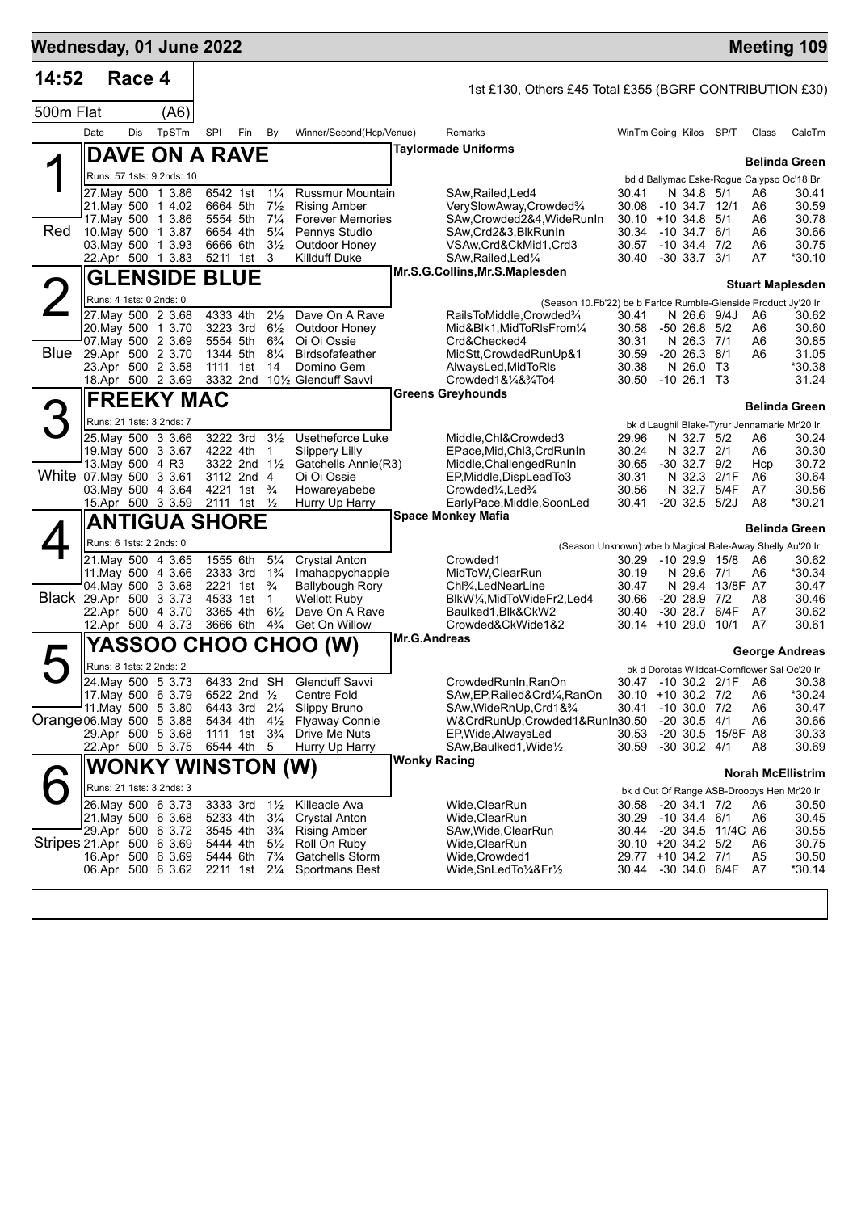| Wednesday, 01 June 2022   |      |        |                                          |     |                                                  |                                  |                                                |                                                                                                     |                                          |                                      |                        |                      | <b>Meeting 109</b>                           |
|---------------------------|------|--------|------------------------------------------|-----|--------------------------------------------------|----------------------------------|------------------------------------------------|-----------------------------------------------------------------------------------------------------|------------------------------------------|--------------------------------------|------------------------|----------------------|----------------------------------------------|
| 14:52                     |      | Race 4 |                                          |     |                                                  |                                  |                                                | 1st £130, Others £45 Total £355 (BGRF CONTRIBUTION £30)                                             |                                          |                                      |                        |                      |                                              |
| 500m Flat                 |      |        | (A6)                                     |     |                                                  |                                  |                                                |                                                                                                     |                                          |                                      |                        |                      |                                              |
|                           | Date | Dis    | TpSTm                                    | SPI | Fin                                              | By                               | Winner/Second(Hcp/Venue)                       | Remarks                                                                                             | WinTm Going Kilos SP/T                   |                                      |                        | Class                | CalcTm                                       |
|                           |      |        | DAVE ON A RAVE                           |     |                                                  |                                  |                                                | <b>Taylormade Uniforms</b>                                                                          |                                          |                                      |                        |                      | <b>Belinda Green</b>                         |
|                           |      |        | Runs: 57 1sts: 9 2nds: 10                |     |                                                  |                                  |                                                |                                                                                                     |                                          |                                      |                        |                      | bd d Ballymac Eske-Rogue Calypso Oc'18 Br    |
|                           |      |        | 27. May 500 1 3.86                       |     | 6542 1st 11/4                                    |                                  | <b>Russmur Mountain</b>                        | SAw, Railed, Led4                                                                                   | 30.41                                    | N 34.8 5/1                           |                        | A6                   | 30.41                                        |
|                           |      |        | 21.May 500 1 4.02<br>17. May 500 1 3.86  |     | 6664 5th<br>5554 5th                             | $7\frac{1}{2}$<br>$7\frac{1}{4}$ | <b>Rising Amber</b><br><b>Forever Memories</b> | VerySlowAway,Crowded%<br>SAw,Crowded2&4,WideRunIn                                                   | 30.08<br>$30.10 + 10.34.8$ 5/1           | -10 34.7 12/1                        |                        | A6<br>A6             | 30.59<br>30.78                               |
| Red                       |      |        | 10. May 500 1 3.87                       |     | 6654 4th                                         | $5\frac{1}{4}$                   | Pennys Studio                                  | SAw, Crd2&3, BlkRunIn                                                                               | 30.34                                    | $-10, 34.7, 6/1$                     |                        | A6                   | 30.66                                        |
|                           |      |        | 03. May 500 1 3.93<br>22.Apr 500 1 3.83  |     | 6666 6th<br>5211 1st 3                           | $3\frac{1}{2}$                   | Outdoor Honey<br>Killduff Duke                 | VSAw, Crd&CkMid1, Crd3<br>SAw, Railed, Led <sup>1/4</sup>                                           | 30.57<br>30.40                           | -10 34.4 7/2<br>-30 33.7 3/1         |                        | A6<br>A7             | 30.75<br>*30.10                              |
|                           |      |        | <b>GLENSIDE BLUE</b>                     |     |                                                  |                                  |                                                | Mr.S.G.Collins, Mr.S.Maplesden                                                                      |                                          |                                      |                        |                      |                                              |
| 2                         |      |        | Runs: 4 1sts: 0 2nds: 0                  |     |                                                  |                                  |                                                |                                                                                                     |                                          |                                      |                        |                      | <b>Stuart Maplesden</b>                      |
|                           |      |        | 27. May 500 2 3.68                       |     | 4333 4th                                         | $2\frac{1}{2}$                   | Dave On A Rave                                 | (Season 10.Fb'22) be b Farloe Rumble-Glenside Product Jy'20 Ir<br>RailsToMiddle,Crowded%            | 30.41                                    | N 26.6 9/4J                          |                        | A6                   | 30.62                                        |
|                           |      |        | 20. May 500 1 3.70                       |     | 3223 3rd                                         | $6\frac{1}{2}$                   | Outdoor Honey                                  | Mid&Blk1, MidToRIsFrom1/4                                                                           | 30.58                                    | $-50$ 26.8 $5/2$                     |                        | A6                   | 30.60                                        |
| Blue                      |      |        | 07 May 500 2 3.69<br>29.Apr 500 2 3.70   |     | 5554 5th<br>1344 5th                             | $6\frac{3}{4}$<br>$8\frac{1}{4}$ | Oi Oi Ossie<br>Birdsofafeather                 | Crd&Checked4<br>MidStt, Crowded RunUp&1                                                             | 30.31<br>30.59                           | N 26.3 7/1<br>$-20$ 26.3 $8/1$       |                        | A6<br>A6             | 30.85<br>31.05                               |
|                           |      |        | 23.Apr 500 2 3.58                        |     | 1111 1st                                         | 14                               | Domino Gem                                     | AlwaysLed, MidToRIs                                                                                 | 30.38                                    | N 26.0 T3                            |                        |                      | *30.38                                       |
|                           |      |        | 18.Apr 500 2 3.69                        |     |                                                  |                                  | 3332 2nd 101/2 Glenduff Savvi                  | $Crowded1&\frac{1}{4}&\frac{3}{4}To4$                                                               | 30.50 -10 26.1 T3                        |                                      |                        |                      | 31.24                                        |
|                           |      |        | <b>FREEKY MAC</b>                        |     |                                                  |                                  |                                                | <b>Greens Greyhounds</b>                                                                            |                                          |                                      |                        |                      | <b>Belinda Green</b>                         |
| 3                         |      |        | Runs: 21 1sts: 3 2nds: 7                 |     |                                                  |                                  |                                                |                                                                                                     |                                          |                                      |                        |                      | bk d Laughil Blake-Tyrur Jennamarie Mr'20 Ir |
|                           |      |        | 25. May 500 3 3.66                       |     | 3222 3rd                                         | $3\frac{1}{2}$                   | Usetheforce Luke                               | Middle, Chl&Crowded3                                                                                | 29.96                                    | N 32.7 5/2                           |                        | A6                   | 30.24                                        |
|                           |      |        | 19. May 500 3 3.67<br>13. May 500 4 R3   |     | 4222 4th<br>3322 2nd 11/2                        | $\mathbf{1}$                     | <b>Slippery Lilly</b><br>Gatchells Annie(R3)   | EPace, Mid, Chl3, CrdRunIn<br>Middle, Challenged RunIn                                              | 30.24<br>30.65                           | N 32.7 2/1<br>$-30$ 32.7 $9/2$       |                        | A6<br>Hcp            | 30.30<br>30.72                               |
| White 07 May 500 3 3.61   |      |        |                                          |     | 3112 2nd 4                                       |                                  | Oi Oi Ossie                                    | EP, Middle, DispLead To 3                                                                           | 30.31                                    | N 32.3                               | 2/1F                   | A6                   | 30.64                                        |
|                           |      |        | 03. May 500 4 3.64<br>15.Apr 500 3 3.59  |     | 4221 1st $\frac{3}{4}$<br>2111 1st $\frac{1}{2}$ |                                  | Howareyabebe<br>Hurry Up Harry                 | Crowded <sup>1</sup> / <sub>4</sub> , Led <sup>3</sup> / <sub>4</sub><br>EarlyPace, Middle, SoonLed | 30.56<br>30.41                           | N 32.7 5/4F<br>$-20$ 32.5 $5/2J$     |                        | A7<br>A8             | 30.56<br>*30.21                              |
|                           |      |        | <b>ANTIGUA SHORE</b>                     |     |                                                  |                                  |                                                | <b>Space Monkey Mafia</b>                                                                           |                                          |                                      |                        |                      |                                              |
|                           |      |        | Runs: 6 1sts: 2 2nds: 0                  |     |                                                  |                                  |                                                |                                                                                                     |                                          |                                      |                        |                      | <b>Belinda Green</b>                         |
|                           |      |        | 21.May 500 4 3.65                        |     | 1555 6th                                         | $5\frac{1}{4}$                   | <b>Crystal Anton</b>                           | (Season Unknown) wbe b Magical Bale-Away Shelly Au'20 Ir<br>Crowded1                                | 30.29                                    |                                      | $-1029.915/8$          | A6                   | 30.62                                        |
|                           |      |        | 11. May 500 4 3.66                       |     | 2333 3rd                                         | $1\frac{3}{4}$                   | Imahappychappie                                | MidToW, ClearRun                                                                                    | 30.19                                    | N 29.6 7/1                           |                        | A6                   | *30.34                                       |
|                           |      |        | 04. May 500 3 3.68                       |     | 2221 1st                                         | $\frac{3}{4}$                    | <b>Ballybough Rory</b>                         | Chl <sup>3</sup> / <sub>4</sub> , LedNearLine                                                       | 30.47                                    |                                      | N 29.4 13/8F A7        |                      | 30.47                                        |
| Black 29.Apr 500 3 3.73   |      |        | 22.Apr 500 4 3.70                        |     | 4533 1st<br>3365 4th                             | $\mathbf{1}$<br>$6\frac{1}{2}$   | Wellott Ruby<br>Dave On A Rave                 | BlkW1/4, MidToWideFr2, Led4<br>Baulked1,Blk&CkW2                                                    | 30.66<br>30.40                           | $-20$ 28.9 $7/2$<br>-30 28.7 6/4F    |                        | A8<br>A7             | 30.46<br>30.62                               |
|                           |      |        | 12.Apr 500 4 3.73                        |     | 3666 6th                                         | $4\frac{3}{4}$                   | Get On Willow                                  | Crowded&CkWide1&2                                                                                   | 30.14 +10 29.0 10/1                      |                                      |                        | A7                   | 30.61                                        |
|                           |      |        |                                          |     |                                                  |                                  | <b>YASSOO CHOO CHOO (W)</b>                    | <b>Mr.G.Andreas</b>                                                                                 |                                          |                                      |                        |                      | George Andreas                               |
|                           |      |        | Runs: 8 1sts: 2 2nds: 2                  |     |                                                  |                                  |                                                |                                                                                                     |                                          |                                      |                        |                      | bk d Dorotas Wildcat-Cornflower Sal Oc'20 Ir |
|                           |      |        | 24. May 500 5 3.73                       |     |                                                  |                                  | 6433 2nd SH Glenduff Savvi                     | CrowdedRunIn, RanOn                                                                                 |                                          |                                      | 30.47 -10 30.2 2/1F A6 |                      | 30.38                                        |
|                           |      |        | 17 May 500 6 3.79<br>11. May 500 5 3.80  |     | 6522 2nd 1/2<br>6443 3rd 21/4                    |                                  | Centre Fold<br>Slippy Bruno                    | SAw, EP, Railed& Crd <sup>1</sup> / <sub>4</sub> , RanOn<br>SAw, WideRnUp, Crd1&3/4                 | 30.10 +10 30.2 7/2<br>30.41              | $-10$ 30.0 $7/2$                     |                        | A6<br>A6             | *30.24<br>30.47                              |
| Orange 06. May 500 5 3.88 |      |        |                                          |     | 5434 4th                                         | $4\frac{1}{2}$                   | <b>Flyaway Connie</b>                          | W&CrdRunUp,Crowded1&RunIn30.50                                                                      |                                          | $-20$ 30.5 $4/1$                     |                        | A6                   | 30.66                                        |
|                           |      |        | 29.Apr 500 5 3.68                        |     | 1111 1st 3 <sup>3</sup> / <sub>4</sub>           |                                  | Drive Me Nuts                                  | EP, Wide, Always Led<br>SAw, Baulked 1, Wide 1/2                                                    | 30.53                                    |                                      | -20 30.5 15/8F A8      |                      | 30.33                                        |
|                           |      |        | 22.Apr 500 5 3.75                        |     | 6544 4th                                         | - 5                              | Hurry Up Harry                                 | <b>Wonky Racing</b>                                                                                 | 30.59                                    | $-30$ 30.2 $4/1$                     |                        | A8                   | 30.69                                        |
|                           |      |        | <b>WONKY WINSTON (W)</b>                 |     |                                                  |                                  |                                                |                                                                                                     |                                          |                                      |                        |                      | <b>Norah McEllistrim</b>                     |
|                           |      |        | Runs: 21 1sts: 3 2nds: 3                 |     |                                                  |                                  |                                                |                                                                                                     |                                          |                                      |                        |                      | bk d Out Of Range ASB-Droopys Hen Mr'20 Ir   |
|                           |      |        | 26. May 500 6 3.73<br>21. May 500 6 3.68 |     | 3333 3rd<br>5233 4th                             | $1\frac{1}{2}$<br>$3\frac{1}{4}$ | Killeacle Ava<br>Crystal Anton                 | Wide, ClearRun<br>Wide,ClearRun                                                                     | 30.58<br>30.29                           | $-20$ 34.1 $7/2$<br>$-10$ 34.4 $6/1$ |                        | A6<br>A6             | 30.50<br>30.45                               |
|                           |      |        | 29.Apr 500 6 3.72                        |     | 3545 4th                                         | $3\frac{3}{4}$                   | <b>Rising Amber</b>                            | SAw, Wide, ClearRun                                                                                 | 30.44                                    |                                      | -20 34.5 11/4C A6      |                      | 30.55                                        |
| Stripes 21.Apr 500 6 3.69 |      |        | 16.Apr 500 6 3.69                        |     | 5444 4th<br>5444 6th                             | $5\frac{1}{2}$<br>$7\frac{3}{4}$ | Roll On Ruby<br>Gatchells Storm                | Wide,ClearRun<br>Wide, Crowded1                                                                     | 30.10 +20 34.2 5/2<br>29.77 +10 34.2 7/1 |                                      |                        | A6<br>A <sub>5</sub> | 30.75<br>30.50                               |
|                           |      |        | 06.Apr 500 6 3.62                        |     | 2211 1st 21/4                                    |                                  | Sportmans Best                                 | Wide,SnLedTo¼&Fr½                                                                                   | 30.44                                    | -30 34.0 6/4F                        |                        | A7                   | *30.14                                       |
|                           |      |        |                                          |     |                                                  |                                  |                                                |                                                                                                     |                                          |                                      |                        |                      |                                              |
|                           |      |        |                                          |     |                                                  |                                  |                                                |                                                                                                     |                                          |                                      |                        |                      |                                              |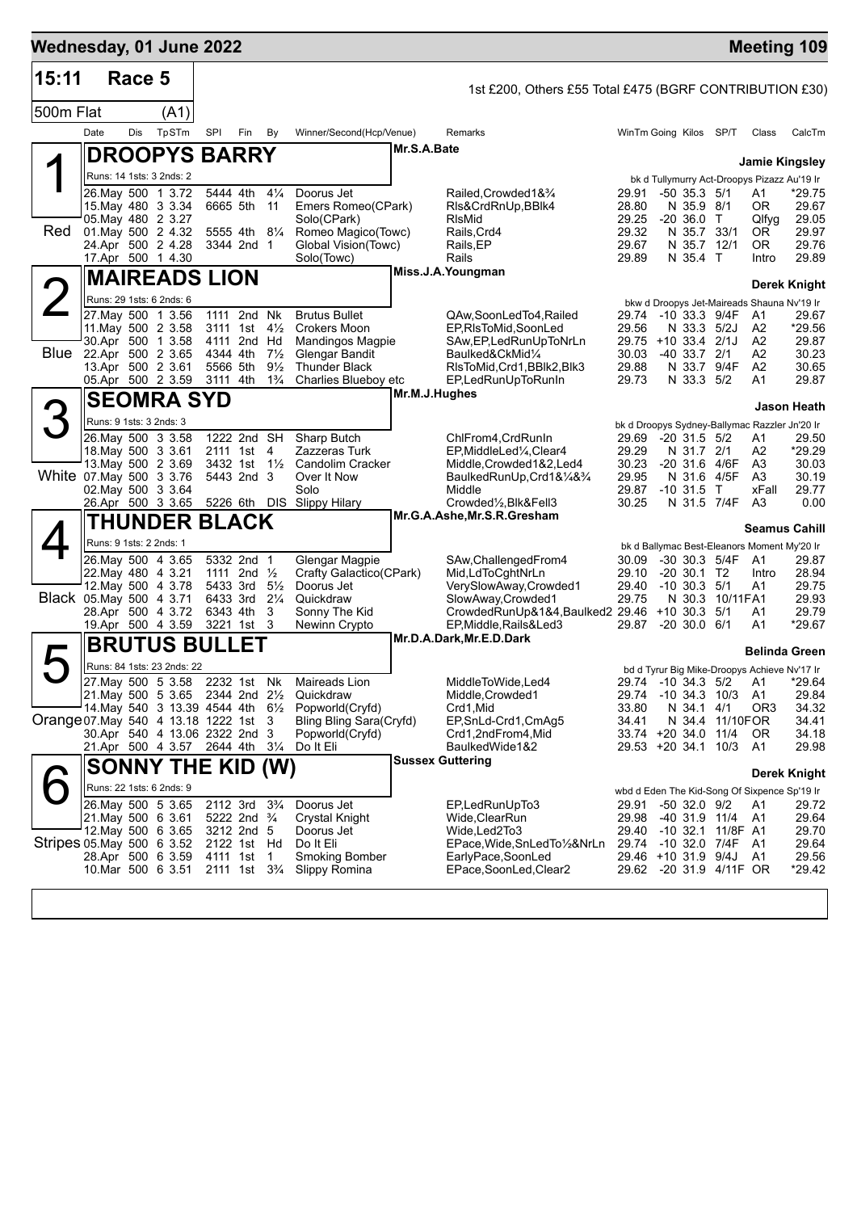| Wednesday, 01 June 2022               |                    |        |                                                                                                                                                  |            |                                                                                                                                     |                                       |                                                                                                                  |               |                                                                                                                                                                       |                                                                                |                                                                                          |                                                      |                                           | <b>Meeting 109</b>                                                                                  |
|---------------------------------------|--------------------|--------|--------------------------------------------------------------------------------------------------------------------------------------------------|------------|-------------------------------------------------------------------------------------------------------------------------------------|---------------------------------------|------------------------------------------------------------------------------------------------------------------|---------------|-----------------------------------------------------------------------------------------------------------------------------------------------------------------------|--------------------------------------------------------------------------------|------------------------------------------------------------------------------------------|------------------------------------------------------|-------------------------------------------|-----------------------------------------------------------------------------------------------------|
| 15:11                                 |                    | Race 5 |                                                                                                                                                  |            |                                                                                                                                     |                                       |                                                                                                                  |               | 1st £200, Others £55 Total £475 (BGRF CONTRIBUTION £30)                                                                                                               |                                                                                |                                                                                          |                                                      |                                           |                                                                                                     |
| 500m Flat                             |                    |        | (A1)                                                                                                                                             |            |                                                                                                                                     |                                       |                                                                                                                  |               |                                                                                                                                                                       |                                                                                |                                                                                          |                                                      |                                           |                                                                                                     |
|                                       | Date               | Dis    | TpSTm                                                                                                                                            | <b>SPI</b> | Fin                                                                                                                                 | By                                    | Winner/Second(Hcp/Venue)                                                                                         |               | Remarks                                                                                                                                                               | WinTm Going Kilos SP/T                                                         |                                                                                          |                                                      | Class                                     | CalcTm                                                                                              |
|                                       |                    |        | <b>DROOPYS BARRY</b>                                                                                                                             |            |                                                                                                                                     |                                       |                                                                                                                  | Mr.S.A.Bate   |                                                                                                                                                                       |                                                                                |                                                                                          |                                                      |                                           |                                                                                                     |
|                                       |                    |        | Runs: 14 1sts: 3 2nds: 2                                                                                                                         |            |                                                                                                                                     |                                       |                                                                                                                  |               |                                                                                                                                                                       |                                                                                |                                                                                          |                                                      |                                           | <b>Jamie Kingsley</b><br>bk d Tullymurry Act-Droopys Pizazz Au'19 Ir                                |
| Red                                   | 01. May 500 2 4.32 |        | 26. May 500 1 3.72<br>15 May 480 3 3 34<br>05. May 480 2 3.27<br>24.Apr 500 2 4.28<br>17.Apr 500 1 4.30                                          |            | 5444 4th<br>6665 5th 11<br>5555 4th 81/4<br>3344 2nd 1                                                                              | $4\frac{1}{4}$                        | Doorus Jet<br>Emers Romeo(CPark)<br>Solo(CPark)<br>Romeo Magico(Towc)<br>Global Vision(Towc)<br>Solo(Towc)       |               | Railed, Crowded 1& 3/4<br>RIs&CrdRnUp, BBIk4<br>RIsMid<br>Rails, Crd4<br>Rails,EP<br>Rails                                                                            | 29.91<br>28.80<br>29.25<br>29.32<br>29.67<br>29.89                             | $-50$ 35.3 $5/1$<br>N 35.9 8/1<br>$-20,36.0$ T<br>N 35.7 33/1<br>N 35.7 12/1<br>N 35.4 T |                                                      | A1<br>0R<br>Qlfyg<br>OR.<br>OR.<br>Intro  | *29.75<br>29.67<br>29.05<br>29.97<br>29.76<br>29.89                                                 |
|                                       |                    |        | <b>MAIREADS LION</b>                                                                                                                             |            |                                                                                                                                     |                                       |                                                                                                                  |               | Miss.J.A.Youngman                                                                                                                                                     |                                                                                |                                                                                          |                                                      |                                           | Derek Knight                                                                                        |
|                                       |                    |        | Runs: 29 1sts: 6 2nds: 6                                                                                                                         |            |                                                                                                                                     |                                       |                                                                                                                  |               |                                                                                                                                                                       |                                                                                |                                                                                          |                                                      |                                           | bkw d Droopys Jet-Maireads Shauna Nv'19 Ir                                                          |
| Blue 22.Apr 500 2 3.65                |                    |        | 27. May 500 1 3.56<br>11. May 500 2 3.58<br>30.Apr 500 1 3.58<br>13.Apr 500 2 3.61                                                               |            | 1111 2nd Nk<br>3111 1st $4\frac{1}{2}$<br>4111 2nd Hd<br>4344 4th<br>5566 5th<br>3111 4th                                           | $7\frac{1}{2}$<br>$9\frac{1}{2}$      | <b>Brutus Bullet</b><br><b>Crokers Moon</b><br>Mandingos Magpie<br><b>Glengar Bandit</b><br><b>Thunder Black</b> |               | QAw,SoonLedTo4,Railed<br>EP,RIsToMid,SoonLed<br>SAw,EP,LedRunUpToNrLn<br>Baulked&CkMid1/4<br>RIsToMid, Crd1, BBIk2, BIk3                                              | 29.74 -10 33.3 9/4F<br>29.56<br>29.75 +10 33.4 2/1J<br>30.03<br>29.88          | N 33.3 5/2J<br>$-40$ 33.7 $2/1$                                                          | N 33.7 9/4F                                          | A1<br>A2<br>A2<br>A2<br>A2                | 29.67<br>*29.56<br>29.87<br>30.23<br>30.65<br>29.87                                                 |
|                                       |                    |        | 05.Apr 500 2 3.59                                                                                                                                |            |                                                                                                                                     | $1\frac{3}{4}$                        | Charlies Blueboy etc                                                                                             | Mr.M.J.Hughes | EP,LedRunUpToRunIn                                                                                                                                                    | 29.73                                                                          | N 33.3 5/2                                                                               |                                                      | A1                                        |                                                                                                     |
| 3                                     |                    |        | <b>SEOMRA SYD</b>                                                                                                                                |            |                                                                                                                                     |                                       |                                                                                                                  |               |                                                                                                                                                                       |                                                                                |                                                                                          |                                                      |                                           | Jason Heath                                                                                         |
| White 07 May 500 3 3.76               |                    |        | Runs: 9 1sts: 3 2nds: 3<br>26. May 500 3 3.58<br>18. May 500 3 3.61<br>13. May 500 2 3.69<br>02. May 500 3 3.64<br>26.Apr 500 3 3.65             |            | 1222 2nd SH<br>2111 1st 4<br>3432 1st 11/2<br>5443 2nd 3<br>5226 6th DIS                                                            |                                       | Sharp Butch<br>Zazzeras Turk<br><b>Candolim Cracker</b><br>Over It Now<br>Solo<br>Slippy Hilary                  |               | ChlFrom4, CrdRunIn<br>EP,MiddleLed¼,Clear4<br>Middle,Crowded1&2,Led4<br>BaulkedRunUp,Crd1&1⁄4&3⁄4<br>Middle<br>Crowded1/2, Blk&Fell3                                  | 29.69<br>29.29<br>30.23<br>29.95<br>29.87<br>30.25                             | $-20$ 31.5 $5/2$<br>N 31.7 2/1<br>N 31.6<br>$-10$ 31.5 T                                 | -20 31.6 4/6F<br>4/5F<br>N 31.5 7/4F                 | Α1<br>A2<br>A3<br>A3<br>xFall<br>A3       | bk d Droopys Sydney-Ballymac Razzler Jn'20 Ir<br>29.50<br>*29.29<br>30.03<br>30.19<br>29.77<br>0.00 |
|                                       |                    |        | <b>THUNDER BLACK</b>                                                                                                                             |            |                                                                                                                                     |                                       |                                                                                                                  |               | Mr.G.A.Ashe, Mr.S.R.Gresham                                                                                                                                           |                                                                                |                                                                                          |                                                      |                                           | <b>Seamus Cahill</b>                                                                                |
|                                       |                    |        | Runs: 9 1sts: 2 2nds: 1                                                                                                                          |            |                                                                                                                                     |                                       |                                                                                                                  |               |                                                                                                                                                                       |                                                                                |                                                                                          |                                                      |                                           | bk d Ballymac Best-Eleanors Moment My'20 Ir                                                         |
| Black 05. May 500 4 3.71              |                    |        | 26. May 500 4 3.65<br>22. May 480 4 3.21<br>12. May 500 4 3.78<br>28.Apr 500 4 3.72<br>19.Apr 500 4 3.59                                         |            | 5332 2nd 1<br>1111 2nd $\frac{1}{2}$<br>5433 3rd<br>6433 3rd<br>6343 4th<br>3221 1st 3                                              | $5\frac{1}{2}$<br>$2\frac{1}{4}$<br>3 | Glengar Magpie<br>Crafty Galactico(CPark)<br>Doorus Jet<br>Quickdraw<br>Sonny The Kid<br>Newinn Crypto           |               | SAw, Challenged From 4<br>Mid,LdToCghtNrLn<br>VerySlowAway,Crowded1<br>SlowAway, Crowded1<br>CrowdedRunUp&1&4,Baulked2 29.46 +10 30.3 5/1<br>EP, Middle, Rails& Led 3 | 30.09<br>29.10<br>29.40<br>29.75<br>29.87                                      | $-20, 30.1, T2$<br>$-10$ 30.3 $5/1$<br>N 30.3<br>$-20, 30.0, 6/1$                        | -30 30.3 5/4F<br>10/11FA1                            | A <sub>1</sub><br>Intro<br>A1<br>A1<br>A1 | 29.87<br>28.94<br>29.75<br>29.93<br>29.79<br>*29.67                                                 |
|                                       |                    |        | <b>BRUTUS BULLET</b>                                                                                                                             |            |                                                                                                                                     |                                       |                                                                                                                  |               | Mr.D.A.Dark, Mr.E.D.Dark                                                                                                                                              |                                                                                |                                                                                          |                                                      |                                           |                                                                                                     |
| $\blacktriangleright$                 |                    |        | Runs: 84 1sts: 23 2nds: 22                                                                                                                       |            |                                                                                                                                     |                                       |                                                                                                                  |               |                                                                                                                                                                       |                                                                                |                                                                                          |                                                      |                                           | <b>Belinda Green</b>                                                                                |
| Orange 07. May 540 4 13.18 1222 1st 3 |                    |        | 27 May 500 5 3 58<br>21. May 500 5 3.65 2344 2nd 21/2<br>14. May 540 3 13.39 4544 4th 61/2<br>30.Apr 540 4 13.06 2322 2nd 3<br>21.Apr 500 4 3.57 |            | 2232 1st<br>2644 4th                                                                                                                | Nk<br>$3\frac{1}{4}$                  | Maireads Lion<br>Quickdraw<br>Popworld(Cryfd)<br>Bling Bling Sara(Cryfd)<br>Popworld(Cryfd)<br>Do It Eli         |               | MiddleToWide,Led4<br>Middle, Crowded1<br>Crd1,Mid<br>EP, SnLd-Crd1, CmAg5<br>Crd1,2ndFrom4,Mid<br>BaulkedWide1&2<br><b>Sussex Guttering</b>                           | 29.74 -10 34.3<br>33.80<br>34.41<br>33.74 +20 34.0 11/4<br>29.53 +20 34.1 10/3 | N 34.1<br>N 34.4                                                                         | 29.74 -10 34.3 5/2 A1<br>10/3<br>4/1<br>11/10FOR     | A1<br>OR <sub>3</sub><br>OR.<br>A1        | bd d Tyrur Big Mike-Droopys Achieve Nv'17 Ir<br>*29.64<br>29.84<br>34.32<br>34.41<br>34.18<br>29.98 |
|                                       |                    |        | <b>SONNY THE KID (W)</b>                                                                                                                         |            |                                                                                                                                     |                                       |                                                                                                                  |               |                                                                                                                                                                       |                                                                                |                                                                                          |                                                      |                                           | Derek Knight                                                                                        |
| Stripes 05 May 500 6 3 52             | 28.Apr 500 6 3.59  |        | Runs: 22 1sts: 6 2nds: 9<br>26. May 500 5 3.65<br>21. May 500 6 3.61<br>12. May 500 6 3.65<br>10.Mar 500 6 3.51                                  |            | 2112 3rd<br>5222 2nd <sup>3</sup> / <sub>4</sub><br>3212 2nd 5<br>2122 1st Hd<br>4111 1st<br>2111 1st 3 <sup>3</sup> / <sub>4</sub> | $3\frac{3}{4}$<br>1                   | Doorus Jet<br><b>Crystal Knight</b><br>Doorus Jet<br>Do It Eli<br><b>Smoking Bomber</b><br>Slippy Romina         |               | EP,LedRunUpTo3<br>Wide,ClearRun<br>Wide,Led2To3<br>EPace, Wide, SnLedTo1/2&NrLn<br>EarlyPace,SoonLed<br>EPace,SoonLed,Clear2                                          | 29.91<br>29.98<br>29.40 -10 32.1<br>29.74 -10 32.0 7/4F<br>29.46 +10 31.9 9/4J | $-50$ 32.0 $9/2$                                                                         | -40 31.9 11/4<br>11/8F A1<br>29.62 -20 31.9 4/11F OR | A1<br>A1<br>- A1<br>A1                    | wbd d Eden The Kid-Song Of Sixpence Sp'19 Ir<br>29.72<br>29.64<br>29.70<br>29.64<br>29.56<br>*29.42 |
|                                       |                    |        |                                                                                                                                                  |            |                                                                                                                                     |                                       |                                                                                                                  |               |                                                                                                                                                                       |                                                                                |                                                                                          |                                                      |                                           |                                                                                                     |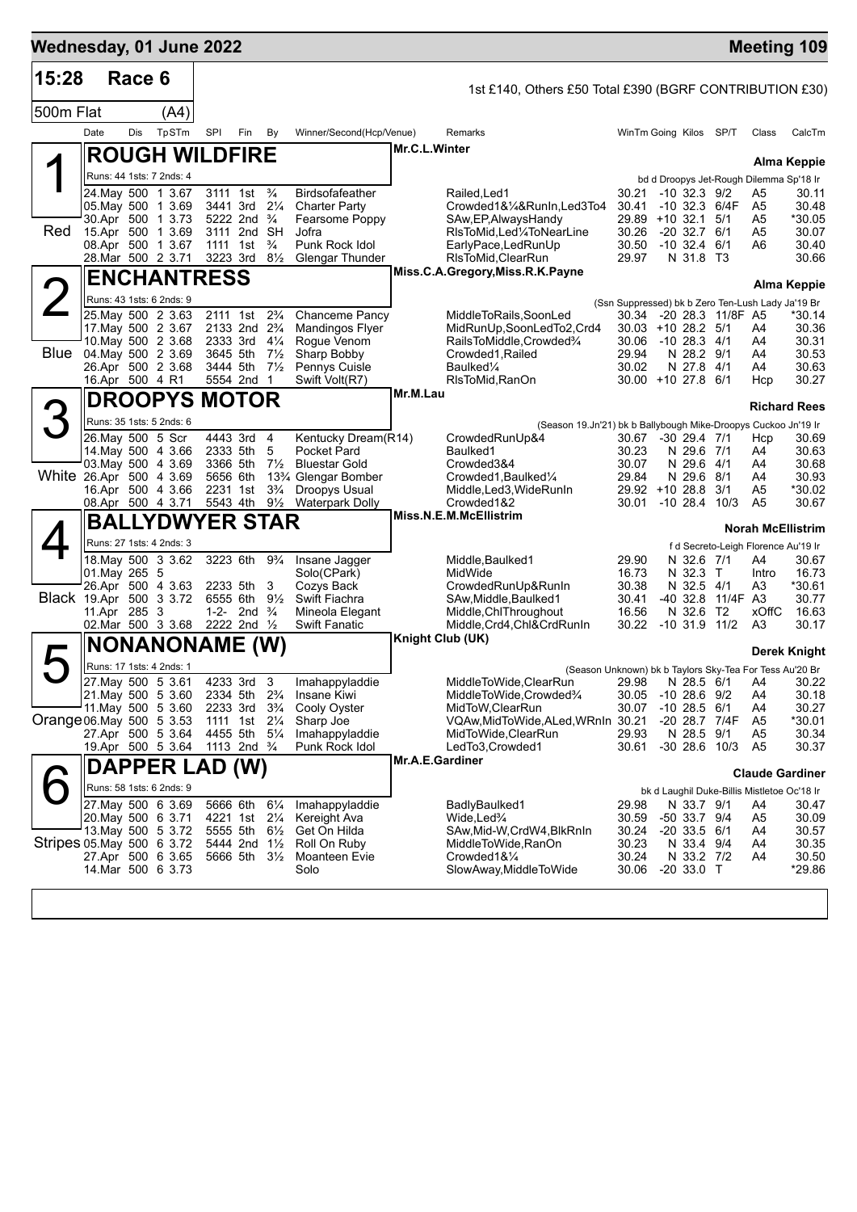| Wednesday, 01 June 2022   |                 |        |                                                |          |                                                       |                                  |                                                |                 |                                                                |                |                                                                              |             |      |                                  | <b>Meeting 109</b>                           |
|---------------------------|-----------------|--------|------------------------------------------------|----------|-------------------------------------------------------|----------------------------------|------------------------------------------------|-----------------|----------------------------------------------------------------|----------------|------------------------------------------------------------------------------|-------------|------|----------------------------------|----------------------------------------------|
| 15:28                     |                 | Race 6 |                                                |          |                                                       |                                  |                                                |                 | 1st £140, Others £50 Total £390 (BGRF CONTRIBUTION £30)        |                |                                                                              |             |      |                                  |                                              |
| 500m Flat                 |                 |        | (A4)                                           |          |                                                       |                                  |                                                |                 |                                                                |                |                                                                              |             |      |                                  |                                              |
|                           | Date            | Dis    | TpSTm                                          | SPI      | Fin                                                   | By                               | Winner/Second(Hcp/Venue)                       |                 | Remarks                                                        |                | WinTm Going Kilos SP/T                                                       |             |      | Class                            | CalcTm                                       |
|                           |                 |        | <b>ROUGH WILDFIRE</b>                          |          |                                                       |                                  |                                                | Mr.C.L.Winter   |                                                                |                |                                                                              |             |      |                                  | Alma Keppie                                  |
|                           |                 |        | Runs: 44 1sts: 7 2nds: 4                       |          |                                                       |                                  |                                                |                 |                                                                |                | bd d Droopys Jet-Rough Dilemma Sp'18 Ir                                      |             |      |                                  |                                              |
|                           |                 |        | 24. May 500 1 3.67                             |          | 3111 1st                                              | $\frac{3}{4}$                    | <b>Birdsofafeather</b>                         |                 | Railed, Led 1                                                  | 30.21          | $-10$ 32.3 $9/2$                                                             |             |      | A5                               | 30.11                                        |
|                           |                 |        | 05. May 500 1 3.69<br>30.Apr 500 1 3.73        |          | 3441 3rd 21/4<br>5222 2nd <sup>3</sup> / <sub>4</sub> |                                  | <b>Charter Party</b><br>Fearsome Poppy         |                 | Crowded1&1/4&RunIn,Led3To4<br>SAw, EP, Always Handy            | 30.41          | $-10$ 32.3 6/4F<br>29.89 +10 32.1 5/1                                        |             |      | A <sub>5</sub><br>A <sub>5</sub> | 30.48<br>*30.05                              |
| Red                       |                 |        | 15.Apr 500 1 3.69                              |          | 3111 2nd SH                                           |                                  | Jofra                                          |                 | RIsToMid, Led'/4ToNearLine                                     | 30.26          | $-20$ 32.7 $6/1$                                                             |             |      | A <sub>5</sub>                   | 30.07                                        |
|                           |                 |        | 08.Apr 500 1 3.67                              |          | 1111 1st                                              | $\frac{3}{4}$                    | Punk Rock Idol                                 |                 | EarlyPace, LedRunUp                                            | 30.50<br>29.97 | $-10$ 32.4 6/1                                                               |             |      | A6                               | 30.40                                        |
|                           |                 |        | 28.Mar 500 2 3.71                              |          | 3223 3rd $8\frac{1}{2}$                               |                                  | <b>Glengar Thunder</b>                         |                 | RIsToMid, ClearRun<br>Miss.C.A.Gregory, Miss.R.K.Payne         |                | N 31.8 T3                                                                    |             |      |                                  | 30.66                                        |
|                           |                 |        | <b>ENCHANTRESS</b>                             |          |                                                       |                                  |                                                |                 |                                                                |                |                                                                              |             |      |                                  | Alma Keppie                                  |
|                           |                 |        | Runs: 43 1sts: 6 2nds: 9<br>25. May 500 2 3.63 |          | 2111 1st                                              | $2\frac{3}{4}$                   | <b>Chanceme Pancy</b>                          |                 | MiddleToRails,SoonLed                                          |                | (Ssn Suppressed) bk b Zero Ten-Lush Lady Ja'19 Br<br>30.34 -20 28.3 11/8F A5 |             |      |                                  | *30.14                                       |
|                           |                 |        | 17. May 500 2 3.67                             |          | 2133 2nd 2 <sup>3</sup> / <sub>4</sub>                |                                  | <b>Mandingos Flyer</b>                         |                 | MidRunUp, SoonLedTo2, Crd4                                     |                | $30.03 + 10.28.2$ 5/1                                                        |             |      | A4                               | 30.36                                        |
| Blue                      |                 |        | 10. May 500 2 3.68                             |          | 2333 3rd                                              | $4\frac{1}{4}$                   | Rogue Venom                                    |                 | RailsToMiddle, Crowded%                                        | 30.06          | -10 28.3 4/1                                                                 |             |      | A4                               | 30.31                                        |
|                           |                 |        | 04 May 500 2 3.69<br>26.Apr 500 2 3.68         |          | 3645 5th<br>3444 5th                                  | $7\frac{1}{2}$<br>$7\frac{1}{2}$ | Sharp Bobby<br>Pennys Cuisle                   |                 | Crowded1, Railed<br>Baulked <sup>1/4</sup>                     | 29.94<br>30.02 | N 28.2 9/1<br>N 27.8 4/1                                                     |             |      | A4<br>A4                         | 30.53<br>30.63                               |
|                           | 16.Apr 500 4 R1 |        |                                                |          | 5554 2nd 1                                            |                                  | Swift Volt(R7)                                 |                 | RIsToMid, RanOn                                                |                | 30.00 +10 27.8 6/1                                                           |             |      | Hcp                              | 30.27                                        |
|                           |                 |        | DROOPYS MOTOR                                  |          |                                                       |                                  |                                                | Mr.M.Lau        |                                                                |                |                                                                              |             |      |                                  | <b>Richard Rees</b>                          |
| 3                         |                 |        | Runs: 35 1sts: 5 2nds: 6                       |          |                                                       |                                  |                                                |                 | (Season 19.Jn'21) bk b Ballybough Mike-Droopys Cuckoo Jn'19 Ir |                |                                                                              |             |      |                                  |                                              |
|                           |                 |        | 26. May 500 5 Scr                              |          | 4443 3rd                                              | $\overline{4}$                   | Kentucky Dream(R14)                            |                 | CrowdedRunUp&4                                                 | 30.67          | $-30$ 29.4 $7/1$                                                             |             |      | Hcp                              | 30.69                                        |
|                           |                 |        | 14 May 500 4 3.66<br>03. May 500 4 3.69        |          | 2333 5th<br>3366 5th                                  | 5<br>$7\frac{1}{2}$              | Pocket Pard<br><b>Bluestar Gold</b>            |                 | Baulked1<br>Crowded3&4                                         | 30.23<br>30.07 | N 29.6 7/1<br>N 29.6 4/1                                                     |             |      | A4<br>A4                         | 30.63<br>30.68                               |
| White 26.Apr 500 4 3.69   |                 |        |                                                | 5656 6th |                                                       |                                  | 13% Glengar Bomber                             |                 | Crowded1, Baulked1/4                                           | 29.84          | N 29.6 8/1                                                                   |             |      | A4                               | 30.93                                        |
|                           |                 |        | 16.Apr 500 4 3.66<br>08.Apr 500 4 3.71         |          | 2231 1st<br>5543 4th                                  | $3\frac{3}{4}$<br>$9\frac{1}{2}$ | <b>Droopys Usual</b><br><b>Waterpark Dolly</b> |                 | Middle,Led3,WideRunIn<br>Crowded1&2                            | 30.01          | 29.92 +10 28.8<br>-10 28.4                                                   | 3/1<br>10/3 |      | A <sub>5</sub><br>A <sub>5</sub> | *30.02<br>30.67                              |
|                           |                 |        | <b>BALLYDWYER STAR</b>                         |          |                                                       |                                  |                                                |                 | Miss.N.E.M.McEllistrim                                         |                |                                                                              |             |      |                                  |                                              |
|                           |                 |        | Runs: 27 1sts: 4 2nds: 3                       |          |                                                       |                                  |                                                |                 |                                                                |                |                                                                              |             |      |                                  | <b>Norah McEllistrim</b>                     |
|                           |                 |        | 18. May 500 3 3.62                             |          | 3223 6th                                              | $9\frac{3}{4}$                   | Insane Jagger                                  |                 | Middle, Baulked1                                               | 29.90          | N 32.6 7/1                                                                   |             |      | A4                               | f d Secreto-Leigh Florence Au'19 Ir<br>30.67 |
|                           | 01. May 265 5   |        |                                                |          |                                                       |                                  | Solo(CPark)                                    |                 | MidWide                                                        | 16.73          | N 32.3 T                                                                     |             |      | Intro                            | 16.73                                        |
| Black 19.Apr 500 3 3.72   |                 |        | 26.Apr 500 4 3.63                              |          | 2233 5th<br>6555 6th                                  | 3<br>$9\frac{1}{2}$              | Cozys Back<br>Swift Fiachra                    |                 | CrowdedRunUp&RunIn<br>SAw, Middle, Baulked 1                   | 30.38<br>30.41 | N 32.5 4/1<br>-40 32.8 11/4F A3                                              |             |      | A3                               | *30.61<br>30.77                              |
|                           | 11.Apr 285 3    |        |                                                |          | 1-2- 2nd $\frac{3}{4}$                                |                                  | Mineola Elegant                                |                 | Middle, ChlThroughout                                          | 16.56          | N 32.6 T2                                                                    |             |      | xOffC                            | 16.63                                        |
|                           |                 |        | 02. Mar 500 3 3.68                             |          | 2222 2nd 1/2                                          |                                  | <b>Swift Fanatic</b>                           |                 | Middle, Crd4, Chl&CrdRunIn                                     | 30.22          | $-10,31.9$                                                                   | 11/2        |      | A3                               | 30.17                                        |
|                           |                 |        | <b>NONANONAME</b>                              |          |                                                       | (W)                              |                                                |                 | <b>Knight Club (UK)</b>                                        |                |                                                                              |             |      |                                  | Derek Knight                                 |
| $\blacktriangleright$     |                 |        | Runs: 17 1sts: 4 2nds: 1                       |          |                                                       |                                  |                                                |                 | (Season Unknown) bk b Taylors Sky-Tea For Tess Au'20 Br        |                |                                                                              |             |      |                                  |                                              |
|                           |                 |        | 27. May 500 5 3.61<br>21. May 500 5 3.60       |          | 4233 3rd                                              | 3<br>$2\frac{3}{4}$              | Imahappyladdie                                 |                 | MiddleToWide,ClearRun<br>MiddleToWide,Crowded%                 | 29.98          | N 28.5 6/1<br>$-10$ 28.6 $9/2$                                               |             |      | A4                               | 30.22<br>30.18                               |
|                           |                 |        | 11. May 500 5 3.60                             |          | 2334 5th<br>2233 3rd                                  | $3\frac{3}{4}$                   | Insane Kiwi<br>Cooly Oyster                    |                 | MidToW, ClearRun                                               | 30.05<br>30.07 | $-10$ 28.5 $6/1$                                                             |             |      | A4<br>A4                         | 30.27                                        |
| Orange 06. May 500 5 3.53 |                 |        |                                                |          | 1111 1st                                              | $2\frac{1}{4}$                   | Sharp Joe                                      |                 | VQAw, MidToWide, ALed, WRnIn 30.21                             |                | $-2028.7$                                                                    |             | 7/4F | A <sub>5</sub>                   | *30.01                                       |
|                           |                 |        | 27.Apr 500 5 3.64<br>19.Apr 500 5 3.64         |          | 4455 5th 51/4<br>1113 2nd <sup>3</sup> / <sub>4</sub> |                                  | Imahappyladdie<br>Punk Rock Idol               |                 | MidToWide, ClearRun<br>LedTo3,Crowded1                         | 29.93<br>30.61 | N 28.5 9/1<br>$-30$ 28.6 10/3                                                |             |      | A <sub>5</sub><br>A <sub>5</sub> | 30.34<br>30.37                               |
|                           |                 |        | DAPPER LAD (W)                                 |          |                                                       |                                  |                                                | Mr.A.E.Gardiner |                                                                |                |                                                                              |             |      |                                  |                                              |
|                           |                 |        | Runs: 58 1sts: 6 2nds: 9                       |          |                                                       |                                  |                                                |                 |                                                                |                |                                                                              |             |      |                                  | <b>Claude Gardiner</b>                       |
|                           |                 |        | 27. May 500 6 3.69                             |          | 5666 6th                                              | $6\frac{1}{4}$                   | Imahappyladdie                                 |                 | BadlyBaulked1                                                  | 29.98          | bk d Laughil Duke-Billis Mistletoe Oc'18 Ir<br>N 33.7 9/1                    |             |      | A4                               | 30.47                                        |
|                           |                 |        | 20.May 500 6 3.71                              |          | 4221 1st                                              | $2\frac{1}{4}$                   | Kereight Ava                                   |                 | Wide,Led <sup>3</sup> /4                                       | 30.59          | -50 33.7 9/4                                                                 |             |      | A5                               | 30.09                                        |
| Stripes 05 May 500 6 3.72 |                 |        | 13. May 500 5 3.72                             |          | 5555 5th<br>5444 2nd 11/2                             | $6\frac{1}{2}$                   | Get On Hilda                                   |                 | SAw, Mid-W, CrdW4, BlkRnIn                                     | 30.24<br>30.23 | $-20$ 33.5 $6/1$                                                             |             |      | A4                               | 30.57                                        |
|                           |                 |        | 27.Apr 500 6 3.65                              |          | 5666 5th 31/2                                         |                                  | Roll On Ruby<br>Moanteen Evie                  |                 | MiddleToWide,RanOn<br>Crowded1&1/4                             | 30.24          | N 33.4 9/4<br>N 33.2 7/2                                                     |             |      | A4<br>A4                         | 30.35<br>30.50                               |
|                           |                 |        | 14 Mar 500 6 3.73                              |          |                                                       |                                  | Solo                                           |                 | SlowAway, MiddleToWide                                         | 30.06          | $-20$ 33.0 T                                                                 |             |      |                                  | *29.86                                       |
|                           |                 |        |                                                |          |                                                       |                                  |                                                |                 |                                                                |                |                                                                              |             |      |                                  |                                              |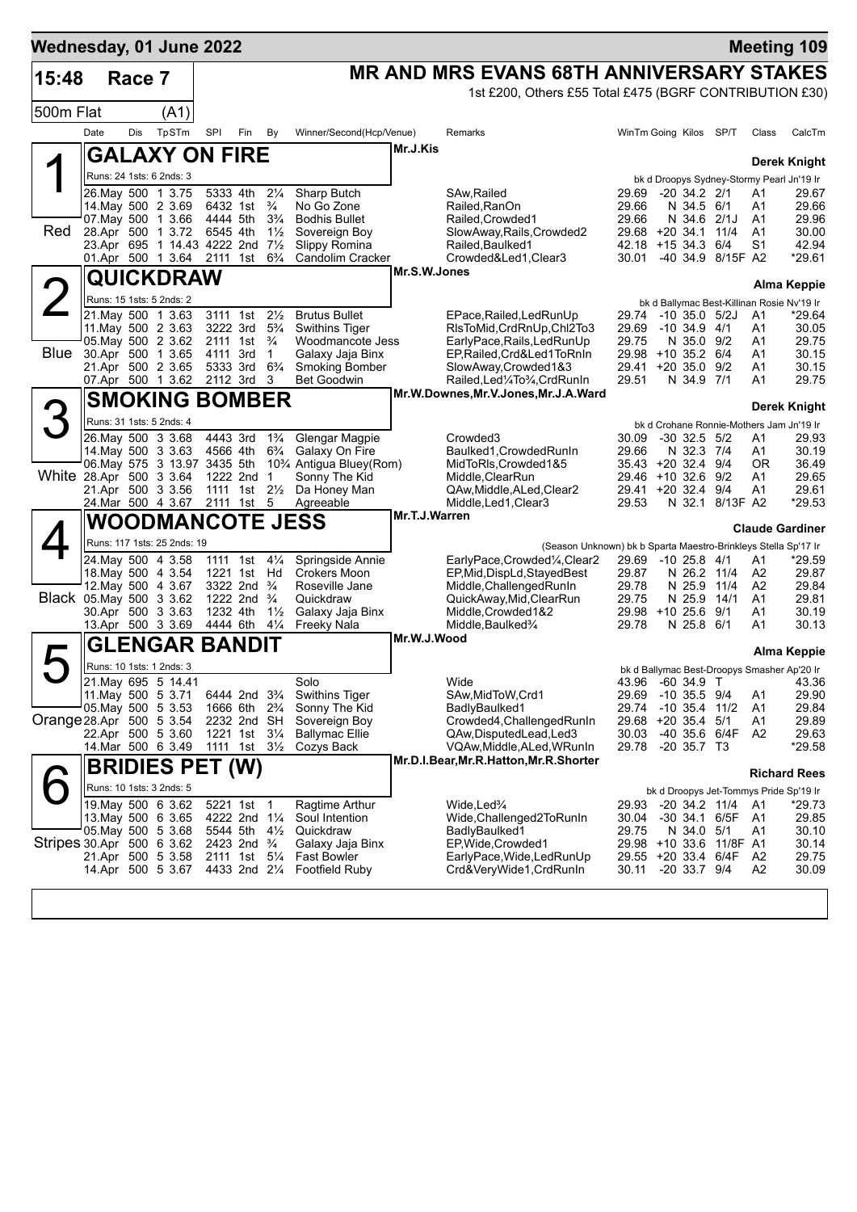| Wednesday, 01 June 2022   |      |        |                                                |                      |                                                                  |                                        |                                                   |               |                                                                                                          |                                  |                            |                         |                      | <b>Meeting 109</b>                                 |
|---------------------------|------|--------|------------------------------------------------|----------------------|------------------------------------------------------------------|----------------------------------------|---------------------------------------------------|---------------|----------------------------------------------------------------------------------------------------------|----------------------------------|----------------------------|-------------------------|----------------------|----------------------------------------------------|
| 15:48                     |      | Race 7 |                                                |                      |                                                                  |                                        |                                                   |               | <b>MR AND MRS EVANS 68TH ANNIVERSARY STAKES</b>                                                          |                                  |                            |                         |                      |                                                    |
|                           |      |        |                                                |                      |                                                                  |                                        |                                                   |               | 1st £200, Others £55 Total £475 (BGRF CONTRIBUTION £30)                                                  |                                  |                            |                         |                      |                                                    |
| 500m Flat                 |      |        | (A1)                                           |                      |                                                                  |                                        |                                                   |               |                                                                                                          |                                  |                            |                         |                      |                                                    |
|                           | Date | Dis    | TpSTm                                          | SPI                  | Fin                                                              | By                                     | Winner/Second(Hcp/Venue)                          |               | Remarks                                                                                                  | WinTm Going Kilos SP/T           |                            |                         | Class                | CalcTm                                             |
|                           |      |        | <b>GALAXY ON FIRE</b>                          |                      |                                                                  |                                        |                                                   | Mr.J.Kis      |                                                                                                          |                                  |                            |                         |                      |                                                    |
|                           |      |        | Runs: 24 1sts: 6 2nds: 3                       |                      |                                                                  |                                        |                                                   |               |                                                                                                          |                                  |                            |                         |                      | Derek Knight                                       |
|                           |      |        | 26. May 500 1 3.75                             | 5333 4th             |                                                                  | $2\frac{1}{4}$                         | Sharp Butch                                       |               | SAw, Railed                                                                                              | 29.69                            | $-20$ 34.2 $2/1$           |                         | A1                   | bk d Droopys Sydney-Stormy Pearl Jn'19 Ir<br>29.67 |
|                           |      |        | 14. May 500 2 3.69                             | 6432 1st             |                                                                  | $\frac{3}{4}$                          | No Go Zone                                        |               | Railed, RanOn                                                                                            | 29.66                            | N 34.5 6/1                 |                         | A1                   | 29.66                                              |
| Red                       |      |        | 07 May 500 1 3.66<br>28.Apr 500 1 3.72         | 4444 5th<br>6545 4th |                                                                  | $3\frac{3}{4}$<br>$1\frac{1}{2}$       | <b>Bodhis Bullet</b><br>Sovereign Boy             |               | Railed, Crowded1<br>SlowAway, Rails, Crowded2                                                            | 29.66<br>$29.68 + 20.34.1$       | N 34.6 2/1J                | 11/4                    | A1<br>A <sub>1</sub> | 29.96<br>30.00                                     |
|                           |      |        | 23.Apr 695 1 14.43 4222 2nd                    |                      |                                                                  | $7\frac{1}{2}$                         | Slippy Romina                                     |               | Railed, Baulked1                                                                                         | $42.18 + 1534.3$                 |                            | 6/4                     | S1                   | 42.94                                              |
|                           |      |        | 01.Apr 500 1 3.64                              | 2111                 | 1st                                                              | $6\frac{3}{4}$                         | Candolim Cracker                                  |               | Crowded&Led1, Clear3                                                                                     | 30.01                            |                            | -40 34.9 8/15F A2       |                      | *29.61                                             |
|                           |      |        | QUICKDRAW                                      |                      |                                                                  |                                        |                                                   | Mr.S.W.Jones  |                                                                                                          |                                  |                            |                         |                      | <b>Alma Keppie</b>                                 |
|                           |      |        | Runs: 15 1sts: 5 2nds: 2                       |                      |                                                                  |                                        |                                                   |               |                                                                                                          |                                  |                            |                         |                      | bk d Ballymac Best-Killinan Rosie Nv'19 Ir         |
|                           |      |        | 21. May 500 1 3.63                             |                      | 3111 1st                                                         | $2\frac{1}{2}$                         | <b>Brutus Bullet</b>                              |               | EPace, Railed, Led Run Up                                                                                | 29.74                            | $-10, 35.0, 5/2J$          |                         | A1                   | *29.64                                             |
|                           |      |        | 11 May 500 2 3.63<br>05. May 500 2 3.62        |                      | 3222 3rd<br>2111 1st                                             | $5\frac{3}{4}$<br>$\frac{3}{4}$        | <b>Swithins Tiger</b><br>Woodmancote Jess         |               | RIsToMid, CrdRnUp, Chl2To3<br>EarlyPace, Rails, Led RunUp                                                | 29.69<br>29.75                   | $-10,34.9$<br>N 35.0 9/2   | 4/1                     | A1<br>A1             | 30.05<br>29.75                                     |
| Blue                      |      |        | 30.Apr 500 1 3.65                              | 4111 3rd             |                                                                  | $\mathbf{1}$                           | Galaxy Jaja Binx                                  |               | EP, Railed, Crd&Led1ToRnIn                                                                               | 29.98 +10 35.2 6/4               |                            |                         | A1                   | 30.15                                              |
|                           |      |        | 21.Apr 500 2 3.65<br>07.Apr 500 1 3.62         | 5333 3rd<br>2112 3rd |                                                                  | $6\frac{3}{4}$<br>3                    | <b>Smoking Bomber</b><br>Bet Goodwin              |               | SlowAway,Crowded1&3<br>Railed, Led <sup>1</sup> / <sub>4</sub> To <sup>3</sup> / <sub>4</sub> , CrdRunIn | 29.41 +20 35.0<br>29.51          | N 34.9 7/1                 | 9/2                     | A1<br>A1             | 30.15<br>29.75                                     |
|                           |      |        |                                                |                      |                                                                  |                                        |                                                   |               | Mr.W.Downes, Mr.V.Jones, Mr.J.A.Ward                                                                     |                                  |                            |                         |                      |                                                    |
|                           |      |        | <b>SMOKING BOMBER</b>                          |                      |                                                                  |                                        |                                                   |               |                                                                                                          |                                  |                            |                         |                      | Derek Knight                                       |
|                           |      |        | Runs: 31 1sts: 5 2nds: 4                       |                      |                                                                  |                                        |                                                   |               |                                                                                                          |                                  |                            |                         |                      | bk d Crohane Ronnie-Mothers Jam Jn'19 Ir           |
|                           |      |        | 26. May 500 3 3.68<br>14. May 500 3 3.63       | 4443 3rd<br>4566 4th |                                                                  | $1\frac{3}{4}$<br>$6\frac{3}{4}$       | Glengar Magpie<br>Galaxy On Fire                  |               | Crowded3<br>Baulked1, Crowded RunIn                                                                      | 30.09<br>29.66                   | $-30$ 32.5 $5/2$<br>N 32.3 | 7/4                     | A1<br>A1             | 29.93<br>30.19                                     |
|                           |      |        | 06. May 575 3 13.97 3435 5th                   |                      |                                                                  |                                        | 10 <sup>3</sup> / <sub>4</sub> Antigua Bluey(Rom) |               | MidToRIs, Crowded1&5                                                                                     | $35.43 + 20.32.4$                |                            | 9/4                     | ΟR                   | 36.49                                              |
| White 28.Apr 500 3 3.64   |      |        | 21.Apr 500 3 3.56                              |                      | 1222 2nd<br>1111 1st 21/ <sub>2</sub>                            | -1                                     | Sonny The Kid<br>Da Honey Man                     |               | Middle, ClearRun<br>QAw, Middle, ALed, Clear2                                                            | 29.46 +10 32.6<br>29.41 +20 32.4 |                            | 9/2<br>9/4              | A1<br>Α1             | 29.65<br>29.61                                     |
|                           |      |        | 24.Mar 500 4 3.67                              |                      | 2111 1st                                                         | 5                                      | Agreeable                                         |               | Middle, Led1, Clear3                                                                                     | 29.53                            |                            | N 32.1 8/13F A2         |                      | $*29.53$                                           |
|                           |      |        | <b>WOODMANCOTE JESS</b>                        |                      |                                                                  |                                        |                                                   | Mr.T.J.Warren |                                                                                                          |                                  |                            |                         |                      | <b>Claude Gardiner</b>                             |
|                           |      |        | Runs: 117 1sts: 25 2nds: 19                    |                      |                                                                  |                                        |                                                   |               | (Season Unknown) bk b Sparta Maestro-Brinkleys Stella Sp'17 Ir                                           |                                  |                            |                         |                      |                                                    |
|                           |      |        | 24. May 500 4 3.58                             |                      | 1111 1st                                                         | $4\frac{1}{4}$                         | Springside Annie                                  |               | EarlyPace,Crowded1/4,Clear2                                                                              | 29.69 -10 25.8 4/1               |                            |                         | A1                   | *29.59                                             |
|                           |      |        | 18. May 500 4 3.54                             |                      | 1221 1st Hd                                                      |                                        | Crokers Moon                                      |               | EP, Mid, DispLd, Stayed Best                                                                             | 29.87                            | N 26.2 11/4                |                         | A2                   | 29.87                                              |
| Black 05. May 500 3 3.62  |      |        | 12. May 500 4 3.67                             |                      | 3322 2nd<br>1222 2nd                                             | $\frac{3}{4}$<br>$\frac{3}{4}$         | Roseville Jane<br>Quickdraw                       |               | Middle, Challenged RunIn<br>QuickAway, Mid, ClearRun                                                     | 29.78<br>29.75                   | N 25.9<br>N 25.9           | 11/4<br>14/1            | A <sub>2</sub><br>A1 | 29.84<br>29.81                                     |
|                           |      |        | 30.Apr 500 3 3.63                              | 1232 4th             |                                                                  | $1\frac{1}{2}$                         | Galaxy Jaja Binx                                  |               | Middle, Crowded 1&2                                                                                      | 29.98 +10 25.6                   |                            | 9/1                     | A1                   | 30.19                                              |
|                           |      |        | 13.Apr 500 3 3.69                              | 4444 6th             |                                                                  | $4\frac{1}{4}$                         | Freeky Nala                                       | Mr.W.J.Wood   | Middle, Baulked <sup>3</sup> /4                                                                          | 29.78                            | N 25.8 6/1                 |                         | A1                   | 30.13                                              |
|                           |      |        | <b>GLENGAR BANDIT</b>                          |                      |                                                                  |                                        |                                                   |               |                                                                                                          |                                  |                            |                         |                      | Alma Keppie                                        |
|                           |      |        | Runs: 10 1sts: 1 2nds: 3                       |                      |                                                                  |                                        |                                                   |               |                                                                                                          |                                  |                            |                         |                      | bk d Ballymac Best-Droopys Smasher Ap'20 Ir        |
|                           |      |        | 21. May 695 5 14.41<br>11. May 500 5 3.71      |                      |                                                                  | 6444 2nd 3 <sup>3</sup> / <sub>4</sub> | Solo<br><b>Swithins Tiger</b>                     |               | Wide<br>SAw, MidToW, Crd1                                                                                | 29.69 -10 35.5 9/4               |                            |                         | A1                   | 43.96 -60 34.9 T 43.36<br>29.90                    |
|                           |      |        | 05. May 500 5 3.53                             |                      | 1666 6th 2 <sup>3</sup> / <sub>4</sub>                           |                                        | Sonny The Kid                                     |               | BadlyBaulked1                                                                                            | 29.74 -10 35.4 11/2              |                            |                         | A1                   | 29.84                                              |
| Orange 28.Apr 500 5 3.54  |      |        |                                                |                      | 2232 2nd SH                                                      |                                        | Sovereign Boy                                     |               | Crowded4, Challenged RunIn                                                                               | 29.68 +20 35.4 5/1               |                            |                         | A1                   | 29.89                                              |
|                           |      |        | 22.Apr 500 5 3.60<br>14.Mar 500 6 3.49         |                      | 1221 1st 31/4<br>1111 1st $3\frac{1}{2}$                         |                                        | <b>Ballymac Ellie</b><br>Cozys Back               |               | QAw, Disputed Lead, Led 3<br>VQAw,Middle,ALed,WRunIn                                                     | 30.03<br>29.78 -20 35.7 T3       | -40 35.6 6/4F              |                         | A2                   | 29.63<br>*29.58                                    |
|                           |      |        | <b>BRIDIES PET (W)</b>                         |                      |                                                                  |                                        |                                                   |               | Mr.D.I.Bear, Mr.R.Hatton, Mr.R.Shorter                                                                   |                                  |                            |                         |                      |                                                    |
|                           |      |        |                                                |                      |                                                                  |                                        |                                                   |               |                                                                                                          |                                  |                            |                         |                      | <b>Richard Rees</b>                                |
|                           |      |        | Runs: 10 1sts: 3 2nds: 5<br>19. May 500 6 3.62 |                      | 5221 1st 1                                                       |                                        | Ragtime Arthur                                    |               | Wide.Led¾                                                                                                | 29.93                            | -20 34.2 11/4              |                         | A1                   | bk d Droopys Jet-Tommys Pride Sp'19 Ir<br>$*29.73$ |
|                           |      |        | 13. May 500 6 3.65                             |                      | 4222 2nd 1 <sup>1</sup> / <sub>4</sub>                           |                                        | Soul Intention                                    |               | Wide,Challenged2ToRunIn                                                                                  | 30.04                            | -30 34.1 6/5F              |                         | A1                   | 29.85                                              |
|                           |      |        | 05. May 500 5 3.68                             |                      | 5544 5th                                                         | $4\frac{1}{2}$                         | Quickdraw                                         |               | BadlyBaulked1                                                                                            | 29.75                            | N 34.0 5/1                 |                         | A1                   | 30.10                                              |
| Stripes 30.Apr 500 6 3.62 |      |        | 21.Apr 500 5 3.58                              |                      | 2423 2nd $\frac{3}{4}$<br>2111 1st 5 <sup>1</sup> / <sub>4</sub> |                                        | Galaxy Jaja Binx<br><b>Fast Bowler</b>            |               | EP, Wide, Crowded 1<br>EarlyPace,Wide,LedRunUp                                                           | 29.55 +20 33.4 6/4F              |                            | 29.98 +10 33.6 11/8F A1 | A2                   | 30.14<br>29.75                                     |
|                           |      |        | 14.Apr 500 5 3.67                              |                      |                                                                  | 4433 2nd 21/4                          | <b>Footfield Ruby</b>                             |               | Crd&VeryWide1,CrdRunIn                                                                                   | 30.11                            | -20 33.7 9/4               |                         | A2                   | 30.09                                              |
|                           |      |        |                                                |                      |                                                                  |                                        |                                                   |               |                                                                                                          |                                  |                            |                         |                      |                                                    |
|                           |      |        |                                                |                      |                                                                  |                                        |                                                   |               |                                                                                                          |                                  |                            |                         |                      |                                                    |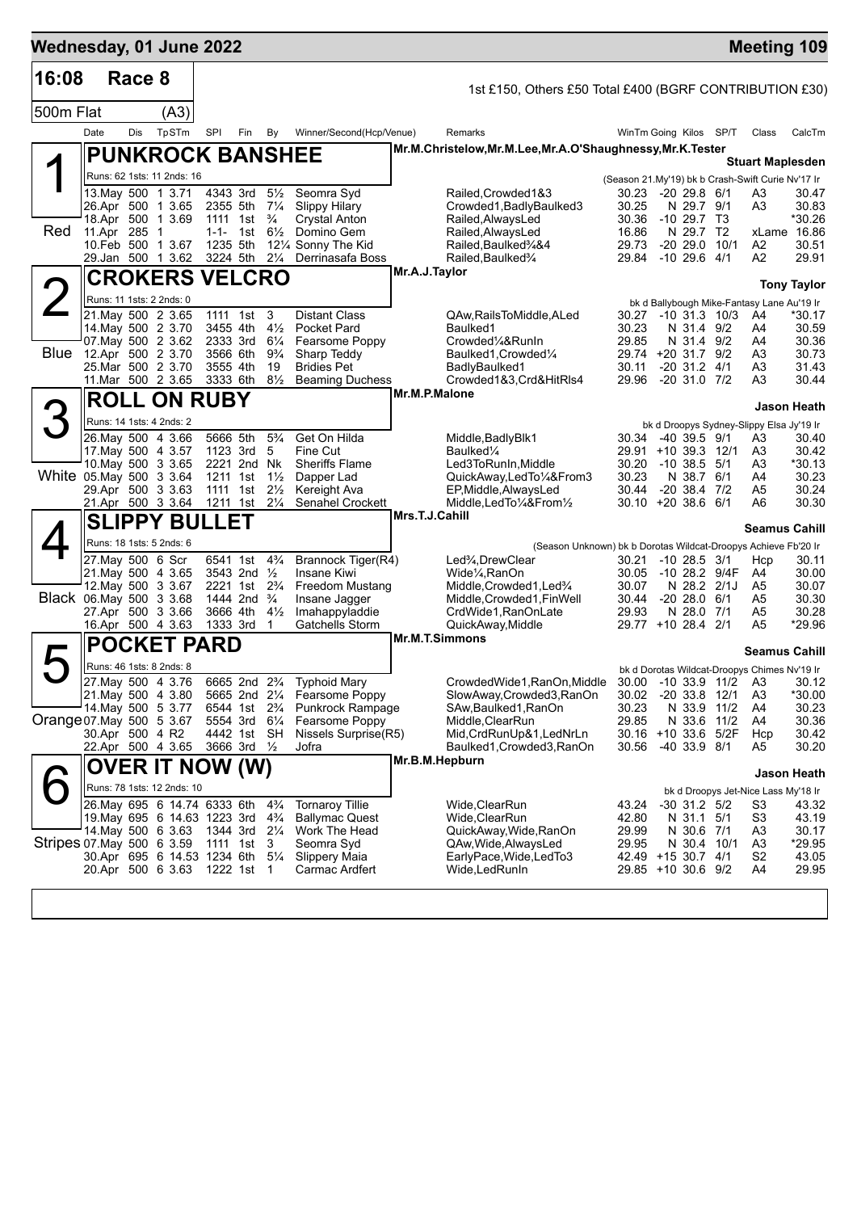| Wednesday, 01 June 2022   |                                                |        |                            |                      |                                        |                                  |                                                     |                |                                                                                          |                              |                  |                                |               | <b>Meeting 109</b>                                                           |                    |
|---------------------------|------------------------------------------------|--------|----------------------------|----------------------|----------------------------------------|----------------------------------|-----------------------------------------------------|----------------|------------------------------------------------------------------------------------------|------------------------------|------------------|--------------------------------|---------------|------------------------------------------------------------------------------|--------------------|
| 16:08                     |                                                | Race 8 |                            |                      |                                        |                                  |                                                     |                | 1st £150, Others £50 Total £400 (BGRF CONTRIBUTION £30)                                  |                              |                  |                                |               |                                                                              |                    |
| 500m Flat                 |                                                |        | (A3)                       |                      |                                        |                                  |                                                     |                |                                                                                          |                              |                  |                                |               |                                                                              |                    |
|                           | Date                                           | Dis    | TpSTm                      | SPI                  | Fin                                    | By                               | Winner/Second(Hcp/Venue)                            |                | Remarks                                                                                  | WinTm Going Kilos SP/T       |                  |                                |               | Class                                                                        | CalcTm             |
|                           |                                                |        | <b>PUNKROCK BANSHEE</b>    |                      |                                        |                                  |                                                     |                | Mr.M.Christelow,Mr.M.Lee,Mr.A.O'Shaughnessy,Mr.K.Tester                                  |                              |                  |                                |               |                                                                              |                    |
|                           |                                                |        | Runs: 62 1sts: 11 2nds: 16 |                      |                                        |                                  |                                                     |                |                                                                                          |                              |                  |                                |               | <b>Stuart Maplesden</b><br>(Season 21.My'19) bk b Crash-Swift Curie Nv'17 Ir |                    |
|                           | 13.May 500 1 3.71                              |        |                            |                      | 4343 3rd 51/2                          |                                  | Seomra Syd                                          |                | Railed, Crowded 1&3                                                                      | 30.23 -20 29.8 6/1           |                  |                                |               | A3                                                                           | 30.47              |
|                           | 26.Apr 500 1 3.65                              |        |                            |                      | 2355 5th 71/4                          |                                  | <b>Slippy Hilary</b>                                |                | Crowded1, Badly Baulked3                                                                 | 30.25                        |                  | N 29.7 9/1                     |               | A3                                                                           | 30.83              |
| Red                       | 18.Apr 500 1 3.69<br>11.Apr 285 1              |        |                            |                      | 1111 1st<br>1-1- 1st                   | $\frac{3}{4}$<br>$6\frac{1}{2}$  | <b>Crystal Anton</b><br>Domino Gem                  |                | Railed, AlwaysLed<br>Railed, AlwaysLed                                                   | 30.36<br>16.86               |                  | $-1029.7$ T3<br>N 29.7 T2      |               | xLame 16.86                                                                  | *30.26             |
|                           | 10. Feb 500 1 3.67                             |        |                            |                      | 1235 5th                               |                                  | 121/4 Sonny The Kid                                 |                | Railed, Baulked 3/4&4                                                                    | 29.73                        |                  | $-20\,29.0$                    | 10/1          | A2                                                                           | 30.51              |
|                           | 29.Jan 500 1 3.62                              |        |                            |                      | 3224 5th                               | $2\frac{1}{4}$                   | Derrinasafa Boss                                    |                | Railed, Baulked%                                                                         | 29.84                        | -10 29.6 4/1     |                                |               | A2                                                                           | 29.91              |
|                           |                                                |        | <b>CROKERS VELCRO</b>      |                      |                                        |                                  |                                                     | Mr.A.J.Taylor  |                                                                                          |                              |                  |                                |               |                                                                              | <b>Tony Taylor</b> |
|                           | Runs: 11 1sts: 2 2nds: 0                       |        |                            |                      |                                        |                                  |                                                     |                |                                                                                          |                              |                  |                                |               | bk d Ballybough Mike-Fantasy Lane Au'19 Ir                                   |                    |
|                           | 21. May 500 2 3.65<br>14. May 500 2 3.70       |        |                            |                      | 1111 1st<br>3455 4th                   | 3<br>$4\frac{1}{2}$              | <b>Distant Class</b><br><b>Pocket Pard</b>          |                | QAw,RailsToMiddle,ALed<br>Baulked1                                                       | 30.27 -10 31.3 10/3<br>30.23 |                  | N 31.4 9/2                     |               | A4<br>A4                                                                     | *30.17<br>30.59    |
|                           | 07. May 500 2 3.62                             |        |                            |                      | 2333 3rd                               | $6\frac{1}{4}$                   | Fearsome Poppy                                      |                | Crowded1/4&RunIn                                                                         | 29.85                        |                  | N 31.4 9/2                     |               | A4                                                                           | 30.36              |
|                           | Blue 12.Apr 500 2 3.70<br>25. Mar 500 2 3.70   |        |                            |                      | 3566 6th                               | $9\frac{3}{4}$                   | Sharp Teddy<br><b>Bridies Pet</b>                   |                | Baulked1, Crowded1/4                                                                     | 29.74 +20 31.7 9/2           |                  |                                |               | A3                                                                           | 30.73              |
|                           | 11. Mar 500 2 3.65                             |        |                            | 3555 4th<br>3333 6th |                                        | 19<br>$8\frac{1}{2}$             | <b>Beaming Duchess</b>                              |                | BadlyBaulked1<br>Crowded1&3,Crd&HitRls4                                                  | 30.11<br>29.96               | $-20$ 31.0 $7/2$ | $-20$ 31.2 $4/1$               |               | A3<br>A3                                                                     | 31.43<br>30.44     |
|                           |                                                |        | <b>ROLL ON RUBY</b>        |                      |                                        |                                  |                                                     | Mr.M.P.Malone  |                                                                                          |                              |                  |                                |               |                                                                              |                    |
| 3                         | Runs: 14 1sts: 4 2nds: 2                       |        |                            |                      |                                        |                                  |                                                     |                |                                                                                          |                              |                  |                                |               |                                                                              | Jason Heath        |
|                           | 26. May 500 4 3.66                             |        |                            |                      | 5666 5th                               | $5\frac{3}{4}$                   | Get On Hilda                                        |                | Middle, Badly Blk1                                                                       | 30.34 -40 39.5 9/1           |                  |                                |               | bk d Droopys Sydney-Slippy Elsa Jy'19 Ir<br>A3                               | 30.40              |
|                           | 17 May 500 4 3.57                              |        |                            |                      | 1123 3rd                               | 5                                | Fine Cut                                            |                | Baulked¼                                                                                 | 29.91 +10 39.3 12/1          |                  |                                |               | A3                                                                           | 30.42              |
|                           | 10. May 500 3 3.65<br>White 05.May 500 3 3.64  |        |                            |                      | 2221 2nd Nk<br>1211 1st                | $1\frac{1}{2}$                   | <b>Sheriffs Flame</b><br>Dapper Lad                 |                | Led3ToRunIn, Middle<br>QuickAway,LedTo1/4&From3                                          | 30.20<br>30.23               |                  | $-10, 38.5, 5/1$<br>N 38.7 6/1 |               | A3<br>A4                                                                     | *30.13<br>30.23    |
|                           | 29.Apr 500 3 3.63                              |        |                            |                      | 1111 1st                               | $2\frac{1}{2}$                   | Kereight Ava                                        |                | EP, Middle, AlwaysLed                                                                    | 30.44                        |                  | $-20, 38.4, 7/2$               |               | A5                                                                           | 30.24              |
|                           | 21.Apr 500 3 3.64                              |        |                            | 1211 1st             |                                        | $2\frac{1}{4}$                   | Senahel Crockett                                    |                | Middle, Led To 1/4& From 1/2                                                             | $30.10 + 2038.66$            |                  |                                |               | A6                                                                           | 30.30              |
|                           |                                                |        | <b>SLIPPY BULLET</b>       |                      |                                        |                                  |                                                     | Mrs.T.J.Cahill |                                                                                          |                              |                  |                                |               | <b>Seamus Cahill</b>                                                         |                    |
|                           | Runs: 18 1sts: 5 2nds: 6                       |        |                            |                      |                                        |                                  |                                                     |                | (Season Unknown) bk b Dorotas Wildcat-Droopys Achieve Fb'20 Ir                           |                              |                  |                                |               |                                                                              |                    |
|                           | 27. May 500 6 Scr<br>21. May 500 4 3.65        |        |                            |                      | 6541 1st<br>3543 2nd $\frac{1}{2}$     | $4\frac{3}{4}$                   | Brannock Tiger(R4)<br>Insane Kiwi                   |                | Led <sup>3</sup> / <sub>4</sub> , Drew Clear<br>Wide <sup>1</sup> / <sub>4</sub> , RanOn | 30.21<br>30.05               |                  | $-10$ 28.5 $3/1$               | -10 28.2 9/4F | Hcp<br>A4                                                                    | 30.11<br>30.00     |
|                           | 12. May 500 3 3.67                             |        |                            |                      | 2221 1st 2 <sup>3</sup> / <sub>4</sub> |                                  | Freedom Mustang                                     |                | Middle, Crowded 1, Led <sup>3</sup> /4                                                   | 30.07                        |                  |                                | N 28.2 2/1J   | A5                                                                           | 30.07              |
|                           | Black 06. May 500 3 3.68                       |        |                            |                      | 1444 2nd                               | $\frac{3}{4}$                    | Insane Jagger                                       |                | Middle, Crowded1, Fin Well                                                               | 30.44                        |                  | $-2028.06/1$                   |               | A5                                                                           | 30.30              |
|                           | 27.Apr 500 3 3.66<br>16.Apr 500 4 3.63         |        |                            |                      | 3666 4th<br>1333 3rd                   | $4\frac{1}{2}$<br>$\overline{1}$ | Imahappyladdie<br>Gatchells Storm                   |                | CrdWide1, RanOnLate<br>QuickAway, Middle                                                 | 29.93<br>29.77 +10 28.4 2/1  |                  | N 28.0 7/1                     |               | A5<br>A5                                                                     | 30.28<br>*29.96    |
|                           |                                                |        | <b>POCKET PARD</b>         |                      |                                        |                                  |                                                     |                | <b>Mr.M.T.Simmons</b>                                                                    |                              |                  |                                |               |                                                                              |                    |
|                           |                                                |        |                            |                      |                                        |                                  |                                                     |                |                                                                                          |                              |                  |                                |               | <b>Seamus Cahill</b>                                                         |                    |
|                           | Runs: 46 1sts: 8 2nds: 8<br>27. May 500 4 3.76 |        |                            |                      |                                        |                                  | 6665 2nd 2 <sup>3</sup> / <sub>4</sub> Typhoid Mary |                | CrowdedWide1, RanOn, Middle 30.00 -10 33.9 11/2 A3                                       |                              |                  |                                |               | bk d Dorotas Wildcat-Droopys Chimes Nv'19 Ir                                 | 30.12              |
|                           | 21. May 500 4 3.80                             |        |                            |                      | 5665 2nd 21/4                          |                                  | Fearsome Poppy                                      |                | SlowAway,Crowded3,RanOn                                                                  | 30.02                        |                  | $-20.33.8$                     | 12/1          | A <sub>3</sub>                                                               | *30.00             |
|                           | 14. May 500 5 3.77                             |        |                            |                      | 6544 1st 2 <sup>3</sup> / <sub>4</sub> |                                  | Punkrock Rampage                                    |                | SAw, Baulked 1, RanOn                                                                    | 30.23                        |                  |                                | N 33.9 11/2   | A4                                                                           | 30.23              |
| Orange 07 May 500 5 3.67  | 30.Apr 500 4 R2                                |        |                            |                      | 5554 3rd 61/4<br>4442 1st SH           |                                  | Fearsome Poppy<br>Nissels Surprise(R5)              |                | Middle, ClearRun<br>Mid, CrdRunUp&1, LedNrLn                                             | 29.85<br>30.16 +10 33.6 5/2F |                  | N 33.6                         | 11/2          | A4<br>Hcp                                                                    | 30.36<br>30.42     |
|                           | 22.Apr 500 4 3.65                              |        |                            |                      | 3666 3rd 1/2                           |                                  | Jofra                                               |                | Baulked1,Crowded3,RanOn                                                                  | 30.56                        |                  | -40 33.9 8/1                   |               | A5                                                                           | 30.20              |
|                           |                                                |        | OVER IT NOW (W)            |                      |                                        |                                  |                                                     |                | Mr.B.M.Hepburn                                                                           |                              |                  |                                |               |                                                                              | Jason Heath        |
|                           |                                                |        | Runs: 78 1sts: 12 2nds: 10 |                      |                                        |                                  |                                                     |                |                                                                                          |                              |                  |                                |               | bk d Droopys Jet-Nice Lass My'18 Ir                                          |                    |
|                           | 26. May 695 6 14.74 6333 6th                   |        |                            |                      |                                        | $4\frac{3}{4}$                   | <b>Tornaroy Tillie</b>                              |                | Wide, ClearRun                                                                           | 43.24                        |                  | $-30$ 31.2 $5/2$               |               | S <sub>3</sub>                                                               | 43.32              |
|                           | 19. May 695 6 14.63 1223 3rd                   |        |                            |                      |                                        | $4\frac{3}{4}$                   | <b>Ballymac Quest</b>                               |                | Wide, ClearRun                                                                           | 42.80                        |                  | N 31.1 5/1                     |               | S <sub>3</sub>                                                               | 43.19              |
| Stripes 07 May 500 6 3.59 | 14. May 500 6 3.63                             |        |                            | 1344 3rd 21/4        | 1111 1st                               | 3                                | Work The Head<br>Seomra Syd                         |                | QuickAway, Wide, RanOn<br>QAw, Wide, Always Led                                          | 29.99<br>29.95               |                  | N 30.6 7/1<br>N 30.4 10/1      |               | A <sub>3</sub><br>A3                                                         | 30.17<br>*29.95    |
|                           | 30.Apr 695 6 14.53 1234 6th                    |        |                            |                      |                                        | $5\frac{1}{4}$                   | <b>Slippery Maia</b>                                |                | EarlyPace, Wide, LedTo3                                                                  | 42.49 +15 30.7 4/1           |                  |                                |               | S <sub>2</sub>                                                               | 43.05              |
|                           | 20.Apr 500 6 3.63                              |        |                            |                      | 1222 1st                               | -1                               | Carmac Ardfert                                      |                | Wide,LedRunIn                                                                            | 29.85 +10 30.6 9/2           |                  |                                |               | A4                                                                           | 29.95              |
|                           |                                                |        |                            |                      |                                        |                                  |                                                     |                |                                                                                          |                              |                  |                                |               |                                                                              |                    |
|                           |                                                |        |                            |                      |                                        |                                  |                                                     |                |                                                                                          |                              |                  |                                |               |                                                                              |                    |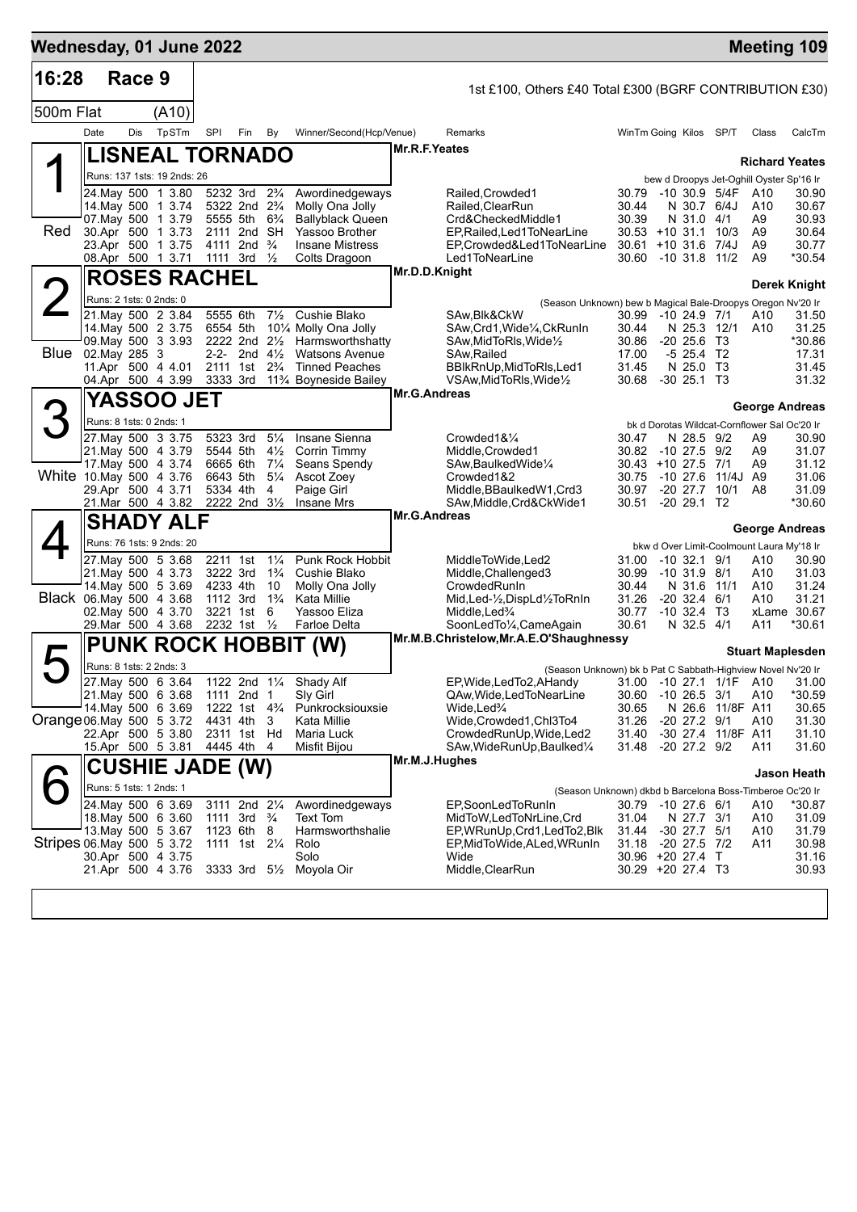| Wednesday, 01 June 2022   |      |               |                                                                                                                                                                   |          |                                                                                                                                                                                   |                                                                                |                                                                                                                            |               |                                                                                                                                                                                                       |                                                                                           |                                                                                                              |                                        |                                                                              | <b>Meeting 109</b>                                                          |
|---------------------------|------|---------------|-------------------------------------------------------------------------------------------------------------------------------------------------------------------|----------|-----------------------------------------------------------------------------------------------------------------------------------------------------------------------------------|--------------------------------------------------------------------------------|----------------------------------------------------------------------------------------------------------------------------|---------------|-------------------------------------------------------------------------------------------------------------------------------------------------------------------------------------------------------|-------------------------------------------------------------------------------------------|--------------------------------------------------------------------------------------------------------------|----------------------------------------|------------------------------------------------------------------------------|-----------------------------------------------------------------------------|
| 16:28                     |      | Race 9        |                                                                                                                                                                   |          |                                                                                                                                                                                   |                                                                                |                                                                                                                            |               | 1st £100, Others £40 Total £300 (BGRF CONTRIBUTION £30)                                                                                                                                               |                                                                                           |                                                                                                              |                                        |                                                                              |                                                                             |
| 500m Flat                 |      |               | (A10)                                                                                                                                                             |          |                                                                                                                                                                                   |                                                                                |                                                                                                                            |               |                                                                                                                                                                                                       |                                                                                           |                                                                                                              |                                        |                                                                              |                                                                             |
|                           | Date | Dis           | TpSTm                                                                                                                                                             | SPI      | Fin                                                                                                                                                                               | By                                                                             | Winner/Second(Hcp/Venue)                                                                                                   |               | Remarks                                                                                                                                                                                               | WinTm Going Kilos SP/T                                                                    |                                                                                                              |                                        | Class                                                                        | CalcTm                                                                      |
|                           |      |               | <b>LISNEAL TORNADO</b>                                                                                                                                            |          |                                                                                                                                                                                   |                                                                                |                                                                                                                            | Mr.R.F.Yeates |                                                                                                                                                                                                       |                                                                                           |                                                                                                              |                                        |                                                                              |                                                                             |
|                           |      |               | Runs: 137 1sts: 19 2nds: 26                                                                                                                                       |          |                                                                                                                                                                                   |                                                                                |                                                                                                                            |               |                                                                                                                                                                                                       |                                                                                           |                                                                                                              |                                        | bew d Droopys Jet-Oghill Oyster Sp'16 Ir                                     | <b>Richard Yeates</b>                                                       |
| Red                       |      |               | 24. May 500 1 3.80<br>14. May 500 1 3.74<br>07. May 500 1 3.79<br>30.Apr 500 1 3.73<br>23.Apr 500 1 3.75                                                          |          | 5232 3rd 2 <sup>3</sup> / <sub>4</sub><br>5322 2nd 2 <sup>3</sup> / <sub>4</sub><br>5555 5th 6 <sup>3</sup> / <sub>4</sub><br>2111 2nd SH<br>4111 2nd <sup>3</sup> / <sub>4</sub> |                                                                                | Awordinedgeways<br>Molly Ona Jolly<br><b>Ballyblack Queen</b><br>Yassoo Brother<br><b>Insane Mistress</b><br>Colts Dragoon |               | Railed, Crowded1<br>Railed, Clear Run<br>Crd&CheckedMiddle1<br>EP, Railed, Led 1 To Near Line<br>EP,Crowded&Led1ToNearLine                                                                            | 30.79 -10 30.9 5/4F<br>30.44<br>30.39<br>$30.53 + 10.31.1$ 10/3<br>$30.61 + 10.31.6$ 7/4J | N 30.7 6/4J<br>N 31.0 4/1                                                                                    |                                        | A10<br>A10<br>A9<br>A <sub>9</sub><br>A <sub>9</sub><br>A <sub>9</sub>       | 30.90<br>30.67<br>30.93<br>30.64<br>30.77                                   |
|                           |      |               | 08.Apr 500 1 3.71<br><b>ROSES RACHEL</b>                                                                                                                          |          | 1111 3rd $\frac{1}{2}$                                                                                                                                                            |                                                                                |                                                                                                                            | Mr.D.D.Knight | Led1ToNearLine                                                                                                                                                                                        | 30.60 -10 31.8 11/2                                                                       |                                                                                                              |                                        |                                                                              | *30.54                                                                      |
|                           |      |               |                                                                                                                                                                   |          |                                                                                                                                                                                   |                                                                                |                                                                                                                            |               |                                                                                                                                                                                                       |                                                                                           |                                                                                                              |                                        |                                                                              | Derek Knight                                                                |
|                           |      |               | Runs: 2 1sts: 0 2nds: 0<br>21. May 500 2 3.84                                                                                                                     |          | 5555 6th                                                                                                                                                                          | $7\frac{1}{2}$                                                                 | Cushie Blako                                                                                                               |               | (Season Unknown) bew b Magical Bale-Droopys Oregon Nv'20 Ir<br>SAw, Blk&CkW                                                                                                                           | 30.99 -10 24.9 7/1                                                                        |                                                                                                              |                                        | A10                                                                          | 31.50                                                                       |
| Blue                      |      | 02. May 285 3 | 14. May 500 2 3.75<br>09. May 500 3 3.93<br>11.Apr 500 4 4.01<br>04.Apr 500 4 3.99                                                                                | 6554 5th | 2222 2nd 21/2<br>2-2- 2nd $4\frac{1}{2}$<br>2111 1st<br>3333 3rd                                                                                                                  | $2\frac{3}{4}$                                                                 | 10% Molly Ona Jolly<br>Harmsworthshatty<br><b>Watsons Avenue</b><br><b>Tinned Peaches</b><br>11% Boyneside Bailey          |               | SAw, Crd1, Wide <sup>1</sup> / <sub>4</sub> , CkRunIn<br>SAw,MidToRIs,Wide½<br>SAw, Railed<br>BBlkRnUp, MidToRls, Led1<br>VSAw, MidToRIs, Wide <sup>1</sup> / <sub>2</sub>                            | 30.44<br>30.86<br>17.00<br>31.45<br>30.68 -30 25.1 T3                                     | N 25.3 12/1<br>$-20, 25.6, 13$<br>$-5$ 25.4 T2<br>N 25.0 T3                                                  |                                        | A10                                                                          | 31.25<br>*30.86<br>17.31<br>31.45<br>31.32                                  |
|                           |      |               | <b>YASSOO JET</b>                                                                                                                                                 |          |                                                                                                                                                                                   |                                                                                |                                                                                                                            | Mr.G.Andreas  |                                                                                                                                                                                                       |                                                                                           |                                                                                                              |                                        |                                                                              | George Andreas                                                              |
| 3                         |      |               | Runs: 8 1sts: 0 2nds: 1                                                                                                                                           |          |                                                                                                                                                                                   |                                                                                |                                                                                                                            |               |                                                                                                                                                                                                       |                                                                                           |                                                                                                              |                                        | bk d Dorotas Wildcat-Cornflower Sal Oc'20 Ir                                 |                                                                             |
|                           |      |               | 27. May 500 3 3.75<br>21. May 500 4 3.79<br>17 May 500 4 3.74<br>White 10. May 500 4 3.76<br>29.Apr 500 4 3.71<br>21.Mar 500 4 3.82                               |          | 5323 3rd<br>5544 5th<br>6665 6th<br>6643 5th<br>5334 4th<br>2222 2nd 31/2                                                                                                         | $5\frac{1}{4}$<br>$4\frac{1}{2}$<br>$7\frac{1}{4}$<br>$5\frac{1}{4}$<br>4      | Insane Sienna<br>Corrin Timmy<br>Seans Spendy<br>Ascot Zoey<br>Paige Girl<br><b>Insane Mrs</b>                             |               | Crowded1&1/4<br>Middle, Crowded 1<br>SAw,BaulkedWide1/4<br>Crowded1&2<br>Middle, BBaulked W1, Crd3<br>SAw, Middle, Crd&CkWide1                                                                        | 30.47<br>30.82 -10 27.5 9/2<br>30.43 +10 27.5 7/1<br>30.75<br>30.97<br>30.51              | N 28.5 9/2<br>$-1027.6$<br>$-20$ 29.1 T2                                                                     | 11/4J A9<br>-20 27.7 10/1              | A9<br>A9<br>A9<br>A8                                                         | 30.90<br>31.07<br>31.12<br>31.06<br>31.09<br>*30.60                         |
|                           |      |               | <b>SHADY ALF</b>                                                                                                                                                  |          |                                                                                                                                                                                   |                                                                                |                                                                                                                            | Mr.G.Andreas  |                                                                                                                                                                                                       |                                                                                           |                                                                                                              |                                        |                                                                              | <b>George Andreas</b>                                                       |
|                           |      |               | Runs: 76 1sts: 9 2nds: 20<br>27. May 500 5 3.68<br>21. May 500 4 3.73<br>14 May 500 5 3.69<br>Black 06.May 500 4 3.68<br>02. May 500 4 3.70<br>29. Mar 500 4 3.68 |          | 2211 1st<br>3222 3rd<br>4233 4th<br>1112 3rd<br>3221 1st<br>2232 1st                                                                                                              | $1\frac{1}{4}$<br>$1\frac{3}{4}$<br>10<br>$1\frac{3}{4}$<br>6<br>$\frac{1}{2}$ | Punk Rock Hobbit<br>Cushie Blako<br>Molly Ona Jolly<br>Kata Millie<br>Yassoo Eliza<br>Farloe Delta                         |               | MiddleToWide,Led2<br>Middle, Challenged 3<br>CrowdedRunIn<br>Mid, Led-1/2, DispLd1/2ToRnIn<br>Middle,Led%<br>SoonLedTo1/4, CameAgain                                                                  | 31.00<br>30.99<br>30.44<br>31.26<br>30.77<br>30.61                                        | $-10$ 32.1 $9/1$<br>$-10$ 31.9 8/1<br>N 31.6 11/1<br>$-20, 32.4$<br>$-10, 32.4$ T <sub>3</sub><br>N 32.5 4/1 | - 6/1                                  | bkw d Over Limit-Coolmount Laura My'18 Ir<br>A10<br>A10<br>A10<br>A10<br>A11 | 30.90<br>31.03<br>31.24<br>31.21<br>xLame 30.67<br>*30.61                   |
|                           |      |               | <b>PUNK ROCK HOBBIT</b>                                                                                                                                           |          |                                                                                                                                                                                   |                                                                                | (W)                                                                                                                        |               | Mr.M.B.Christelow, Mr.A.E.O'Shaughnessy                                                                                                                                                               |                                                                                           |                                                                                                              |                                        |                                                                              | <b>Stuart Maplesden</b>                                                     |
| Orange 06. May 500 5 3.72 |      |               | Runs: 8 1sts: 2 2nds: 3<br>27. May 500 6 3.64<br>21. May 500 6 3.68<br>14. May 500 6 3.69<br>22.Apr 500 5 3.80                                                    |          | 1111 2nd 1<br>1222 1st 4 <sup>3</sup> / <sub>4</sub><br>4431 4th<br>2311 1st Hd                                                                                                   | -3                                                                             | 1122 2nd 11/4 Shady Alf<br>Sly Girl<br>Punkrocksiouxsie<br>Kata Millie<br>Maria Luck                                       |               | (Season Unknown) bk b Pat C Sabbath-Highview Novel Nv'20 Ir<br>EP, Wide, Led To 2, A Handy<br>QAw, Wide, Led To Near Line<br>Wide,Led¾<br>Wide, Crowded1, Chl3To4<br>CrowdedRunUp, Wide, Led2         | 30.60 -10 26.5 3/1<br>30.65<br>31.26<br>31.40                                             | $-20$ 27.2 $9/1$<br>$-20$ 27.2 $9/2$                                                                         | N 26.6 11/8F A11<br>-30 27.4 11/8F A11 | A10<br>A10                                                                   | 31.00 -10 27.1 1/1F A10 31.00<br>*30.59<br>30.65<br>31.30<br>31.10<br>31.60 |
|                           |      |               | 15.Apr 500 5 3.81<br><b>CUSHIE JADE (W)</b>                                                                                                                       |          | 4445 4th                                                                                                                                                                          | 4                                                                              | Misfit Bijou                                                                                                               | Mr.M.J.Hughes | SAw, Wide Run Up, Baulked 1/4                                                                                                                                                                         | 31.48                                                                                     |                                                                                                              |                                        | A11                                                                          |                                                                             |
|                           |      |               | Runs: 5 1sts: 1 2nds: 1                                                                                                                                           |          |                                                                                                                                                                                   |                                                                                |                                                                                                                            |               |                                                                                                                                                                                                       |                                                                                           |                                                                                                              |                                        |                                                                              | Jason Heath                                                                 |
| Stripes 06 May 500 5 3.72 |      |               | 24. May 500 6 3.69<br>18. May 500 6 3.60<br>13. May 500 5 3.67<br>30.Apr 500 4 3.75<br>21.Apr 500 4 3.76                                                          |          | 3111 2nd 21/4<br>1111 3rd<br>1123 6th<br>1111 1st                                                                                                                                 | $\frac{3}{4}$<br>8<br>$2\frac{1}{4}$                                           | Awordinedgeways<br>Text Tom<br>Harmsworthshalie<br>Rolo<br>Solo<br>3333 3rd 51/2 Moyola Oir                                |               | (Season Unknown) dkbd b Barcelona Boss-Timberoe Oc'20 Ir<br>EP,SoonLedToRunIn<br>MidToW,LedToNrLine,Crd<br>EP, WRunUp, Crd1, Led To 2, Blk<br>EP, MidToWide, ALed, WRunIn<br>Wide<br>Middle, ClearRun | 30.79 -10 27.6 6/1<br>31.04<br>31.44<br>31.18<br>30.96 +20 27.4 T<br>30.29 +20 27.4 T3    | N 27.7 3/1<br>$-30$ 27.7 $5/1$<br>$-20$ 27.5 $7/2$                                                           |                                        | A10<br>A10<br>A10<br>A11                                                     | *30.87<br>31.09<br>31.79<br>30.98<br>31.16<br>30.93                         |
|                           |      |               |                                                                                                                                                                   |          |                                                                                                                                                                                   |                                                                                |                                                                                                                            |               |                                                                                                                                                                                                       |                                                                                           |                                                                                                              |                                        |                                                                              |                                                                             |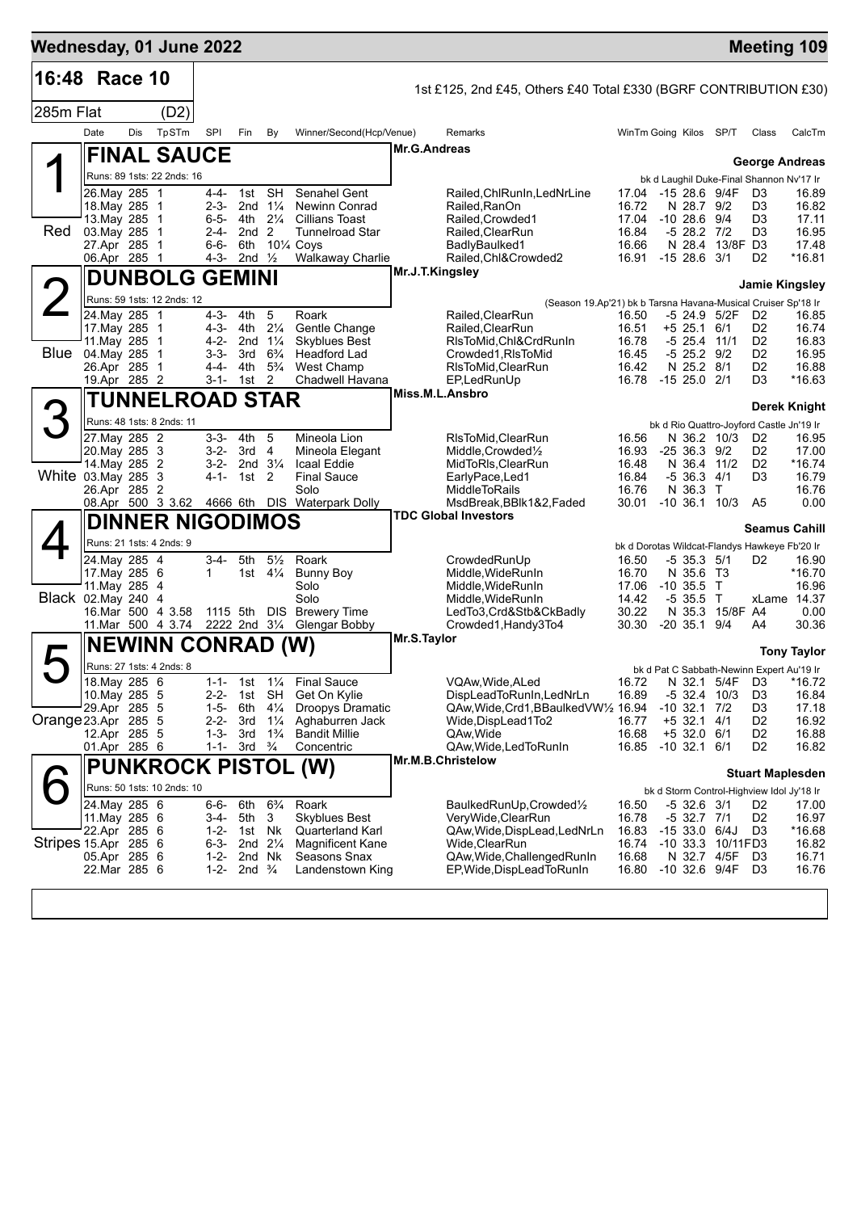| Wednesday, 01 June 2022 |                                |     |                                        |                        |                           |                                      |                                             |                 |                                                                                    |                |                                                            |                 | <b>Meeting 109</b>               |                 |
|-------------------------|--------------------------------|-----|----------------------------------------|------------------------|---------------------------|--------------------------------------|---------------------------------------------|-----------------|------------------------------------------------------------------------------------|----------------|------------------------------------------------------------|-----------------|----------------------------------|-----------------|
| 16:48 Race 10           |                                |     |                                        |                        |                           |                                      |                                             |                 | 1st £125, 2nd £45, Others £40 Total £330 (BGRF CONTRIBUTION £30)                   |                |                                                            |                 |                                  |                 |
| 285m Flat               |                                |     | (D2)                                   |                        |                           |                                      |                                             |                 |                                                                                    |                |                                                            |                 |                                  |                 |
|                         | Date                           | Dis | TpSTm                                  | SPI                    | Fin                       | By                                   | Winner/Second(Hcp/Venue)                    |                 | Remarks                                                                            |                | WinTm Going Kilos SP/T                                     |                 | Class                            | CalcTm          |
|                         |                                |     | <b>FINAL SAUCE</b>                     |                        |                           |                                      |                                             | Mr.G.Andreas    |                                                                                    |                |                                                            |                 |                                  |                 |
|                         |                                |     | Runs: 89 1sts: 22 2nds: 16             |                        |                           |                                      |                                             |                 |                                                                                    |                | bk d Laughil Duke-Final Shannon Nv'17 Ir                   |                 | <b>George Andreas</b>            |                 |
|                         | 26. May 285 1                  |     |                                        | 4-4-                   | 1st SH                    |                                      | Senahel Gent                                |                 | Railed, ChlRunIn, LedNrLine                                                        | 17.04          | -15 28.6 9/4F                                              |                 | D <sub>3</sub>                   | 16.89           |
|                         | 18. May 285 1<br>13. May 285   |     | $\overline{1}$                         | $2 - 3 -$<br>$6 - 5 -$ | 4th                       | 2nd $1\frac{1}{4}$<br>$2\frac{1}{4}$ | <b>Newinn Conrad</b><br>Cillians Toast      |                 | Railed, RanOn<br>Railed, Crowded1                                                  | 16.72<br>17.04 | N 28.7 9/2<br>$-10, 28.6, 9/4$                             |                 | D3<br>D3                         | 16.82<br>17.11  |
| Red                     | 03. May 285                    |     | $\overline{1}$                         | 2-4-                   | 2nd <sub>2</sub>          |                                      | <b>Tunnelroad Star</b>                      |                 | Railed, ClearRun                                                                   | 16.84          | $-528.27/2$                                                |                 | D3                               | 16.95           |
|                         | 27.Apr 285 1<br>06.Apr 285 1   |     |                                        | $6 - 6 -$<br>4-3-      | 6th<br>2nd $\frac{1}{2}$  |                                      | 101/4 Coys<br><b>Walkaway Charlie</b>       |                 | BadlyBaulked1<br>Railed, Chl&Crowded2                                              | 16.66<br>16.91 | $-1528.63/1$                                               | N 28.4 13/8F D3 | D <sub>2</sub>                   | 17.48<br>*16.81 |
|                         |                                |     | <b>DUNBOLG GEMINI</b>                  |                        |                           |                                      |                                             | Mr.J.T.Kingsley |                                                                                    |                |                                                            |                 |                                  |                 |
|                         |                                |     | Runs: 59 1sts: 12 2nds: 12             |                        |                           |                                      |                                             |                 |                                                                                    |                |                                                            |                 | <b>Jamie Kingsley</b>            |                 |
|                         | 24. May 285 1                  |     |                                        | $4 - 3 -$              | 4th                       | 5                                    | Roark                                       |                 | (Season 19.Ap'21) bk b Tarsna Havana-Musical Cruiser Sp'18 Ir<br>Railed, Clear Run | 16.50          | -5 24.9 5/2F                                               |                 | D <sub>2</sub>                   | 16.85           |
|                         | 17. May 285 1                  |     |                                        | 4-3-                   | 4th                       | $2\frac{1}{4}$                       | Gentle Change                               |                 | Railed, ClearRun                                                                   | 16.51          | $+5$ 25.1 6/1                                              |                 | D <sub>2</sub>                   | 16.74           |
| Blue                    | 11. May 285 1<br>04. May 285 1 |     |                                        | 4-2-<br>$3 - 3 -$      | 2nd $1\frac{1}{4}$<br>3rd | $6\frac{3}{4}$                       | <b>Skyblues Best</b><br>Headford Lad        |                 | RIsToMid, Chl&CrdRunIn<br>Crowded1.RIsToMid                                        | 16.78<br>16.45 | $-5$ 25.4 11/1<br>$-5$ 25.2 $9/2$                          |                 | D <sub>2</sub><br>D <sub>2</sub> | 16.83<br>16.95  |
|                         | 26.Apr 285 1                   |     |                                        | 4-4-                   | 4th                       | $5\frac{3}{4}$                       | <b>West Champ</b>                           |                 | RIsToMid, ClearRun                                                                 | 16.42          | N 25.2 8/1                                                 |                 | D <sub>2</sub>                   | 16.88           |
|                         | 19.Apr 285 2                   |     |                                        | $3 - 1 -$              | 1st                       | 2                                    | Chadwell Havana                             | Miss.M.L.Ansbro | EP.LedRunUp                                                                        |                | 16.78 -15 25.0 2/1                                         |                 | D3                               | *16.63          |
|                         |                                |     | <b>TUNNELROAD STAR</b>                 |                        |                           |                                      |                                             |                 |                                                                                    |                |                                                            |                 |                                  | Derek Knight    |
|                         |                                |     | Runs: 48 1sts: 8 2nds: 11              |                        | 4th                       | 5                                    |                                             |                 |                                                                                    |                | bk d Rio Quattro-Joyford Castle Jn'19 Ir                   | N 36.2 10/3     |                                  |                 |
|                         | 27. May 285 2<br>20. May 285 3 |     |                                        | 3-3-<br>$3-2-$         | $3rd \quad 4$             |                                      | Mineola Lion<br>Mineola Elegant             |                 | RIsToMid, ClearRun<br>Middle, Crowded <sup>1</sup> / <sub>2</sub>                  | 16.56<br>16.93 | $-2536.39/2$                                               |                 | D <sub>2</sub><br>D <sub>2</sub> | 16.95<br>17.00  |
|                         | 14. May 285 2                  |     |                                        | $3-2-$                 |                           | 2nd $3\frac{1}{4}$                   | Icaal Eddie                                 |                 | MidToRIs, ClearRun                                                                 | 16.48          | N 36.4 11/2                                                |                 | D <sub>2</sub>                   | *16.74          |
| White 03. May 285 3     | 26.Apr 285 2                   |     |                                        | 4-1-                   | 1st 2                     |                                      | <b>Final Sauce</b><br>Solo                  |                 | EarlyPace,Led1<br><b>MiddleToRails</b>                                             | 16.84<br>16.76 | $-5$ 36.3 $4/1$<br>N 36.3 T                                |                 | D3                               | 16.79<br>16.76  |
|                         |                                |     | 08.Apr 500 3 3.62                      |                        |                           |                                      | 4666 6th DIS Waterpark Dolly                |                 | MsdBreak, BBlk1&2, Faded                                                           | 30.01          | $-10, 36.1, 10/3$                                          |                 | A5                               | 0.00            |
|                         |                                |     | <b>DINNER NIGODIMOS</b>                |                        |                           |                                      |                                             |                 | <b>TDC Global Investors</b>                                                        |                |                                                            |                 | <b>Seamus Cahill</b>             |                 |
|                         |                                |     | Runs: 21 1sts: 4 2nds: 9               |                        |                           |                                      |                                             |                 |                                                                                    |                | bk d Dorotas Wildcat-Flandys Hawkeye Fb'20 Ir              |                 |                                  |                 |
|                         | 24.May 285 4<br>17. May 285 6  |     |                                        | 3-4-<br>$\mathbf 1$    | 5th                       | $5\frac{1}{2}$<br>1st $4\frac{1}{4}$ | Roark<br><b>Bunny Boy</b>                   |                 | CrowdedRunUp<br>Middle, WideRunIn                                                  | 16.50<br>16.70 | $-5$ 35.3 $5/1$<br>N 35.6 T3                               |                 | D <sub>2</sub>                   | 16.90<br>*16.70 |
|                         | 11. May 285 4                  |     |                                        |                        |                           |                                      | Solo                                        |                 | Middle, WideRunIn                                                                  | 17.06          | $-10,35.5$ T                                               |                 |                                  | 16.96           |
| Black 02.May 240        |                                |     | -4                                     |                        |                           |                                      | Solo<br><b>Brewery Time</b>                 |                 | Middle, Wide Run In                                                                | 14.42          | $-535.5$ T                                                 |                 |                                  | xLame 14.37     |
|                         |                                |     | 16.Mar 500 4 3.58<br>11.Mar 500 4 3.74 |                        | 1115 5th                  | <b>DIS</b>                           | 2222 2nd 31/4 Glengar Bobby                 |                 | LedTo3,Crd&Stb&CkBadly<br>Crowded1, Handy3To4                                      | 30.22<br>30.30 | $-20$ 35.1 $9/4$                                           | N 35.3 15/8F A4 | A4                               | 0.00<br>30.36   |
|                         |                                |     | <b>NEWINN CONRAD (W)</b>               |                        |                           |                                      |                                             | Mr.S.Taylor     |                                                                                    |                |                                                            |                 |                                  |                 |
| ト                       |                                |     | Runs: 27 1sts: 4 2nds: 8               |                        |                           |                                      |                                             |                 |                                                                                    |                | bk d Pat C Sabbath-Newinn Expert Au'19 Ir                  |                 |                                  | Tony Taylor     |
|                         | 18. May 285 6                  |     |                                        | 1-1-                   |                           |                                      | 1st 11/ <sub>4</sub> Final Sauce            |                 | VQAw, Wide, ALed                                                                   | 16.72          |                                                            | N 32.1 5/4F D3  |                                  | *16.72          |
|                         | 10. May 285 5<br>29.Apr 285 5  |     |                                        | 2-2-<br>$1 - 5 -$      | 6th                       | 1st SH<br>$4\frac{1}{4}$             | Get On Kylie<br>Droopys Dramatic            |                 | DispLeadToRunIn, LedNrLn<br>QAw, Wide, Crd1, BBaulked VW1/2 16.94                  | 16.89          | $-5$ 32.4 10/3<br>$-10$ 32.1 $7/2$                         |                 | D <sub>3</sub><br>D3             | 16.84<br>17.18  |
| Orange 23 Apr 285 5     |                                |     |                                        | 2-2-                   | 3rd                       | $1\frac{1}{4}$                       | Aghaburren Jack                             |                 | Wide,DispLead1To2                                                                  | 16.77          | $+5$ 32.1 4/1                                              |                 | D <sub>2</sub>                   | 16.92           |
|                         | 12.Apr 285 5<br>01.Apr 285 6   |     |                                        | $1 - 3 -$<br>$1 - 1 -$ | 3rd<br>3rd                | $1\frac{3}{4}$<br>$\frac{3}{4}$      | <b>Bandit Millie</b><br>Concentric          |                 | QAw, Wide<br>QAw, Wide, Led To Run In                                              | 16.68<br>16.85 | $+5$ 32.0 6/1<br>$-10$ 32.1 6/1                            |                 | D <sub>2</sub><br>D <sub>2</sub> | 16.88<br>16.82  |
|                         |                                |     |                                        |                        |                           |                                      |                                             |                 | Mr.M.B.Christelow                                                                  |                |                                                            |                 |                                  |                 |
|                         |                                |     |                                        |                        |                           |                                      | <b>PUNKROCK PISTOL (W)</b>                  |                 |                                                                                    |                |                                                            |                 | <b>Stuart Maplesden</b>          |                 |
|                         | 24. May 285 6                  |     | Runs: 50 1sts: 10 2nds: 10             | 6-6-                   | 6th                       | $6\frac{3}{4}$                       | Roark                                       |                 | BaulkedRunUp, Crowded1/2                                                           | 16.50          | bk d Storm Control-Highview Idol Jy'18 Ir<br>$-5$ 32.6 3/1 |                 | D <sub>2</sub>                   | 17.00           |
|                         | 11. May 285 6                  |     |                                        | 3-4-                   | 5th                       | 3                                    | <b>Skyblues Best</b>                        |                 | VeryWide, ClearRun                                                                 | 16.78          | $-5$ 32.7 7/1                                              |                 | D <sub>2</sub>                   | 16.97           |
| Stripes 15 Apr 285 6    | 22.Apr 285 6                   |     |                                        | $1 - 2 -$<br>$6 - 3 -$ | 1st Nk                    | 2nd 21/4                             | Quarterland Karl<br><b>Magnificent Kane</b> |                 | QAw,Wide,DispLead,LedNrLn<br>Wide, ClearRun                                        | 16.83<br>16.74 | $-1533.06/4J$<br>-10 33.3 10/11FD3                         |                 | D <sub>3</sub>                   | *16.68<br>16.82 |
|                         | 05.Apr 285 6                   |     |                                        | $1 - 2 -$              | 2nd Nk                    |                                      | Seasons Snax                                |                 | QAw, Wide, Challenged RunIn                                                        | 16.68          | N 32.7 4/5F                                                |                 | D3                               | 16.71           |
|                         | 22.Mar 285 6                   |     |                                        | $1 - 2 -$              | 2nd $\frac{3}{4}$         |                                      | Landenstown King                            |                 | EP, Wide, DispLead To RunIn                                                        | 16.80          | -10 32.6 9/4F                                              |                 | D <sub>3</sub>                   | 16.76           |
|                         |                                |     |                                        |                        |                           |                                      |                                             |                 |                                                                                    |                |                                                            |                 |                                  |                 |
|                         |                                |     |                                        |                        |                           |                                      |                                             |                 |                                                                                    |                |                                                            |                 |                                  |                 |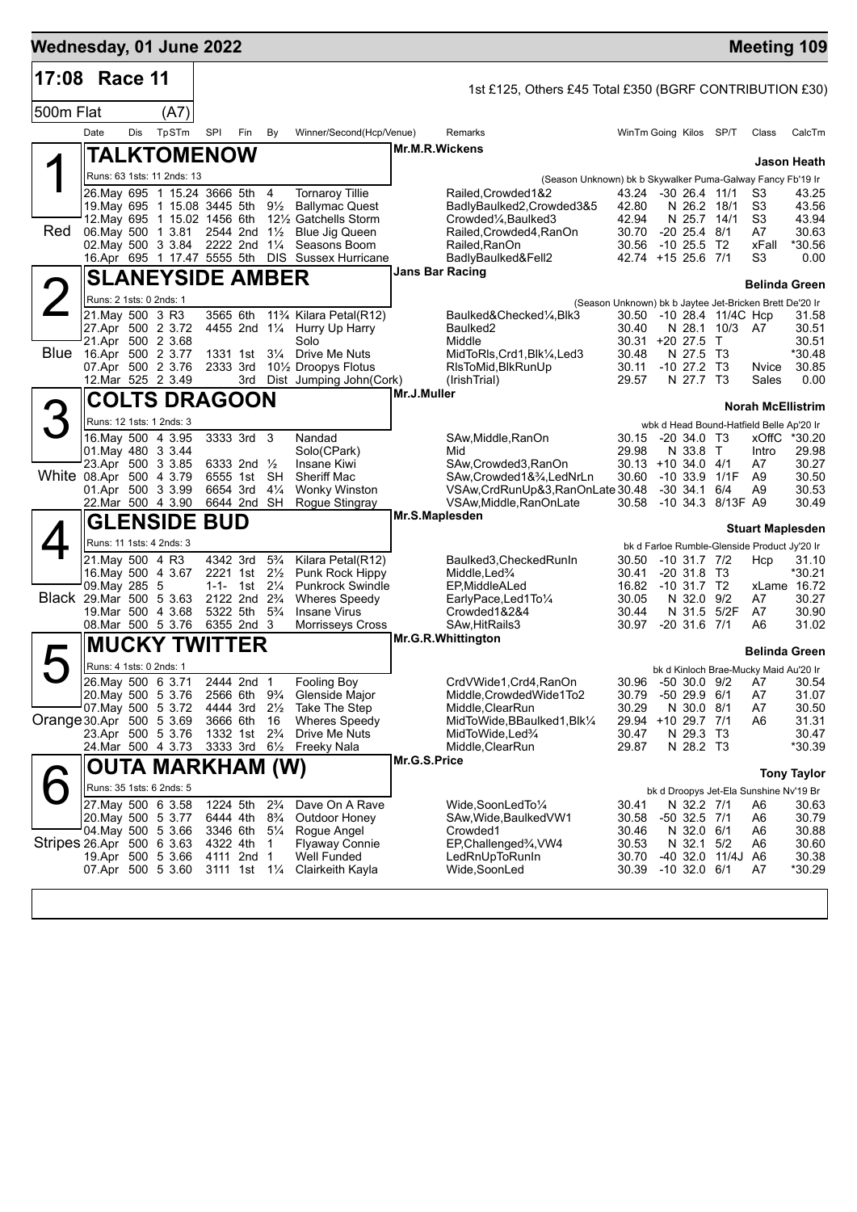| Wednesday, 01 June 2022   |                                             |     |                                  |     |                                                                                  |                                  |                                                                             |                 |                                                                                 |                                |                                 |                                            | <b>Meeting 109</b>                                      |                    |
|---------------------------|---------------------------------------------|-----|----------------------------------|-----|----------------------------------------------------------------------------------|----------------------------------|-----------------------------------------------------------------------------|-----------------|---------------------------------------------------------------------------------|--------------------------------|---------------------------------|--------------------------------------------|---------------------------------------------------------|--------------------|
| 17:08 Race 11             |                                             |     |                                  |     |                                                                                  |                                  |                                                                             |                 | 1st £125, Others £45 Total £350 (BGRF CONTRIBUTION £30)                         |                                |                                 |                                            |                                                         |                    |
| 500m Flat                 |                                             |     | (A7)                             |     |                                                                                  |                                  |                                                                             |                 |                                                                                 |                                |                                 |                                            |                                                         |                    |
|                           | Date                                        | Dis | TpSTm                            | SPI | Fin                                                                              | By                               | Winner/Second(Hcp/Venue)                                                    |                 | Remarks                                                                         | WinTm Going Kilos SP/T         |                                 |                                            | Class                                                   | CalcTm             |
|                           |                                             |     | TALKTOMENOW                      |     |                                                                                  |                                  |                                                                             | Mr.M.R.Wickens  |                                                                                 |                                |                                 |                                            |                                                         |                    |
|                           |                                             |     | Runs: 63 1sts: 11 2nds: 13       |     |                                                                                  |                                  |                                                                             |                 |                                                                                 |                                |                                 |                                            |                                                         | Jason Heath        |
|                           |                                             |     | 26. May 695 1 15.24 3666 5th 4   |     |                                                                                  |                                  | <b>Tornaroy Tillie</b>                                                      |                 | (Season Unknown) bk b Skywalker Puma-Galway Fancy Fb'19 Ir<br>Railed.Crowded1&2 | 43.24 -30 26.4 11/1            |                                 |                                            | S3                                                      | 43.25              |
|                           |                                             |     |                                  |     |                                                                                  |                                  | 19. May 695 1 15.08 3445 5th 91/2 Ballymac Quest                            |                 | BadlyBaulked2,Crowded3&5                                                        | 42.80                          | N 26.2 18/1                     |                                            | S3                                                      | 43.56              |
| Red                       |                                             |     | 06. May 500 1 3.81 2544 2nd 11/2 |     |                                                                                  |                                  | 12. May 695 1 15.02 1456 6th 121/2 Gatchells Storm<br><b>Blue Jig Queen</b> |                 | Crowded <sup>1</sup> / <sub>4</sub> , Baulked3<br>Railed, Crowded4, RanOn       | 42.94<br>30.70                 | N 25.7 14/1<br>$-20$ 25.4 $8/1$ |                                            | S3<br>A7                                                | 43.94<br>30.63     |
|                           |                                             |     | 02. May 500 3 3.84               |     | 2222 2nd 11/4                                                                    |                                  | Seasons Boom                                                                |                 | Railed, RanOn                                                                   | 30.56                          | $-10, 25.5$                     | T2                                         | xFall                                                   | *30.56             |
|                           |                                             |     |                                  |     |                                                                                  |                                  | 16.Apr 695 1 17.47 5555 5th DIS Sussex Hurricane                            | Jans Bar Racing | BadlyBaulked&Fell2                                                              | 42.74 +15 25.6 7/1             |                                 |                                            | S3                                                      | 0.00               |
|                           |                                             |     | <b>SLANEYSIDE AMBER</b>          |     |                                                                                  |                                  |                                                                             |                 |                                                                                 |                                |                                 |                                            | Belinda Green                                           |                    |
|                           | Runs: 2 1sts: 0 2nds: 1                     |     |                                  |     |                                                                                  |                                  |                                                                             |                 |                                                                                 |                                |                                 |                                            | (Season Unknown) bk b Jaytee Jet-Bricken Brett De'20 Ir |                    |
|                           | 21. May 500 3 R3                            |     | 27.Apr 500 2 3.72                |     | 3565 6th                                                                         |                                  | 11% Kilara Petal(R12)<br>4455 2nd 11/4 Hurry Up Harry                       |                 | Baulked&Checked¼,Blk3<br>Baulked <sub>2</sub>                                   | 30.40                          |                                 | 30.50 -10 28.4 11/4C Hcp<br>N 28.1 10/3 A7 |                                                         | 31.58<br>30.51     |
|                           | 21.Apr 500 2 3.68                           |     |                                  |     |                                                                                  |                                  | Solo                                                                        |                 | Middle                                                                          | 30.31 +20 27.5 T               |                                 |                                            |                                                         | 30.51              |
|                           | Blue 16.Apr 500 2 3.77<br>07.Apr 500 2 3.76 |     |                                  |     | 1331 1st<br>2333 3rd                                                             |                                  | 31⁄4 Drive Me Nuts<br>10 <sup>1</sup> / <sub>2</sub> Droopys Flotus         |                 | MidToRIs, Crd1, Blk1/4, Led3<br>RIsToMid, BlkRunUp                              | 30.48<br>30.11                 | N 27.5 T3<br>$-10$ 27.2 T3      |                                            | Nvice                                                   | *30.48<br>30.85    |
|                           |                                             |     | 12. Mar 525 2 3.49               |     |                                                                                  |                                  | 3rd Dist Jumping John(Cork)                                                 |                 | (IrishTrial)                                                                    | 29.57                          | N 27.7 T3                       |                                            | Sales                                                   | 0.00               |
|                           |                                             |     | <b>COLTS DRAGOON</b>             |     |                                                                                  |                                  |                                                                             | Mr.J.Muller     |                                                                                 |                                |                                 |                                            | <b>Norah McEllistrim</b>                                |                    |
|                           |                                             |     | Runs: 12 1sts: 1 2nds: 3         |     |                                                                                  |                                  |                                                                             |                 |                                                                                 |                                |                                 |                                            | wbk d Head Bound-Hatfield Belle Ap'20 Ir                |                    |
|                           |                                             |     | 16 May 500 4 3.95                |     | 3333 3rd 3                                                                       |                                  | Nandad                                                                      |                 | SAw, Middle, RanOn                                                              | 30.15                          | $-20, 34.0, 73$                 |                                            | xOffC                                                   | *30.20             |
|                           | 01. May 480 3 3.44<br>23.Apr 500 3 3.85     |     |                                  |     | 6333 2nd 1/2                                                                     |                                  | Solo(CPark)<br>Insane Kiwi                                                  |                 | Mid                                                                             | 29.98<br>$30.13 + 10.34.0$ 4/1 | N 33.8 T                        |                                            | Intro<br>A7                                             | 29.98<br>30.27     |
| White 08.Apr 500 4 3.79   |                                             |     |                                  |     | 6555 1st                                                                         | SH                               | <b>Sheriff Mac</b>                                                          |                 | SAw,Crowded3,RanOn<br>SAw, Crowded 1&3/4, LedNrLn                               | 30.60                          | $-10.33.9$                      | 1/1F                                       | A <sub>9</sub>                                          | 30.50              |
|                           |                                             |     | 01.Apr 500 3 3.99                |     | 6654 3rd                                                                         | $4\frac{1}{4}$                   | <b>Wonky Winston</b>                                                        |                 | VSAw, CrdRunUp&3, RanOnLate 30.48                                               |                                | -30 34.1                        | 6/4                                        | A9                                                      | 30.53              |
|                           |                                             |     | 22. Mar 500 4 3.90               |     | 6644 2nd SH                                                                      |                                  | Rogue Stingray                                                              | Mr.S.Maplesden  | VSAw, Middle, RanOnLate                                                         | 30.58                          |                                 | -10 34.3 8/13F A9                          |                                                         | 30.49              |
|                           |                                             |     | <b>GLENSIDE BUD</b>              |     |                                                                                  |                                  |                                                                             |                 |                                                                                 |                                |                                 |                                            | <b>Stuart Maplesden</b>                                 |                    |
|                           | 21. May 500 4 R3                            |     | Runs: 11 1sts: 4 2nds: 3         |     | 4342 3rd                                                                         | $5\frac{3}{4}$                   | Kilara Petal(R12)                                                           |                 | Baulked3, Checked RunIn                                                         | 30.50                          | -10 31.7 7/2                    |                                            | bk d Farloe Rumble-Glenside Product Jy'20 Ir            | 31.10              |
|                           |                                             |     | 16. May 500 4 3.67               |     | 2221 1st                                                                         | $2\frac{1}{2}$                   | Punk Rock Hippy                                                             |                 | Middle, Led <sup>3</sup> / <sub>4</sub>                                         | 30.41                          | $-20, 31.8, T3$                 |                                            | Hcp                                                     | *30.21             |
|                           | 09. May 285 5                               |     |                                  |     | 1-1- 1st $2\frac{1}{4}$                                                          |                                  | <b>Punkrock Swindle</b>                                                     |                 | EP, Middle ALed                                                                 | 16.82                          | $-10$ 31.7 T2                   |                                            |                                                         | xLame 16.72        |
| Black 29.Mar 500 5 3.63   |                                             |     | 19. Mar 500 4 3.68               |     | 2122 2nd 2 <sup>3</sup> / <sub>4</sub><br>5322 5th 5 <sup>3</sup> / <sub>4</sub> |                                  | <b>Wheres Speedy</b><br><b>Insane Virus</b>                                 |                 | EarlyPace,Led1To1/4<br>Crowded1&2&4                                             | 30.05<br>30.44                 | N 32.0                          | 9/2<br>N 31.5 5/2F                         | A7<br>A7                                                | 30.27<br>30.90     |
|                           |                                             |     | 08.Mar 500 5 3.76                |     | 6355 2nd 3                                                                       |                                  | <b>Morrisseys Cross</b>                                                     |                 | SAw, HitRails3                                                                  | 30.97                          | $-20$ 31.6 $7/1$                |                                            | A6                                                      | 31.02              |
|                           |                                             |     | <b>MUCKY TWITTER</b>             |     |                                                                                  |                                  |                                                                             |                 | Mr.G.R.Whittington                                                              |                                |                                 |                                            | Belinda Green                                           |                    |
|                           | Runs: 4 1sts: 0 2nds: 1                     |     |                                  |     |                                                                                  |                                  |                                                                             |                 |                                                                                 |                                |                                 |                                            | bk d Kinloch Brae-Mucky Maid Au'20 Ir                   |                    |
|                           | 26. May 500 6 3.71                          |     |                                  |     | 2444 2nd 1                                                                       |                                  | Fooling Boy                                                                 |                 | CrdVWide1, Crd4, RanOn                                                          |                                |                                 | 30.96 -50 30.0 9/2                         | A7                                                      | 30.54              |
|                           | 20. May 500 5 3.76<br>07 May 500 5 3.72     |     |                                  |     | 2566 6th<br>4444 3rd                                                             | $9\frac{3}{4}$<br>$2\frac{1}{2}$ | Glenside Major<br><b>Take The Step</b>                                      |                 | Middle, Crowded Wide1To2<br>Middle, ClearRun                                    | 30.79<br>30.29                 | $-50$ 29.9 $6/1$<br>N 30.0 8/1  |                                            | A7<br>A7                                                | 31.07<br>30.50     |
| Orange 30 Apr 500 5 3.69  |                                             |     |                                  |     | 3666 6th                                                                         | 16                               | <b>Wheres Speedy</b>                                                        |                 | MidToWide, BBaulked1, Blk1/4                                                    | 29.94                          | +10 29.7 7/1                    |                                            | A6                                                      | 31.31              |
|                           | 23.Apr 500 5 3.76                           |     |                                  |     | 1332 1st 2 <sup>3</sup> / <sub>4</sub>                                           |                                  | Drive Me Nuts                                                               |                 | MidToWide, Led%                                                                 | 30.47                          | N 29.3 T3                       |                                            |                                                         | 30.47              |
|                           |                                             |     | 24. Mar 500 4 3.73               |     | 3333 3rd 61/2                                                                    |                                  | Freeky Nala                                                                 | Mr.G.S.Price    | Middle, ClearRun                                                                | 29.87                          | N 28.2 T3                       |                                            |                                                         | *30.39             |
|                           |                                             |     | OUTA MARKHAM (W)                 |     |                                                                                  |                                  |                                                                             |                 |                                                                                 |                                |                                 |                                            |                                                         | <b>Tony Taylor</b> |
|                           | 27. May 500 6 3.58                          |     | Runs: 35 1sts: 6 2nds: 5         |     | 1224 5th                                                                         | $2\frac{3}{4}$                   | Dave On A Rave                                                              |                 |                                                                                 |                                | N 32.2 7/1                      |                                            | bk d Droopys Jet-Ela Sunshine Nv'19 Br                  |                    |
|                           | 20 May 500 5 3.77                           |     |                                  |     | 6444 4th                                                                         | $8\frac{3}{4}$                   | Outdoor Honey                                                               |                 | Wide, SoonLed To 1/4<br>SAw,Wide,BaulkedVW1                                     | 30.41<br>30.58                 | -50 32.5 7/1                    |                                            | A6<br>A6                                                | 30.63<br>30.79     |
|                           | 04 May 500 5 3.66                           |     |                                  |     | 3346 6th                                                                         | $5\frac{1}{4}$                   | Rogue Angel                                                                 |                 | Crowded1                                                                        | 30.46                          | N 32.0 6/1                      |                                            | A6                                                      | 30.88              |
| Stripes 26.Apr 500 6 3.63 |                                             |     | 19.Apr 500 5 3.66                |     | 4322 4th<br>4111 2nd 1                                                           | $\mathbf{1}$                     | <b>Flyaway Connie</b><br>Well Funded                                        |                 | EP, Challenged <sup>3</sup> / <sub>4</sub> , VW4<br>LedRnUpToRunIn              | 30.53<br>30.70                 | N 32.1<br>$-40$ 32.0            | 5/2<br>11/4J                               | A6<br>A6                                                | 30.60<br>30.38     |
|                           | 07.Apr 500 5 3.60                           |     |                                  |     | 3111 1st 11/4                                                                    |                                  | Clairkeith Kayla                                                            |                 | Wide,SoonLed                                                                    | 30.39                          | $-10$ 32.0 6/1                  |                                            | A7                                                      | *30.29             |
|                           |                                             |     |                                  |     |                                                                                  |                                  |                                                                             |                 |                                                                                 |                                |                                 |                                            |                                                         |                    |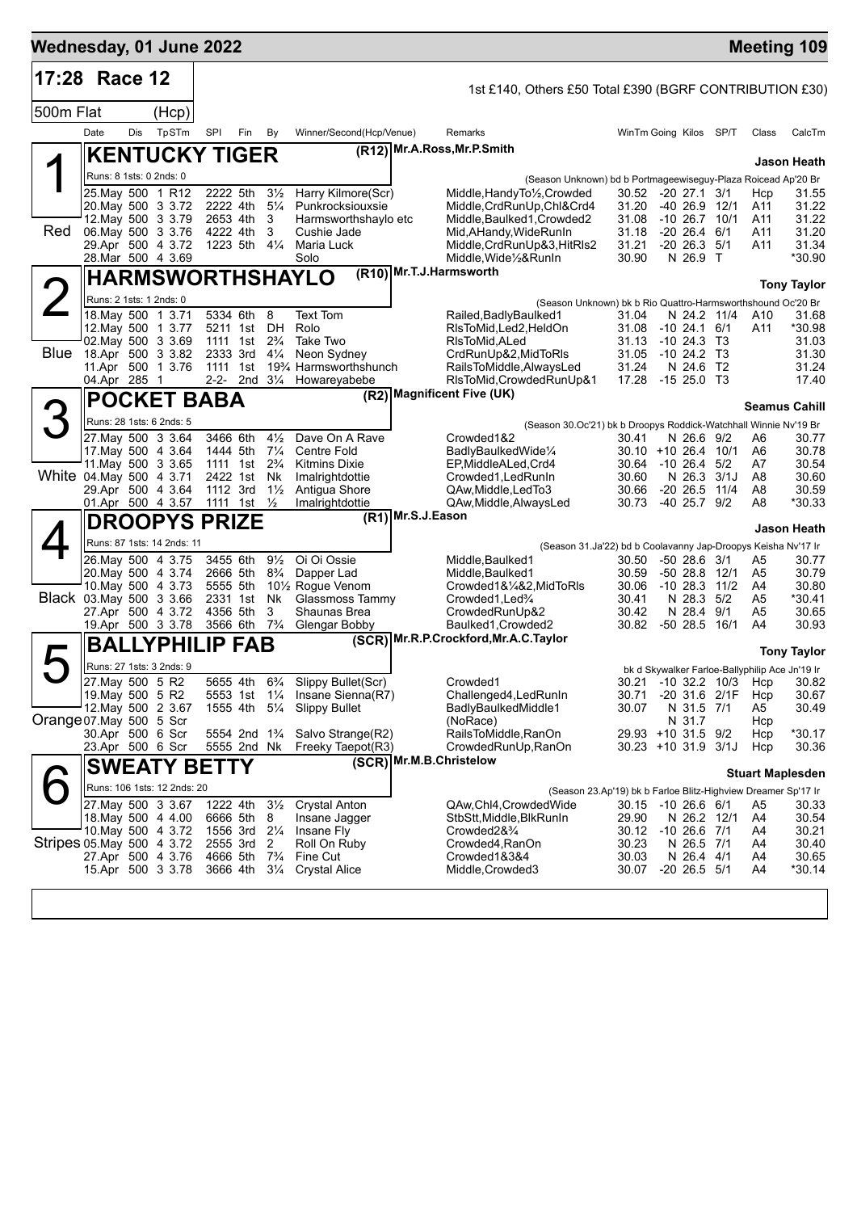|           | 17:28 Race 12                                 |     |                                                    |          |                                        |                                  |                                            | 1st £140, Others £50 Total £390 (BGRF CONTRIBUTION £30)                                                                                |                         |
|-----------|-----------------------------------------------|-----|----------------------------------------------------|----------|----------------------------------------|----------------------------------|--------------------------------------------|----------------------------------------------------------------------------------------------------------------------------------------|-------------------------|
| 500m Flat |                                               |     | (Hcp)                                              |          |                                        |                                  |                                            |                                                                                                                                        |                         |
|           | Date                                          | Dis | TpSTm                                              | SPI      | Fin                                    | By                               | Winner/Second(Hcp/Venue)                   | Remarks<br>WinTm Going Kilos SP/T                                                                                                      | Class<br>CalcTm         |
|           |                                               |     | <b>KENTUCKY TIGER</b>                              |          |                                        |                                  |                                            | (R12) Mr.A.Ross, Mr.P.Smith                                                                                                            | Jason Heath             |
|           | Runs: 8 1sts: 0 2nds: 0                       |     |                                                    |          |                                        |                                  |                                            | (Season Unknown) bd b Portmageewiseguy-Plaza Roicead Ap'20 Br                                                                          |                         |
|           |                                               |     | 25. May 500 1 R12<br>20. May 500 3 3.72            | 2222 4th | 2222 5th                               | $3\frac{1}{2}$<br>$5\frac{1}{4}$ | Harry Kilmore(Scr)<br>Punkrocksiouxsie     | Middle, Handy To <sup>1</sup> / <sub>2</sub> , Crowded<br>30.52 -20 27.1 3/1<br>Middle, CrdRunUp, Chl&Crd4<br>31.20<br>$-40$ 26.9 12/1 | 31.55<br>Hcp<br>31.22   |
|           |                                               |     | 12. May 500 3 3.79                                 |          | 2653 4th                               | 3                                | Harmsworthshaylo etc                       | Middle, Baulked1, Crowded2<br>31.08<br>$-10$ 26.7 $10/1$                                                                               | A11<br>31.22<br>A11     |
| Red       | 06. May 500 3 3.76                            |     |                                                    |          | 4222 4th                               | 3                                | Cushie Jade                                | $-20$ 26.4 6/1<br>Mid, AHandy, Wide Run In<br>31.18                                                                                    | 31.20<br>A11            |
|           | 28.Mar 500 4 3.69                             |     | 29.Apr 500 4 3.72                                  |          | 1223 5th 41/4                          |                                  | Maria Luck<br>Solo                         | Middle, CrdRunUp&3, HitRIs2<br>31.21<br>$-20$ 26.3 $5/1$<br>Middle, Wide 1/2& RunIn<br>30.90<br>N 26.9 T                               | A11<br>31.34<br>*30.90  |
|           |                                               |     | HARMSWORTHSHAYLO                                   |          |                                        |                                  |                                            | (R10) Mr.T.J.Harmsworth                                                                                                                | <b>Tony Taylor</b>      |
|           | Runs: 2 1sts: 1 2nds: 0                       |     |                                                    |          |                                        |                                  |                                            | (Season Unknown) bk b Rio Quattro-Harmsworthshound Oc'20 Br                                                                            |                         |
|           |                                               |     | 18. May 500 1 3.71                                 |          | 5334 6th                               | 8                                | <b>Text Tom</b>                            | N 24.2 11/4<br>Railed, Badly Baulked 1<br>31.04                                                                                        | A10<br>31.68            |
|           |                                               |     | 12. May 500 1 3.77                                 |          | 5211 1st DH                            |                                  | Rolo                                       | RIsToMid, Led2, HeldOn<br>31.08<br>$-1024.16/1$                                                                                        | *30.98<br>A11           |
|           | 02. May 500 3 3.69<br>Blue 18.Apr 500 3 3.82  |     |                                                    |          | 1111 1st<br>2333 3rd                   | $2\frac{3}{4}$<br>$4\frac{1}{4}$ | Take Two<br>Neon Sydney                    | RIsToMid.ALed<br>31.13<br>$-1024.3$<br>T3<br>CrdRunUp&2, MidToRIs<br>31.05<br>$-1024.2$ T3                                             | 31.03<br>31.30          |
|           |                                               |     | 11.Apr 500 1 3.76                                  |          | 1111 1st                               |                                  | 193⁄4 Harmsworthshunch                     | 31.24<br>RailsToMiddle,AlwaysLed<br>N 24.6 T2                                                                                          | 31.24                   |
|           | 04.Apr 285 1                                  |     |                                                    |          |                                        |                                  | 2-2- 2nd 31/4 Howareyabebe                 | 17.28<br>RIsToMid, Crowded RunUp&1<br>-15 25.0 T3<br>(R2) Magnificent Five (UK)                                                        | 17.40                   |
|           |                                               |     | <b>POCKET BABA</b>                                 |          |                                        |                                  |                                            |                                                                                                                                        | <b>Seamus Cahill</b>    |
|           |                                               |     | Runs: 28 1sts: 6 2nds: 5                           |          |                                        |                                  |                                            | (Season 30.Oc'21) bk b Droopys Roddick-Watchhall Winnie Nv'19 Br                                                                       |                         |
|           |                                               |     | 27 May 500 3 3.64                                  |          | 3466 6th                               | $4\frac{1}{2}$                   | Dave On A Rave                             | Crowded1&2<br>N 26.6 9/2<br>30.41                                                                                                      | 30.77<br>A6             |
|           | 17 May 500 4 3.64                             |     | 11 May 500 3 3.65                                  |          | 1444 5th<br>1111 1st                   | $7\frac{1}{4}$<br>$2\frac{3}{4}$ | Centre Fold<br><b>Kitmins Dixie</b>        | $30.10 + 1026.410/1$<br>BadlyBaulkedWide1/4<br>A6<br>30.64 -10 26.4 5/2<br>EP,MiddleALed,Crd4<br>A7                                    | 30.78<br>30.54          |
|           | White 04. May 500 4 3.71                      |     |                                                    |          | 2422 1st                               | Nk                               | Imalrightdottie                            | 30.60<br>N 26.3<br>3/1J<br>A8<br>Crowded1, Led Run In                                                                                  | 30.60                   |
|           |                                               |     | 29.Apr 500 4 3.64                                  |          | 1112 3rd                               | $1\frac{1}{2}$                   | Antigua Shore                              | 30.66<br>$-20$ 26.5 11/4<br>QAw, Middle, Led To 3                                                                                      | A8<br>30.59             |
|           |                                               |     | 01.Apr 500 4 3.57                                  | 1111     | 1st                                    | $\frac{1}{2}$                    | Imalrightdottie                            | -40 25.7 9/2<br>A8<br>QAw, Middle, Always Led<br>30.73<br>(R1) Mr.S.J.Eason                                                            | *30.33                  |
|           |                                               |     | <b>DROOPYS PRIZE</b><br>Runs: 87 1sts: 14 2nds: 11 |          |                                        |                                  |                                            |                                                                                                                                        | Jason Heath             |
|           |                                               |     | 26. May 500 4 3.75                                 |          | 3455 6th                               | $9\frac{1}{2}$                   | Oi Oi Ossie                                | (Season 31.Ja'22) bd b Coolavanny Jap-Droopys Keisha Nv'17 Ir<br>Middle, Baulked1<br>$-5028.63/1$<br>30.50                             | 30.77<br>A5             |
|           | 20. May 500 4 3.74                            |     |                                                    |          | 2666 5th                               | $8\frac{3}{4}$                   | Dapper Lad                                 | 30.59<br>$-50$ 28.8 12/1<br>Middle, Baulked1                                                                                           | 30.79<br>A5             |
|           |                                               |     | 10. May 500 4 3.73                                 |          | 5555 5th                               |                                  | 10 <sup>1</sup> / <sub>2</sub> Rogue Venom | Crowded1&1/4&2, MidToRIs<br>30.06<br>$-10$ 28.3 $11/2$<br>A4                                                                           | 30.80                   |
|           | Black 03. May 500 3 3.66                      |     |                                                    |          | 2331 1st                               | Nk.<br>3                         | Glassmoss Tammy                            | N 28.3 5/2<br>Crowded1, Led <sup>3</sup> / <sub>4</sub><br>30.41                                                                       | A5<br>*30.41            |
|           |                                               |     | 27.Apr 500 4 3.72<br>19.Apr 500 3 3.78             |          | 4356 5th<br>3566 6th                   | $7\frac{3}{4}$                   | Shaunas Brea<br>Glengar Bobby              | N 28.4<br>9/1<br>CrowdedRunUp&2<br>30.42<br>30.82<br>-50 28.5<br>16/1<br>Baulked1, Crowded2<br>A4                                      | 30.65<br>A5<br>30.93    |
|           |                                               |     | <b>BALLYPHILIP</b>                                 |          | <b>FAB</b>                             |                                  |                                            | (SCR) Mr.R.P.Crockford, Mr.A.C. Taylor                                                                                                 | <b>Tony Taylor</b>      |
|           |                                               |     | Runs: 27 1sts: 3 2nds: 9                           |          |                                        |                                  |                                            | bk d Skywalker Farloe-Ballyphilip Ace Jn'19 Ir                                                                                         |                         |
|           | 27. May 500 5 R2                              |     |                                                    |          | 5655 4th                               | $6\frac{3}{4}$                   | Slippy Bullet(Scr)                         | 30.21 -10 32.2 10/3 Hcp<br>Crowded1                                                                                                    | 30.82                   |
|           | 19. May 500 5 R2                              |     |                                                    |          |                                        |                                  | 5553 1st 1¼ Insane Sienna(R7)              | Challenged4, LedRunIn<br>-20 31.6 2/1F<br>30.71                                                                                        | 30.67<br>Hcp            |
|           | 12. May 500 2 3.67<br>Orange 07 May 500 5 Scr |     |                                                    |          |                                        |                                  | 1555 4th 51/4 Slippy Bullet                | BadlyBaulkedMiddle1<br>30.07<br>N 31.5 7/1<br>N 31.7<br>(NoRace)                                                                       | 30.49<br>A5<br>Hcp      |
|           | 30.Apr 500 6 Scr                              |     |                                                    |          | 5554 2nd 1 <sup>3</sup> / <sub>4</sub> |                                  | Salvo Strange(R2)                          | RailsToMiddle, RanOn<br>29.93 +10 31.5 9/2                                                                                             | $*30.17$<br>Hcp         |
|           | 23.Apr 500 6 Scr                              |     |                                                    |          | 5555 2nd Nk                            |                                  | Freeky Taepot(R3)                          | CrowdedRunUp, RanOn<br>$30.23 + 10.31.9$ 3/1J                                                                                          | Hcp<br>30.36            |
|           |                                               |     | <b>SWEATY BETTY</b>                                |          |                                        |                                  |                                            | (SCR) Mr.M.B.Christelow                                                                                                                | <b>Stuart Maplesden</b> |
|           |                                               |     | Runs: 106 1sts: 12 2nds: 20                        |          |                                        |                                  |                                            | (Season 23.Ap'19) bk b Farloe Blitz-Highview Dreamer Sp'17 Ir                                                                          |                         |
|           | 27. May 500 3 3.67                            |     |                                                    |          | 1222 4th                               | $3\frac{1}{2}$                   | <b>Crystal Anton</b>                       | 30.15 -10 26.6 6/1<br>QAw,Chl4,CrowdedWide                                                                                             | A5<br>30.33             |
|           |                                               |     | 18. May 500 4 4.00                                 |          | 6666 5th                               | 8                                | Insane Jagger                              | 29.90<br>StbStt,Middle,BlkRunIn<br>N 26.2 12/1<br>A4                                                                                   | 30.54                   |
|           | Stripes 05 May 500 4 3.72                     |     | 10. May 500 4 3.72                                 |          | 1556 3rd 21/4<br>2555 3rd              | 2                                | Insane Fly<br>Roll On Ruby                 | $-10$ 26.6 $7/1$<br>Crowded2&%<br>30.12<br>A4<br>30.23<br>Crowded4, RanOn<br>N 26.5 7/1<br>A4                                          | 30.21<br>30.40          |
|           |                                               |     | 27.Apr 500 4 3.76                                  |          | 4666 5th                               | $7\frac{3}{4}$                   | Fine Cut                                   | 30.03<br>N 26.4 4/1<br>Crowded1&3&4<br>A4                                                                                              | 30.65                   |
|           |                                               |     | 15.Apr 500 3 3.78                                  |          | 3666 4th                               | $3\frac{1}{4}$                   | <b>Crystal Alice</b>                       | $-20$ 26.5 $5/1$<br>Middle, Crowded 3<br>30.07<br>A4                                                                                   | $*30.14$                |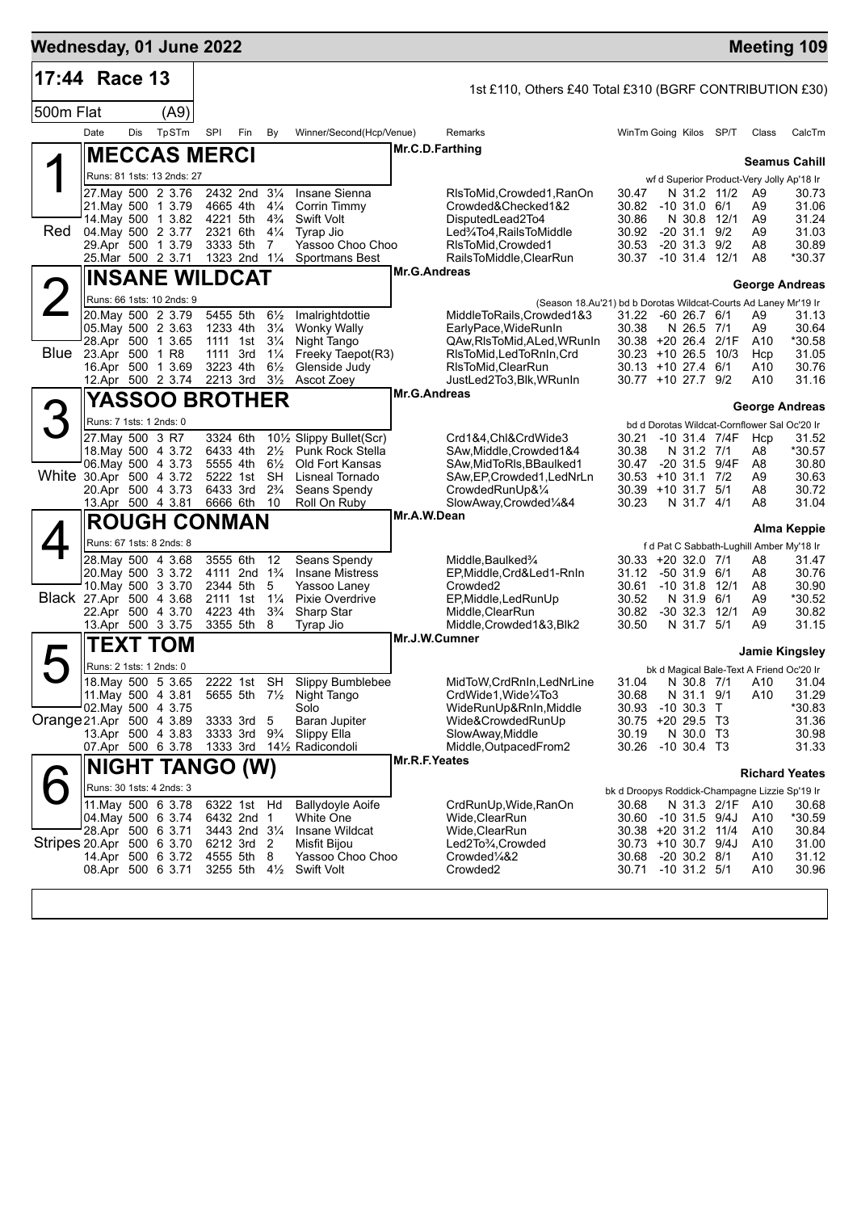| Wednesday, 01 June 2022   |                         |     |                                                                                                                                      |                                  |                                                                                     |                                                                                                          |                                                                                                                         |                     |                                                                                                                                                                 |                                                                                                                                  |                                                                                      |                 |                                      | <b>Meeting 109</b>                                                                              |
|---------------------------|-------------------------|-----|--------------------------------------------------------------------------------------------------------------------------------------|----------------------------------|-------------------------------------------------------------------------------------|----------------------------------------------------------------------------------------------------------|-------------------------------------------------------------------------------------------------------------------------|---------------------|-----------------------------------------------------------------------------------------------------------------------------------------------------------------|----------------------------------------------------------------------------------------------------------------------------------|--------------------------------------------------------------------------------------|-----------------|--------------------------------------|-------------------------------------------------------------------------------------------------|
| 17:44 Race 13             |                         |     |                                                                                                                                      |                                  |                                                                                     |                                                                                                          |                                                                                                                         |                     | 1st £110, Others £40 Total £310 (BGRF CONTRIBUTION £30)                                                                                                         |                                                                                                                                  |                                                                                      |                 |                                      |                                                                                                 |
| 500m Flat                 |                         |     | (A9)                                                                                                                                 |                                  |                                                                                     |                                                                                                          |                                                                                                                         |                     |                                                                                                                                                                 |                                                                                                                                  |                                                                                      |                 |                                      |                                                                                                 |
|                           | Date                    | Dis | TpSTm                                                                                                                                | <b>SPI</b>                       | Fin                                                                                 | By                                                                                                       | Winner/Second(Hcp/Venue)                                                                                                |                     | Remarks                                                                                                                                                         | WinTm Going Kilos SP/T                                                                                                           |                                                                                      |                 | Class                                | CalcTm                                                                                          |
|                           |                         |     | <b>IMECCAS MERCI</b>                                                                                                                 |                                  |                                                                                     |                                                                                                          |                                                                                                                         | Mr.C.D.Farthing     |                                                                                                                                                                 |                                                                                                                                  |                                                                                      |                 |                                      | <b>Seamus Cahill</b>                                                                            |
|                           |                         |     | Runs: 81 1sts: 13 2nds: 27                                                                                                           |                                  |                                                                                     |                                                                                                          |                                                                                                                         |                     |                                                                                                                                                                 |                                                                                                                                  |                                                                                      |                 |                                      | wf d Superior Product-Very Jolly Ap'18 Ir                                                       |
| Red                       |                         |     | 27. May 500 2 3.76<br>21. May 500 1 3.79<br>14. May 500 1 3.82<br>04. May 500 2 3.77<br>29.Apr 500 1 3.79                            | 4221 5th<br>2321 6th             | 2432 2nd 31/4<br>4665 4th<br>3333 5th                                               | $4\frac{1}{4}$<br>$4\frac{3}{4}$<br>$4\frac{1}{4}$<br>7                                                  | Insane Sienna<br>Corrin Timmy<br><b>Swift Volt</b><br>Tyrap Jio<br>Yassoo Choo Choo                                     |                     | RIsToMid.Crowded1.RanOn<br>Crowded&Checked1&2<br>DisputedLead2To4<br>Led%To4,RailsToMiddle<br>RIsToMid, Crowded1                                                | 30.47<br>30.82<br>30.86<br>30.92<br>30.53                                                                                        | N 31.2 11/2<br>$-10$ 31.0 6/1<br>N 30.8 12/1<br>$-20$ 31.1 $9/2$<br>$-20$ 31.3 $9/2$ |                 | - A9<br>A9<br>A9<br>A9<br>A8         | 30.73<br>31.06<br>31.24<br>31.03<br>30.89                                                       |
|                           |                         |     | 25.Mar 500 2 3.71                                                                                                                    |                                  | 1323 2nd 11/4                                                                       |                                                                                                          | Sportmans Best                                                                                                          | Mr.G.Andreas        | RailsToMiddle,ClearRun                                                                                                                                          | 30.37 -10 31.4 12/1                                                                                                              |                                                                                      |                 | A8                                   | *30.37                                                                                          |
|                           |                         |     | <b>INSANE WILDCAT</b>                                                                                                                |                                  |                                                                                     |                                                                                                          |                                                                                                                         |                     |                                                                                                                                                                 |                                                                                                                                  |                                                                                      |                 |                                      | <b>George Andreas</b>                                                                           |
| 2                         |                         |     | Runs: 66 1sts: 10 2nds: 9                                                                                                            |                                  |                                                                                     |                                                                                                          |                                                                                                                         |                     | (Season 18.Au'21) bd b Dorotas Wildcat-Courts Ad Laney Mr'19 Ir                                                                                                 |                                                                                                                                  |                                                                                      |                 |                                      |                                                                                                 |
| Blue                      | 23.Apr 500 1 R8         |     | 20. May 500 2 3.79<br>05. May 500 2 3.63<br>28.Apr 500 1 3.65<br>16.Apr 500 1 3.69<br>12.Apr 500 2 3.74                              | 5455 5th<br>3223 4th             | 1233 4th<br>1111 1st<br>1111 3rd<br>2213 3rd                                        | $6\frac{1}{2}$<br>$3\frac{1}{4}$<br>$3\frac{1}{4}$<br>$1\frac{1}{4}$<br>$6\frac{1}{2}$<br>$3\frac{1}{2}$ | Imalrightdottie<br><b>Wonky Wally</b><br>Night Tango<br>Freeky Taepot(R3)<br>Glenside Judy<br>Ascot Zoey                |                     | MiddleToRails,Crowded1&3<br>EarlyPace, WideRunIn<br>QAw, RIs To Mid, ALed, WRunIn<br>RIsToMid, LedToRnIn, Crd<br>RIsToMid, ClearRun<br>JustLed2To3,Blk,WRunIn   | 31.22 -60 26.7 6/1<br>30.38<br>30.38 +20 26.4 2/1F<br>$30.23 + 1026.510/3$<br>30.13 +10 27.4 6/1<br>30.77 +10 27.7 9/2           | N 26.5 7/1                                                                           |                 | A9<br>A9<br>A10<br>Hcp<br>A10<br>A10 | 31.13<br>30.64<br>*30.58<br>31.05<br>30.76<br>31.16                                             |
|                           |                         |     | <b>YASSOO BROTHER</b>                                                                                                                |                                  |                                                                                     |                                                                                                          |                                                                                                                         | <b>Mr.G.Andreas</b> |                                                                                                                                                                 |                                                                                                                                  |                                                                                      |                 |                                      | <b>George Andreas</b>                                                                           |
| 3                         | Runs: 7 1sts: 1 2nds: 0 |     |                                                                                                                                      |                                  |                                                                                     |                                                                                                          |                                                                                                                         |                     |                                                                                                                                                                 |                                                                                                                                  |                                                                                      |                 |                                      | bd d Dorotas Wildcat-Cornflower Sal Oc'20 Ir                                                    |
| White 30.Apr 500 4 3.72   | 27. May 500 3 R7        |     | 18. May 500 4 3.72<br>06 May 500 4 3.73<br>20.Apr 500 4 3.73<br>13.Apr 500 4 3.81                                                    | 3324 6th<br>6433 4th<br>5222 1st | 5555 4th<br>6433 3rd<br>6666 6th                                                    | $2\frac{1}{2}$<br>$6\frac{1}{2}$<br><b>SH</b><br>$2\frac{3}{4}$<br>10                                    | 10½ Slippy Bullet(Scr)<br><b>Punk Rock Stella</b><br>Old Fort Kansas<br>Lisneal Tornado<br>Seans Spendy<br>Roll On Ruby |                     | Crd1&4,Chl&CrdWide3<br>SAw,Middle,Crowded1&4<br>SAw, MidToRIs, BBaulked1<br>SAw, EP, Crowded 1, LedNrLn<br>CrowdedRunUp&1/4<br>SlowAway,Crowded1/4&4            | 30.21<br>30.38<br>30.47<br>$30.53 + 10.31.1$ 7/2<br>30.39 +10 31.7 5/1<br>30.23                                                  | $-10$ 31.4 $7/4F$<br>N 31.2 7/1<br>-20 31.5 9/4F<br>N 31.7 4/1                       |                 | Hcp<br>A8<br>A8<br>A9<br>A8<br>A8    | 31.52<br>*30.57<br>30.80<br>30.63<br>30.72<br>31.04                                             |
|                           |                         |     | <b>ROUGH CONMAN</b>                                                                                                                  |                                  |                                                                                     |                                                                                                          |                                                                                                                         | Mr.A.W.Dean         |                                                                                                                                                                 |                                                                                                                                  |                                                                                      |                 |                                      | <b>Alma Keppie</b>                                                                              |
| Black 27.Apr 500 4 3.68   |                         |     | Runs: 67 1sts: 8 2nds: 8<br>28. May 500 4 3.68<br>20. May 500 3 3.72<br>10. May 500 3 3.70<br>22.Apr 500 4 3.70<br>13.Apr 500 3 3.75 | 2344 5th<br>4223 4th             | 3555 6th<br>4111 2nd 1 <sup>3</sup> / <sub>4</sub><br>2111 1st<br>3355 5th          | 12<br>5<br>$1\frac{1}{4}$<br>$3\frac{3}{4}$<br>8                                                         | Seans Spendy<br><b>Insane Mistress</b><br>Yassoo Laney<br>Pixie Overdrive<br>Sharp Star<br>Tyrap Jio                    |                     | Middle, Baulked <sup>3</sup> /4<br>EP, Middle, Crd&Led1-RnIn<br>Crowded <sub>2</sub><br>EP, Middle, Led Run Up<br>Middle, ClearRun<br>Middle, Crowded 1&3, Blk2 | 30.33 +20 32.0 7/1<br>31.12<br>30.61<br>30.52<br>30.82<br>30.50                                                                  | -50 31.9 6/1<br>$-10$ 31.8 12/1<br>N 31.9 6/1<br>$-30$ 32.3 12/1<br>N 31.7 5/1       |                 | A8<br>A8<br>A8<br>A9<br>A9<br>A9     | f d Pat C Sabbath-Lughill Amber My'18 Ir<br>31.47<br>30.76<br>30.90<br>*30.52<br>30.82<br>31.15 |
|                           |                         |     | TEXT TOM                                                                                                                             |                                  |                                                                                     |                                                                                                          |                                                                                                                         | Mr.J.W.Cumner       |                                                                                                                                                                 |                                                                                                                                  |                                                                                      |                 |                                      |                                                                                                 |
|                           | Runs: 2 1sts: 1 2nds: 0 |     |                                                                                                                                      |                                  |                                                                                     |                                                                                                          |                                                                                                                         |                     |                                                                                                                                                                 |                                                                                                                                  |                                                                                      |                 |                                      | Jamie Kingsley<br>bk d Magical Bale-Text A Friend Oc'20 Ir                                      |
| Orange 21.Apr 500 4 3.89  |                         |     | 18. May 500 5 3.65<br>11. May 500 4 3.81<br>02. May 500 4 3.75<br>13.Apr 500 4 3.83<br>07.Apr 500 6 3.78                             |                                  | 2222 1st SH<br>3333 3rd<br>3333 3rd 93/4                                            | - 5                                                                                                      | Slippy Bumblebee<br>5655 5th 71/2 Night Tango<br>Solo<br>Baran Jupiter<br>Slippy Ella<br>1333 3rd 141/2 Radicondoli     | Mr.R.F.Yeates       | MidToW, CrdRnIn, LedNrLine<br>CrdWide1, Wide1/4To3<br>WideRunUp&RnIn, Middle<br>Wide&CrowdedRunUp<br>SlowAway, Middle<br>Middle, Outpaced From 2                | 31.04<br>30.68<br>30.93<br>30.75 +20 29.5 T3<br>30.19<br>30.26                                                                   | N 31.1 9/1<br>$-10$ 30.3 T<br>N 30.0 T3<br>$-10,30.4$ T3                             |                 | N 30.8 7/1 A10<br>A10                | 31.04<br>31.29<br>*30.83<br>31.36<br>30.98<br>31.33                                             |
|                           |                         |     | NIGHT TANGO (W)                                                                                                                      |                                  |                                                                                     |                                                                                                          |                                                                                                                         |                     |                                                                                                                                                                 |                                                                                                                                  |                                                                                      |                 |                                      | <b>Richard Yeates</b>                                                                           |
| Stripes 20.Apr 500 6 3.70 |                         |     | Runs: 30 1sts: 4 2nds: 3<br>11 May 500 6 3.78<br>04. May 500 6 3.74<br>28.Apr 500 6 3.71<br>14.Apr 500 6 3.72<br>08.Apr 500 6 3.71   |                                  | 6322 1st Hd<br>6432 2nd 1<br>3443 2nd 31/4<br>6212 3rd<br>4555 5th<br>3255 5th 41/2 | -2<br>8                                                                                                  | <b>Ballydoyle Aoife</b><br><b>White One</b><br>Insane Wildcat<br>Misfit Bijou<br>Yassoo Choo Choo<br><b>Swift Volt</b>  |                     | CrdRunUp, Wide, RanOn<br>Wide, ClearRun<br>Wide, ClearRun<br>Led2To <sup>3</sup> / <sub>4</sub> ,Crowded<br>Crowded <sup>1</sup> /4&2<br>Crowded2               | bk d Droopys Roddick-Champagne Lizzie Sp'19 Ir<br>30.68<br>30.60<br>30.38 +20 31.2 11/4<br>30.73 +10 30.7 9/4J<br>30.68<br>30.71 | $-10$ 31.5 $9/4J$<br>-20 30.2 8/1<br>$-10$ 31.2 $5/1$                                | N 31.3 2/1F A10 | A10<br>A10<br>A10<br>A10<br>A10      | 30.68<br>*30.59<br>30.84<br>31.00<br>31.12<br>30.96                                             |
|                           |                         |     |                                                                                                                                      |                                  |                                                                                     |                                                                                                          |                                                                                                                         |                     |                                                                                                                                                                 |                                                                                                                                  |                                                                                      |                 |                                      |                                                                                                 |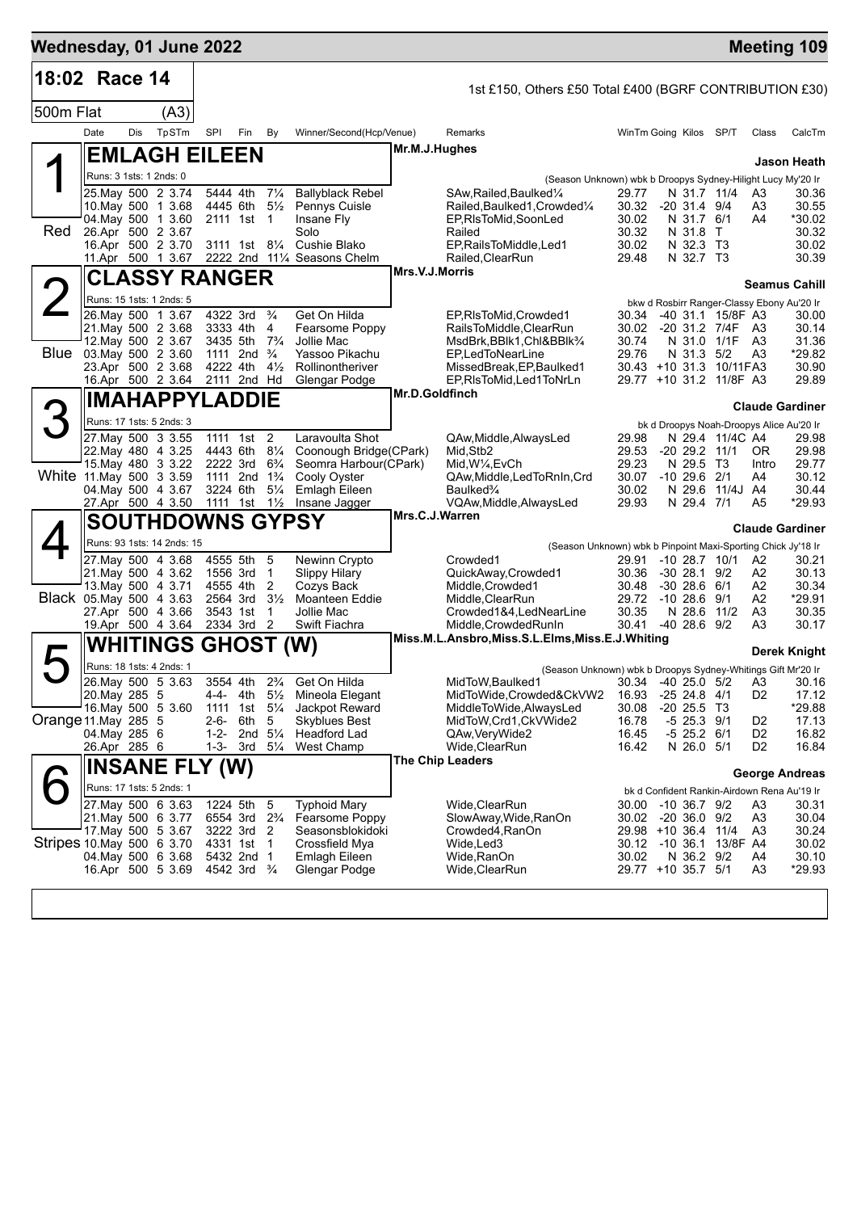| Wednesday, 01 June 2022   |                               |     |                                          |                      |                                                    |                                  |                                                                |                |                                                                 |                        |                                   |                                    |                                  | <b>Meeting 109</b>                                   |
|---------------------------|-------------------------------|-----|------------------------------------------|----------------------|----------------------------------------------------|----------------------------------|----------------------------------------------------------------|----------------|-----------------------------------------------------------------|------------------------|-----------------------------------|------------------------------------|----------------------------------|------------------------------------------------------|
| 18:02 Race 14             |                               |     |                                          |                      |                                                    |                                  |                                                                |                | 1st £150, Others £50 Total £400 (BGRF CONTRIBUTION £30)         |                        |                                   |                                    |                                  |                                                      |
| 500m Flat                 |                               |     | (A3)                                     |                      |                                                    |                                  |                                                                |                |                                                                 |                        |                                   |                                    |                                  |                                                      |
|                           | Date                          | Dis | TpSTm                                    | SPI                  | Fin                                                | By                               | Winner/Second(Hcp/Venue)                                       |                | Remarks                                                         | WinTm Going Kilos SP/T |                                   |                                    | Class                            | CalcTm                                               |
|                           |                               |     | <b>EMLAGH EILEEN</b>                     |                      |                                                    |                                  |                                                                | Mr.M.J.Hughes  |                                                                 |                        |                                   |                                    |                                  |                                                      |
|                           | Runs: 3 1sts: 1 2nds: 0       |     |                                          |                      |                                                    |                                  |                                                                |                | (Season Unknown) wbk b Droopys Sydney-Hilight Lucy My'20 Ir     |                        |                                   |                                    |                                  | Jason Heath                                          |
|                           |                               |     | 25. May 500 2 3.74                       |                      | 5444 4th 71/4                                      |                                  | <b>Ballyblack Rebel</b>                                        |                | SAw, Railed, Baulked 1/4                                        | 29.77                  |                                   | N 31.7 11/4                        | A3                               | 30.36                                                |
|                           |                               |     | 10. May 500 1 3.68<br>04. May 500 1 3.60 |                      | 4445 6th 51/2<br>2111 1st 1                        |                                  | Pennys Cuisle<br>Insane Fly                                    |                | Railed, Baulked1, Crowded1/4<br>EP, RIsToMid, SoonLed           | 30.32<br>30.02         | $-20$ 31.4 $9/4$<br>N 31.7 6/1    |                                    | A3<br>A4                         | 30.55<br>*30.02                                      |
| Red                       | 26.Apr 500 2 3.67             |     |                                          |                      |                                                    |                                  | Solo                                                           |                | Railed                                                          | 30.32                  | N 31.8 T                          |                                    |                                  | 30.32                                                |
|                           |                               |     | 16.Apr 500 2 3.70                        |                      | 3111 1st 81/4                                      |                                  | Cushie Blako<br>11.Apr 500 1 3.67 2222 2nd 111/4 Seasons Chelm |                | EP, Rails To Middle, Led1<br>Railed, ClearRun                   | 30.02<br>29.48         | N 32.3 T3<br>N 32.7 T3            |                                    |                                  | 30.02<br>30.39                                       |
|                           |                               |     | <b>CLASSY RANGER</b>                     |                      |                                                    |                                  |                                                                | Mrs.V.J.Morris |                                                                 |                        |                                   |                                    |                                  |                                                      |
|                           |                               |     | Runs: 15 1sts: 1 2nds: 5                 |                      |                                                    |                                  |                                                                |                |                                                                 |                        |                                   |                                    |                                  | <b>Seamus Cahill</b>                                 |
|                           |                               |     | 26. May 500 1 3.67                       |                      | 4322 3rd <sup>3</sup> / <sub>4</sub>               |                                  | Get On Hilda                                                   |                | EP, RIsToMid, Crowded 1                                         | 30.34                  |                                   | -40 31.1 15/8F A3                  |                                  | bkw d Rosbirr Ranger-Classy Ebony Au'20 Ir<br>30.00  |
|                           |                               |     | 21. May 500 2 3.68                       | 3333 4th             |                                                    | 4                                | Fearsome Poppy                                                 |                | RailsToMiddle, ClearRun                                         | 30.02                  |                                   | -20 31.2 7/4F                      | - A3                             | 30.14                                                |
|                           | Blue 03 May 500 2 3.60        |     | 12. May 500 2 3.67                       | 3435 5th             | 1111 2nd $\frac{3}{4}$                             | $7\frac{3}{4}$                   | Jollie Mac<br>Yassoo Pikachu                                   |                | MsdBrk, BBlk1, Chl&BBlk <sup>3</sup> /4<br>EP,LedToNearLine     | 30.74<br>29.76         | N 31.3 5/2                        | N 31.0 1/1F                        | A3<br>A3                         | 31.36<br>*29.82                                      |
|                           |                               |     | 23.Apr 500 2 3.68                        | 4222 4th             |                                                    | $4\frac{1}{2}$                   | Rollinontheriver                                               |                | MissedBreak, EP, Baulked1                                       |                        |                                   | 30.43 +10 31.3 10/11 FA3           |                                  | 30.90                                                |
|                           |                               |     | 16.Apr 500 2 3.64 2111 2nd Hd            |                      |                                                    |                                  | Glengar Podge                                                  | Mr.D.Goldfinch | EP, RIsToMid, Led1ToNrLn                                        |                        |                                   | 29.77 +10 31.2 11/8F A3            |                                  | 29.89                                                |
|                           |                               |     | <b>IMAHAPPYLADDIE</b>                    |                      |                                                    |                                  |                                                                |                |                                                                 |                        |                                   |                                    |                                  | <b>Claude Gardiner</b>                               |
|                           |                               |     | Runs: 17 1sts: 5 2nds: 3                 |                      |                                                    |                                  |                                                                |                |                                                                 |                        |                                   |                                    |                                  | bk d Droopys Noah-Droopys Alice Au'20 Ir             |
|                           |                               |     | 27. May 500 3 3.55<br>22. May 480 4 3.25 |                      | 1111 1st<br>4443 6th 81/4                          | 2                                | Laravoulta Shot<br>Coonough Bridge(CPark)                      |                | QAw, Middle, Always Led<br>Mid, Stb2                            | 29.98<br>29.53         |                                   | N 29.4 11/4C A4<br>$-20$ 29.2 11/1 | OR.                              | 29.98<br>29.98                                       |
|                           |                               |     | 15. May 480 3 3.22                       |                      | 2222 3rd 6 <sup>3</sup> / <sub>4</sub>             |                                  | Seomra Harbour(CPark)                                          |                | Mid, W¼, EvCh                                                   | 29.23                  | N 29.5 T3                         |                                    | Intro                            | 29.77                                                |
| White 11 May 500 3 3.59   |                               |     | 04. May 500 4 3.67                       |                      | 1111 2nd 1 <sup>3</sup> / <sub>4</sub><br>3224 6th | $5\frac{1}{4}$                   | Cooly Oyster<br>Emlagh Eileen                                  |                | QAw,Middle,LedToRnIn,Crd<br>Baulked <sup>3</sup> / <sub>4</sub> | 30.07<br>30.02         | $-10$ 29.6 $2/1$                  | N 29.6 11/4J A4                    | A4                               | 30.12<br>30.44                                       |
|                           |                               |     | 27.Apr 500 4 3.50                        | 1111 1st 1½          |                                                    |                                  | Insane Jagger                                                  |                | VQAw, Middle, AlwaysLed                                         | 29.93                  | N 29.4 7/1                        |                                    | A <sub>5</sub>                   | *29.93                                               |
|                           |                               |     | <b>SOUTHDOWNS GYPSY</b>                  |                      |                                                    |                                  |                                                                | Mrs.C.J.Warren |                                                                 |                        |                                   |                                    |                                  | <b>Claude Gardiner</b>                               |
|                           |                               |     | Runs: 93 1sts: 14 2nds: 15               |                      |                                                    |                                  |                                                                |                | (Season Unknown) wbk b Pinpoint Maxi-Sporting Chick Jy'18 Ir    |                        |                                   |                                    |                                  |                                                      |
|                           |                               |     | 27. May 500 4 3.68<br>21. May 500 4 3.62 | 1556 3rd             | 4555 5th 5                                         | $\overline{1}$                   | Newinn Crypto<br>Slippy Hilary                                 |                | Crowded1                                                        | 29.91<br>30.36         | $-30$ 28.1 $9/2$                  | $-1028.710/1$                      | A2<br>A2                         | 30.21<br>30.13                                       |
|                           |                               |     | 13. May 500 4 3.71                       |                      | 4555 4th 2                                         |                                  | Cozys Back                                                     |                | QuickAway,Crowded1<br>Middle, Crowded1                          | 30.48                  | $-30$ 28.6 6/1                    |                                    | A2                               | 30.34                                                |
| Black 05. May 500 4 3.63  |                               |     |                                          | 2564 3rd<br>3543 1st |                                                    | $3\frac{1}{2}$<br>$\overline{1}$ | <b>Moanteen Eddie</b><br>Jollie Mac                            |                | Middle, ClearRun<br>Crowded1&4,LedNearLine                      | 29.72<br>30.35         | $-1028.69/1$                      | N 28.6 11/2                        | A2<br>A3                         | *29.91<br>30.35                                      |
|                           |                               |     | 27.Apr 500 4 3.66<br>19.Apr 500 4 3.64   |                      | 2334 3rd 2                                         |                                  | Swift Fiachra                                                  |                | Middle, Crowded RunIn                                           | 30.41                  | $-40, 28.6, 9/2$                  |                                    | A3                               | 30.17                                                |
|                           |                               |     | <b>WHITINGS GHOST (W)</b>                |                      |                                                    |                                  |                                                                |                | Miss.M.L.Ansbro,Miss.S.L.Elms,Miss.E.J.Whiting                  |                        |                                   |                                    |                                  | Derek Knight                                         |
|                           | Runs: 18 1sts: 4 2nds: 1      |     |                                          |                      |                                                    |                                  |                                                                |                | (Season Unknown) wbk b Droopys Sydney-Whitings Gift Mr'20 Ir    |                        |                                   |                                    |                                  |                                                      |
|                           |                               |     | 26. May 500 5 3.63                       |                      | 3554 4th                                           | $2\frac{3}{4}$                   | Get On Hilda                                                   |                | MidToW, Baulked1                                                |                        |                                   | 30.34 -40 25.0 5/2                 |                                  | A3 30.16                                             |
|                           | 20. May 285 5                 |     | 16. May 500 5 3.60                       | 4-4-<br>1111         | 4th<br>1st 51/ <sub>4</sub>                        | $5\frac{1}{2}$                   | Mineola Elegant<br>Jackpot Reward                              |                | MidToWide, Crowded&CkVW2<br>MiddleToWide, AlwaysLed             | 16.93<br>30.08         | $-25$ 24.8 $4/1$<br>$-20$ 25.5 T3 |                                    | D <sub>2</sub>                   | 17.12<br>*29.88                                      |
| Orange 11. May 285 5      |                               |     |                                          | $2 - 6 -$            | 6th                                                | 5                                | <b>Skyblues Best</b>                                           |                | MidToW,Crd1,CkVWide2                                            | 16.78                  | $-5$ 25.3 $9/1$                   |                                    | D <sub>2</sub>                   | 17.13                                                |
|                           | 04. May 285 6<br>26.Apr 285 6 |     |                                          | $1 - 3 -$            | 1-2- 2nd $5\frac{1}{4}$<br>3rd                     | $5\frac{1}{4}$                   | <b>Headford Lad</b><br>West Champ                              |                | QAw, Very Wide2<br>Wide, ClearRun                               | 16.45<br>16.42         | $-5$ 25.2 $6/1$<br>N 26.0 5/1     |                                    | D <sub>2</sub><br>D <sub>2</sub> | 16.82<br>16.84                                       |
|                           |                               |     | <b>INSANE FLY (W)</b>                    |                      |                                                    |                                  |                                                                |                | <b>The Chip Leaders</b>                                         |                        |                                   |                                    |                                  |                                                      |
|                           |                               |     | Runs: 17 1sts: 5 2nds: 1                 |                      |                                                    |                                  |                                                                |                |                                                                 |                        |                                   |                                    |                                  | <b>George Andreas</b>                                |
|                           |                               |     | 27. May 500 6 3.63                       | 1224 5th             |                                                    | -5                               | <b>Typhoid Mary</b>                                            |                | Wide, ClearRun                                                  | 30.00                  | $-10$ 36.7 $9/2$                  |                                    | A3                               | bk d Confident Rankin-Airdown Rena Au'19 Ir<br>30.31 |
|                           |                               |     | 21. May 500 6 3.77                       |                      | 6554 3rd 2 <sup>3</sup> / <sub>4</sub>             |                                  | Fearsome Poppy                                                 |                | SlowAway, Wide, RanOn                                           | 30.02                  | $-20, 36.0, 9/2$                  |                                    | A3                               | 30.04                                                |
| Stripes 10 May 500 6 3.70 |                               |     | 17 May 500 5 3.67                        | 4331 1st             | 3222 3rd 2                                         | $\overline{1}$                   | Seasonsblokidoki<br>Crossfield Mya                             |                | Crowded4, RanOn<br>Wide, Led3                                   | 29.98 +10 36.4 11/4    |                                   | 30.12 -10 36.1 13/8F A4            | A3                               | 30.24<br>30.02                                       |
|                           |                               |     | 04. May 500 6 3.68                       |                      | 5432 2nd 1                                         |                                  | Emlagh Eileen                                                  |                | Wide,RanOn                                                      | 30.02                  | N 36.2 9/2                        |                                    | A4                               | 30.10                                                |
|                           |                               |     | 16.Apr 500 5 3.69                        |                      | 4542 3rd <sup>3</sup> / <sub>4</sub>               |                                  | Glengar Podge                                                  |                | Wide, Clear Run                                                 | 29.77 +10 35.7 5/1     |                                   |                                    | A <sub>3</sub>                   | *29.93                                               |
|                           |                               |     |                                          |                      |                                                    |                                  |                                                                |                |                                                                 |                        |                                   |                                    |                                  |                                                      |
|                           |                               |     |                                          |                      |                                                    |                                  |                                                                |                |                                                                 |                        |                                   |                                    |                                  |                                                      |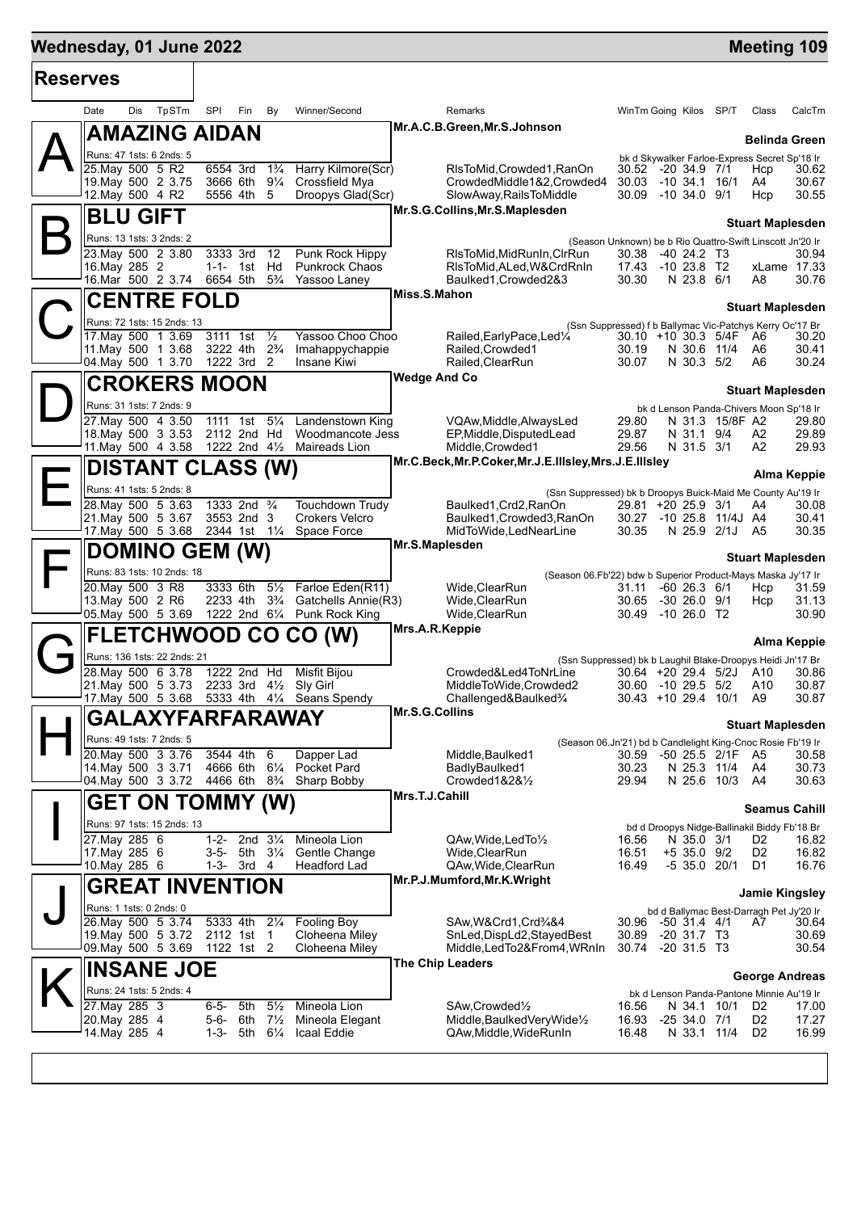## **Wednesday, 01 June 2022 Meeting 109**

| <b>Reserves</b> |                                                   |                                                      |                                  |                                       |                     |                                                                                      |                                                                    |                                                           |                 |                                  |                      |  |
|-----------------|---------------------------------------------------|------------------------------------------------------|----------------------------------|---------------------------------------|---------------------|--------------------------------------------------------------------------------------|--------------------------------------------------------------------|-----------------------------------------------------------|-----------------|----------------------------------|----------------------|--|
|                 | TpSTm<br>Date<br>Dis                              | SPI<br>Fin                                           | By                               | Winner/Second                         |                     | Remarks                                                                              |                                                                    | WinTm Going Kilos SP/T                                    |                 | Class                            | CalcTm               |  |
|                 | <b>AMAZING AIDAN</b>                              |                                                      |                                  |                                       |                     | Mr.A.C.B.Green, Mr.S.Johnson                                                         |                                                                    |                                                           |                 | <b>Belinda Green</b>             |                      |  |
|                 | Runs: 47 1sts: 6 2nds: 5                          |                                                      |                                  |                                       |                     |                                                                                      |                                                                    | bk d Skywalker Farloe-Express Secret Sp'18 Ir             |                 |                                  |                      |  |
|                 | 25. May 500 5 R2<br>19. May 500 2 3.75            | 6554 3rd<br>3666 6th                                 | $1\frac{3}{4}$<br>$9\frac{1}{4}$ | Harry Kilmore(Scr)<br>Crossfield Mya  |                     | RIsToMid.Crowded1.RanOn<br>CrowdedMiddle1&2,Crowded4                                 | 30.03                                                              | 30.52 -20 34.9 7/1<br>$-10, 34.1, 16/1$                   |                 | Hcp<br>A4                        | 30.62<br>30.67       |  |
|                 | 12. May 500 4 R2                                  | 5556 4th                                             | 5                                | Droopys Glad(Scr)                     |                     | SlowAway,RailsToMiddle                                                               | 30.09                                                              | $-10, 34.0, 9/1$                                          |                 | Hcp                              | 30.55                |  |
|                 | <b>BLU GIFT</b>                                   |                                                      |                                  |                                       |                     | Mr.S.G.Collins, Mr.S.Maplesden                                                       |                                                                    |                                                           |                 | <b>Stuart Maplesden</b>          |                      |  |
|                 | Runs: 13 1sts: 3 2nds: 2                          |                                                      |                                  |                                       |                     |                                                                                      |                                                                    | (Season Unknown) be b Rio Quattro-Swift Linscott Jn'20 Ir |                 |                                  |                      |  |
|                 | 23. May 500 2 3.80                                | 3333 3rd                                             | 12                               | Punk Rock Hippy                       |                     | RIsToMid, MidRunIn, CIrRun                                                           | 30.38                                                              | -40 24.2 T3                                               |                 |                                  | 30.94                |  |
|                 | 16. May 285 2<br>16.Mar 500 2 3.74                | $1 - 1 -$<br>1st<br>6654 5th                         | Hd<br>$5\frac{3}{4}$             | <b>Punkrock Chaos</b><br>Yassoo Laney |                     | RIsToMid, ALed, W&CrdRnIn<br>Baulked1, Crowded 2&3                                   | 17.43<br>30.30                                                     | -10 23.8 T2<br>N 23.8 6/1                                 |                 | A8                               | xLame 17.33<br>30.76 |  |
|                 | <b>CENTRE FOLD</b>                                |                                                      |                                  |                                       | Miss.S.Mahon        |                                                                                      |                                                                    |                                                           |                 |                                  |                      |  |
|                 | Runs: 72 1sts: 15 2nds: 13                        |                                                      |                                  |                                       |                     |                                                                                      |                                                                    | (Ssn Suppressed) f b Ballymac Vic-Patchys Kerry Oc'17 Br  |                 | <b>Stuart Maplesden</b>          |                      |  |
|                 | 17. May 500 1 3.69                                | 3111 1st                                             | $\frac{1}{2}$                    | Yassoo Choo Choo                      |                     | Railed, Early Pace, Led <sup>1/4</sup>                                               |                                                                    | 30.10 +10 30.3 5/4F                                       |                 | - A6                             | 30.20                |  |
|                 | 11. May 500 1 3.68<br>04 May 500 1 3.70           | 3222 4th 2 <sup>3</sup> / <sub>4</sub><br>1222 3rd 2 |                                  | Imahappychappie<br>Insane Kiwi        |                     | Railed, Crowded1<br>Railed, ClearRun                                                 | 30.19<br>30.07                                                     | N 30.6 11/4<br>N 30.3 5/2                                 |                 | A6<br>A6                         | 30.41<br>30.24       |  |
|                 | <b>CROKERS MOON</b>                               |                                                      |                                  |                                       | <b>Wedge And Co</b> |                                                                                      |                                                                    |                                                           |                 |                                  |                      |  |
|                 | Runs: 31 1sts: 7 2nds: 9                          |                                                      |                                  |                                       |                     |                                                                                      | <b>Stuart Maplesden</b><br>bk d Lenson Panda-Chivers Moon Sp'18 Ir |                                                           |                 |                                  |                      |  |
|                 | 27. May 500 4 3.50                                | 1111 1st                                             | $5\frac{1}{4}$                   | Landenstown King                      |                     | VQAw, Middle, Always Led                                                             | 29.80                                                              |                                                           | N 31.3 15/8F A2 |                                  | 29.80                |  |
|                 | 18. May 500 3 3.53<br>11. May 500 4 3.58          | 2112 2nd Hd<br>1222 2nd 41/2                         |                                  | Woodmancote Jess<br>Maireads Lion     |                     | EP, Middle, DisputedLead<br>Middle, Crowded1                                         | 29.87<br>29.56                                                     | N 31.1 9/4<br>N 31.5 3/1                                  |                 | A2<br>A <sub>2</sub>             | 29.89<br>29.93       |  |
|                 |                                                   |                                                      |                                  |                                       |                     | Mr.C.Beck, Mr.P.Coker, Mr.J.E.IIIsley, Mrs.J.E.IIIsley                               |                                                                    |                                                           |                 |                                  |                      |  |
|                 | <b>DISTANT CLASS (W)</b>                          |                                                      |                                  |                                       |                     |                                                                                      |                                                                    |                                                           |                 |                                  | Alma Keppie          |  |
|                 | Runs: 41 1sts: 5 2nds: 8<br>28. May 500 5 3.63    | 1333 2nd <sup>3</sup> / <sub>4</sub>                 |                                  | Touchdown Trudy                       |                     | (Ssn Suppressed) bk b Droopys Buick-Maid Me County Au'19 Ir<br>Baulked1, Crd2, RanOn |                                                                    | 29.81 +20 25.9 3/1                                        |                 | A4                               | 30.08                |  |
|                 | 21. May 500 5 3.67                                | 3553 2nd 3                                           |                                  | Crokers Velcro                        |                     | Baulked1, Crowded3, RanOn                                                            |                                                                    | 30.27 -10 25.8 11/4J A4                                   |                 |                                  | 30.41                |  |
|                 | 17 May 500 5 3.68                                 | 2344 1st 11/4                                        |                                  | Space Force                           | Mr.S.Maplesden      | MidToWide,LedNearLine                                                                | 30.35                                                              | N 25.9 2/1J A5                                            |                 |                                  | 30.35                |  |
|                 | <b>DOMINO GEM (W)</b>                             |                                                      |                                  |                                       |                     | <b>Stuart Maplesden</b>                                                              |                                                                    |                                                           |                 |                                  |                      |  |
|                 | Runs: 83 1sts: 10 2nds: 18<br>20. May 500 3 R8    | 3333 6th                                             | $5\frac{1}{2}$                   | Farloe Eden(R11)                      |                     | (Season 06.Fb'22) bdw b Superior Product-Mays Maska Jy'17 Ir<br>Wide, Clear Run      | 31.11                                                              | $-60$ 26.3 $6/1$                                          |                 | Hcp                              | 31.59                |  |
|                 | 13. May 500 2 R6                                  | 2233 4th                                             | $3\frac{3}{4}$                   | Gatchells Annie(R3)                   |                     | Wide, Clear Run                                                                      | 30.65                                                              | $-3026.09/1$                                              |                 | Hcp                              | 31.13                |  |
|                 | 05. May 500 5 3.69                                |                                                      |                                  | 1222 2nd 61/4 Punk Rock King          | Mrs.A.R.Keppie      | Wide, Clear Run                                                                      | 30.49                                                              | -10 26.0 T2                                               |                 |                                  | 30.90                |  |
|                 | <b>FLETCHWOOD CO CO (W)</b>                       |                                                      |                                  |                                       |                     | <b>Alma Keppie</b>                                                                   |                                                                    |                                                           |                 |                                  |                      |  |
|                 | Runs: 136 1sts: 22 2nds: 21<br>28. May 500 6 3.78 | 1222 2nd Hd                                          |                                  | <b>Misfit Bijou</b>                   |                     | (Ssn Suppressed) bk b Laughil Blake-Droopys Heidi Jn'17 Br<br>Crowded&Led4ToNrLine   |                                                                    | $30.64$ +20 29.4 5/2J                                     |                 | A10                              | 30.86                |  |
|                 | 21. May 500 5 3.73                                | 2233 3rd                                             | $4\frac{1}{2}$                   | Sly Girl                              |                     | MiddleToWide,Crowded2                                                                |                                                                    | 30.60 -10 29.5 5/2                                        |                 | A10                              | 30.87                |  |
|                 | 17. May 500 5 3.68 5333 4th 41/4 Seans Spendy     |                                                      |                                  |                                       | Mr.S.G.Collins      | Challenged&Baulked <sup>3</sup> /4                                                   |                                                                    | 30.43 +10 29.4 10/1                                       |                 | A9                               | 30.87                |  |
|                 | <b>GALAXYFARFARAWAY</b>                           |                                                      |                                  |                                       |                     | <b>Stuart Maplesden</b>                                                              |                                                                    |                                                           |                 |                                  |                      |  |
|                 | Runs: 49 1sts: 7 2nds: 5                          | 3544 4th                                             |                                  |                                       |                     | (Season 06.Jn'21) bd b Candlelight King-Cnoc Rosie Fb'19 Ir                          |                                                                    |                                                           |                 |                                  |                      |  |
|                 | 20 May 500 3 3.76<br>14 May 500 3 3 71            | 4666 6th 61/4                                        | 6                                | Dapper Lad<br>Pocket Pard             |                     | Middle, Baulked1<br>BadlyBaulked1                                                    | 30.59<br>30.23                                                     | -50 25.5 2/1F<br>N 25.3 11/4                              |                 | A5<br>A4                         | 30.58<br>30.73       |  |
|                 | 04. May 500 3 3.72                                | 4466 6th                                             | $8\frac{3}{4}$                   | Sharp Bobby                           |                     | Crowded1&2&1/2                                                                       | 29.94                                                              | N 25.6 10/3                                               |                 | - A4                             | 30.63                |  |
|                 | <b>GET ON TOMMY (W)</b>                           |                                                      |                                  |                                       | Mrs.T.J.Cahill      |                                                                                      |                                                                    |                                                           |                 | Seamus Cahill                    |                      |  |
|                 | Runs: 97 1sts: 15 2nds: 13                        |                                                      |                                  |                                       |                     |                                                                                      |                                                                    | bd d Droopys Nidge-Ballinakil Biddy Fb'18 Br              |                 |                                  |                      |  |
|                 | 27. May 285 6<br>17. May 285 6                    | $1 - 2 -$<br>2nd $3\frac{1}{4}$<br>$3 - 5 -$<br>5th  | $3\frac{1}{4}$                   | Mineola Lion<br>Gentle Change         |                     | QAw, Wide, Led To 1/2<br>Wide, ClearRun                                              | 16.56<br>16.51                                                     | N 35.0 3/1<br>$+5$ 35.0 9/2                               |                 | D <sub>2</sub><br>D <sub>2</sub> | 16.82<br>16.82       |  |
|                 | 10. May 285 6                                     | 1-3- 3rd 4                                           |                                  | Headford Lad                          |                     | QAw, Wide, ClearRun                                                                  | 16.49                                                              | $-535.020/1$                                              |                 | D1                               | 16.76                |  |
|                 | <b>GREAT INVENTION</b>                            |                                                      |                                  |                                       |                     | Mr.P.J.Mumford, Mr.K. Wright                                                         |                                                                    |                                                           |                 | <b>Jamie Kingsley</b>            |                      |  |
|                 | Runs: 1 1sts: 0 2nds: 0                           |                                                      |                                  |                                       |                     |                                                                                      |                                                                    | bd d Ballymac Best-Darragh Pet Jy'20 Ir                   |                 |                                  |                      |  |
|                 | 26. May 500 5 3.74<br>19. May 500 5 3.72          | 5333 4th<br>2112 1st                                 | $2\frac{1}{4}$<br>$\overline{1}$ | <b>Fooling Boy</b><br>Cloheena Miley  |                     | SAw, W& Crd1, Crd3/4&4<br>SnLed,DispLd2,StayedBest                                   | 30.96<br>30.89                                                     | $-50$ 31.4 4/1<br>$-20$ 31.7 T3                           |                 | A7                               | 30.64<br>30.69       |  |
|                 | 09. May 500 5 3.69                                | 1122 1st 2                                           |                                  | Cloheena Miley                        |                     | Middle,LedTo2&From4,WRnIn                                                            | 30.74                                                              | $-20, 31.5, T3$                                           |                 |                                  | 30.54                |  |
|                 | <b>INSANE JOE</b>                                 |                                                      |                                  |                                       |                     | The Chip Leaders                                                                     |                                                                    |                                                           |                 | <b>George Andreas</b>            |                      |  |
|                 | Runs: 24 1sts: 5 2nds: 4                          |                                                      |                                  |                                       |                     |                                                                                      |                                                                    | bk d Lenson Panda-Pantone Minnie Au'19 Ir                 |                 |                                  |                      |  |
|                 | 27. May 285 3                                     | $6 - 5 -$<br>5th                                     | $5\frac{1}{2}$                   | Mineola Lion                          |                     | SAw, Crowded <sup>1</sup> / <sub>2</sub>                                             | 16.56                                                              | N 34.1 10/1                                               |                 | D <sub>2</sub>                   | 17.00                |  |
|                 | 20. May 285 4<br>14. May 285 4                    | 5-6-<br>6th<br>1-3- 5th $6\frac{1}{4}$               | $7\frac{1}{2}$                   | Mineola Elegant<br>Icaal Eddie        |                     | Middle, Baulked Very Wide <sup>1/2</sup><br>QAw, Middle, WideRunIn                   | 16.93<br>16.48                                                     | $-2534.071$<br>N 33.1 11/4                                |                 | D <sub>2</sub><br>D <sub>2</sub> | 17.27<br>16.99       |  |
|                 |                                                   |                                                      |                                  |                                       |                     |                                                                                      |                                                                    |                                                           |                 |                                  |                      |  |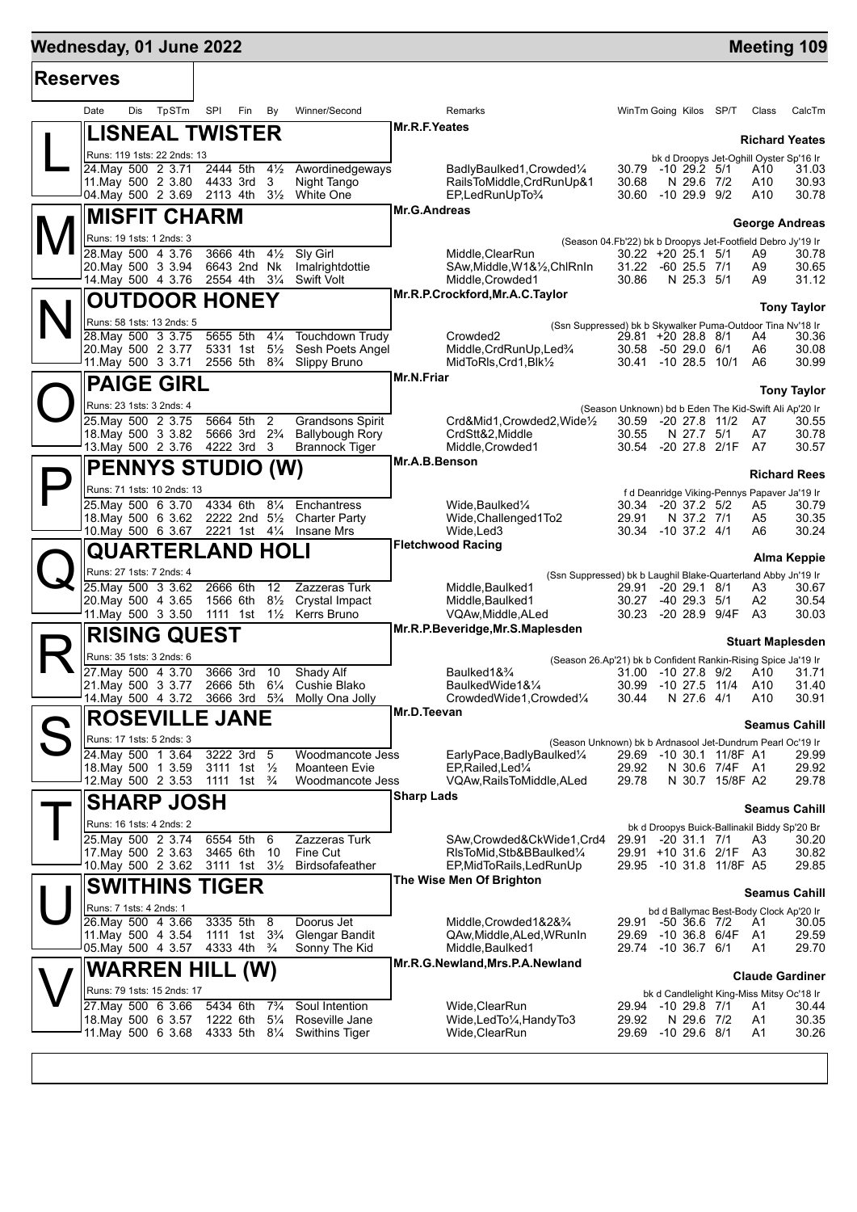# **Wednesday, 01 June 2022 Meeting 109**

| <b>Reserves</b> |                                                                   |                                                          |                                                 |                                                                                          |                                                                                          |  |                                                          |  |  |
|-----------------|-------------------------------------------------------------------|----------------------------------------------------------|-------------------------------------------------|------------------------------------------------------------------------------------------|------------------------------------------------------------------------------------------|--|----------------------------------------------------------|--|--|
|                 | TpSTm<br>Date<br>Dis                                              | SPI<br>Fin<br>By                                         | Winner/Second                                   | Remarks                                                                                  | WinTm Going Kilos SP/T                                                                   |  | Class<br>CalcTm                                          |  |  |
|                 | <b>LISNEAL TWISTER</b>                                            |                                                          |                                                 | Mr.R.F.Yeates                                                                            |                                                                                          |  | <b>Richard Yeates</b>                                    |  |  |
|                 | Runs: 119 1sts: 22 2nds: 13                                       |                                                          |                                                 |                                                                                          |                                                                                          |  | bk d Droopys Jet-Oghill Oyster Sp'16 Ir                  |  |  |
|                 | 24. May 500 2 3.71<br>11. May 500 2 3.80                          | 2444 5th<br>$4\frac{1}{2}$<br>3<br>4433 3rd              | Awordinedgeways<br>Night Tango                  | BadlyBaulked1, Crowded <sup>1</sup> / <sub>4</sub><br>RailsToMiddle, CrdRunUp&1          | 30.79 -10 29.2 5/1<br>30.68<br>N 29.6 7/2                                                |  | 31.03<br>A10<br>30.93<br>A10                             |  |  |
|                 | 04. May 500 2 3.69 2113 4th                                       | $3\frac{1}{2}$                                           | White One                                       | EP,LedRunUpTo%                                                                           | $-1029.99$<br>30.60                                                                      |  | A10<br>30.78                                             |  |  |
|                 | <b>MISFIT CHARM</b>                                               |                                                          |                                                 | Mr.G.Andreas                                                                             |                                                                                          |  | <b>George Andreas</b>                                    |  |  |
|                 | Runs: 19 1sts: 1 2nds: 3                                          |                                                          |                                                 |                                                                                          | (Season 04.Fb'22) bk b Droopys Jet-Footfield Debro Jy'19 Ir                              |  |                                                          |  |  |
|                 | 28. May 500 4 3.76<br>20. May 500 3 3.94                          | 3666 4th<br>$4\frac{1}{2}$<br>Nk<br>6643 2nd             | Sly Girl<br>Imalrightdottie                     | Middle, ClearRun<br>SAw, Middle, W1&1/2, ChlRnIn                                         | 30.22 +20 25.1 5/1<br>31.22 -60 25.5 7/1                                                 |  | 30.78<br>A9<br>A9<br>30.65                               |  |  |
|                 | 14. May 500 4 3.76                                                | $3\frac{1}{4}$<br>2554 4th                               | <b>Swift Volt</b>                               | Middle, Crowded1                                                                         | 30.86<br>N 25.3 5/1                                                                      |  | A9<br>31.12                                              |  |  |
|                 | <b>OUTDOOR HONEY</b>                                              |                                                          |                                                 | Mr.R.P.Crockford, Mr.A.C. Taylor                                                         |                                                                                          |  | <b>Tony Taylor</b>                                       |  |  |
|                 | Runs: 58 1sts: 13 2nds: 5                                         |                                                          |                                                 |                                                                                          | (Ssn Suppressed) bk b Skywalker Puma-Outdoor Tina Nv'18 Ir                               |  |                                                          |  |  |
|                 | 28. May 500 3 3.75<br>20. May 500 2 3.77                          | 5655 5th<br>$4\frac{1}{4}$<br>5331 1st 51/ <sub>2</sub>  | Touchdown Trudy<br>Sesh Poets Angel             | Crowded <sub>2</sub><br>Middle, CrdRunUp, Led <sup>3</sup> /4                            | 29.81 +20 28.8 8/1<br>30.58 -50 29.0 6/1                                                 |  | 30.36<br>A4<br>A6<br>30.08                               |  |  |
|                 | 11. May 500 3 3.71                                                | 2556 5th 8 <sup>3</sup> / <sub>4</sub> Slippy Bruno      |                                                 | MidToRIs, Crd1, Blk1/2                                                                   | 30.41 -10 28.5 10/1                                                                      |  | 30.99<br>A6                                              |  |  |
|                 | <b>PAIGE GIRL</b>                                                 |                                                          |                                                 | Mr.N.Friar                                                                               |                                                                                          |  | <b>Tony Taylor</b>                                       |  |  |
|                 | Runs: 23 1sts: 3 2nds: 4                                          |                                                          |                                                 |                                                                                          | (Season Unknown) bd b Eden The Kid-Swift Ali Ap'20 Ir                                    |  |                                                          |  |  |
|                 | 25. May 500 2 3.75                                                | 5664 5th<br>$\overline{2}$                               | Grandsons Spirit                                | Crd&Mid1,Crowded2,Wide1/2                                                                | 30.59<br>-20 27.8 11/2                                                                   |  | 30.55<br>A7                                              |  |  |
|                 | 18. May 500 3 3.82<br>13. May 500 2 3.76 4222 3rd                 | 5666 3rd<br>$2\frac{3}{4}$<br>- 3                        | <b>Ballybough Rory</b><br><b>Brannock Tiger</b> | CrdStt&2,Middle<br>Middle, Crowded1                                                      | 30.55<br>N 27.7 5/1<br>30.54 -20 27.8 2/1F                                               |  | A7<br>30.78<br>A7<br>30.57                               |  |  |
|                 | <b>PENNYS STUDIO (W)</b>                                          |                                                          |                                                 | Mr.A.B.Benson                                                                            |                                                                                          |  |                                                          |  |  |
|                 | Runs: 71 1sts: 10 2nds: 13                                        |                                                          |                                                 |                                                                                          | f d Deanridge Viking-Pennys Papaver Ja'19 Ir                                             |  | <b>Richard Rees</b>                                      |  |  |
|                 | 25.May 500 6 3.70                                                 | 4334 6th                                                 | 81/ <sub>4</sub> Enchantress                    | Wide, Baulked <sup>1/4</sup>                                                             | 30.34<br>-20 37.2 5/2                                                                    |  | 30.79<br>A5                                              |  |  |
|                 | 18. May 500 6 3.62<br>10. May 500 6 3.67 2221 1st 41/4 Insane Mrs | 2222 2nd 51/2 Charter Party                              |                                                 | Wide, Challenged 1To 2<br>Wide, Led 3                                                    | 29.91<br>N 37.2 7/1<br>30.34 -10 37.2 4/1                                                |  | A5<br>30.35<br>A6<br>30.24                               |  |  |
|                 | <b>QUARTERLAND HOLI</b>                                           |                                                          |                                                 | <b>Fletchwood Racing</b>                                                                 |                                                                                          |  |                                                          |  |  |
|                 | Runs: 27 1sts: 7 2nds: 4                                          |                                                          |                                                 | <b>Alma Keppie</b><br>(Ssn Suppressed) bk b Laughil Blake-Quarterland Abby Jn'19 Ir      |                                                                                          |  |                                                          |  |  |
|                 | 25. May 500 3 3.62                                                | 2666 6th<br>12                                           | Zazzeras Turk                                   | Middle, Baulked1                                                                         | $-20$ 29.1 $8/1$<br>29.91                                                                |  | 30.67<br>A3                                              |  |  |
|                 | 20. May 500 4 3.65<br>11. May 500 3 3.50                          | 1566 6th<br>$8\frac{1}{2}$<br>1111 1st                   | Crystal Impact<br>1½ Kerrs Bruno                | Middle, Baulked1<br>VQAw, Middle, ALed                                                   | 30.27<br>$-40$ 29.3 $5/1$<br>30.23 -20 28.9 9/4F                                         |  | A2<br>30.54<br>A <sub>3</sub><br>30.03                   |  |  |
|                 | <b>RISING QUEST</b>                                               |                                                          |                                                 | Mr.R.P.Beveridge, Mr.S.Maplesden                                                         |                                                                                          |  |                                                          |  |  |
|                 | Runs: 35 1sts: 3 2nds: 6                                          |                                                          |                                                 | <b>Stuart Maplesden</b><br>(Season 26.Ap'21) bk b Confident Rankin-Rising Spice Ja'19 Ir |                                                                                          |  |                                                          |  |  |
|                 | 27. May 500 4 3.70                                                | 3666 3rd<br>10                                           | <b>Shady Alf</b>                                | Baulked1& <sup>3</sup> /4                                                                | 31.00 -10 27.8 9/2                                                                       |  | A10<br>31.71                                             |  |  |
|                 | 21. May 500 3 3.77<br>14.May 500 4 3.72                           | $6\frac{1}{4}$<br>2666 5th<br>3666 3rd<br>$5\frac{3}{4}$ | Cushie Blako<br>Molly Ona Jolly                 | BaulkedWide1&1/4<br>CrowdedWide1,Crowded1/4                                              | $-10$ 27.5 $11/4$<br>30.99<br>30.44<br>N 27.6 4/1                                        |  | 31.40<br>A10<br>30.91<br>A10                             |  |  |
|                 | <b>ROSEVILLE JANE</b>                                             |                                                          |                                                 | Mr.D.Teevan                                                                              |                                                                                          |  |                                                          |  |  |
|                 | Runs: 17 1sts: 5 2nds: 3                                          |                                                          |                                                 |                                                                                          |                                                                                          |  | <b>Seamus Cahill</b>                                     |  |  |
|                 | 24. May 500 1 3.64                                                | 3222 3rd<br>- 5                                          | Woodmancote Jess                                | EarlyPace,BadlyBaulked1/4                                                                | (Season Unknown) bk b Ardnasool Jet-Dundrum Pearl Oc'19 Ir<br>-10 30.1 11/8F A1<br>29.69 |  | 29.99                                                    |  |  |
|                 | 18. May 500 1 3.59<br>12.May 500 2 3.53                           | 3111 1st 1/2<br>1111 1st $\frac{3}{4}$                   | Moanteen Evie<br>Woodmancote Jess               | EP, Railed, Led <sup>1/4</sup><br>VQAw, Rails To Middle, ALed                            | 29.92<br>N 30.6 7/4F A1<br>29.78<br>N 30.7 15/8F A2                                      |  | 29.92<br>29.78                                           |  |  |
|                 | <b>SHARP JOSH</b>                                                 |                                                          |                                                 | <b>Sharp Lads</b>                                                                        |                                                                                          |  |                                                          |  |  |
|                 | Runs: 16 1sts: 4 2nds: 2                                          |                                                          |                                                 |                                                                                          |                                                                                          |  | <b>Seamus Cahill</b>                                     |  |  |
|                 | 25. May 500 2 3.74                                                | 6554 5th<br>6                                            | Zazzeras Turk                                   | SAw,Crowded&CkWide1,Crd4                                                                 | bk d Droopys Buick-Ballinakil Biddy Sp'20 Br<br>$-20$ 31.1 $7/1$<br>29.91                |  | A3<br>30.20                                              |  |  |
|                 | 17 May 500 2 3.63                                                 | 3465 6th<br>10                                           | Fine Cut                                        | RIsToMid.Stb&BBaulked1/4                                                                 | 29.91 +10 31.6 2/1F A3                                                                   |  | 30.82                                                    |  |  |
|                 | 10. May 500 2 3.62                                                | 3111 1st 31/ <sub>2</sub>                                | <b>Birdsofafeather</b>                          | EP, MidToRails, LedRunUp<br>The Wise Men Of Brighton                                     | 29.95 -10 31.8 11/8F A5                                                                  |  | 29.85                                                    |  |  |
|                 | <b>SWITHINS TIGER</b>                                             |                                                          |                                                 |                                                                                          |                                                                                          |  | <b>Seamus Cahill</b>                                     |  |  |
|                 | Runs: 7 1sts: 4 2nds: 1<br>26. May 500 4 3.66                     | 3335 5th<br>8                                            | Doorus Jet                                      | Middle, Crowded 1&2&3/4                                                                  | -50 36.6 7/2<br>29.91                                                                    |  | bd d Ballymac Best-Body Clock Ap'20 Ir<br>30.05<br>A1    |  |  |
|                 | 11 May 500 4 3.54                                                 | 1111 1st 3 <sup>3</sup> / <sub>4</sub>                   | <b>Glengar Bandit</b>                           | QAw, Middle, ALed, WRunIn                                                                | 29.69 -10 36.8 6/4F A1                                                                   |  | 29.59                                                    |  |  |
|                 | 05. May 500 4 3.57                                                | 4333 4th <sup>3</sup> / <sub>4</sub>                     | Sonny The Kid                                   | Middle, Baulked1<br>Mr.R.G.Newland, Mrs.P.A.Newland                                      | 29.74 -10 36.7 6/1                                                                       |  | 29.70<br>A1                                              |  |  |
|                 | <b>WARREN HILL (W)</b>                                            |                                                          |                                                 |                                                                                          |                                                                                          |  | <b>Claude Gardiner</b>                                   |  |  |
|                 | Runs: 79 1sts: 15 2nds: 17<br>27. May 500 6 3.66                  | 5434 6th<br>$7\frac{3}{4}$                               | Soul Intention                                  | Wide, ClearRun                                                                           | 29.94 -10 29.8 7/1                                                                       |  | bk d Candlelight King-Miss Mitsy Oc'18 Ir<br>A1<br>30.44 |  |  |
|                 | 18 May 500 6 3.57                                                 | 1222 6th<br>$5\frac{1}{4}$                               | Roseville Jane                                  | Wide, Led To 1/4, Handy To 3                                                             | N 29.6 7/2<br>29.92                                                                      |  | A1<br>30.35                                              |  |  |
|                 | 11. May 500 6 3.68 4333 5th 81/4 Swithins Tiger                   |                                                          |                                                 | Wide, ClearRun                                                                           | 29.69 -10 29.6 8/1                                                                       |  | A1<br>30.26                                              |  |  |
|                 |                                                                   |                                                          |                                                 |                                                                                          |                                                                                          |  |                                                          |  |  |